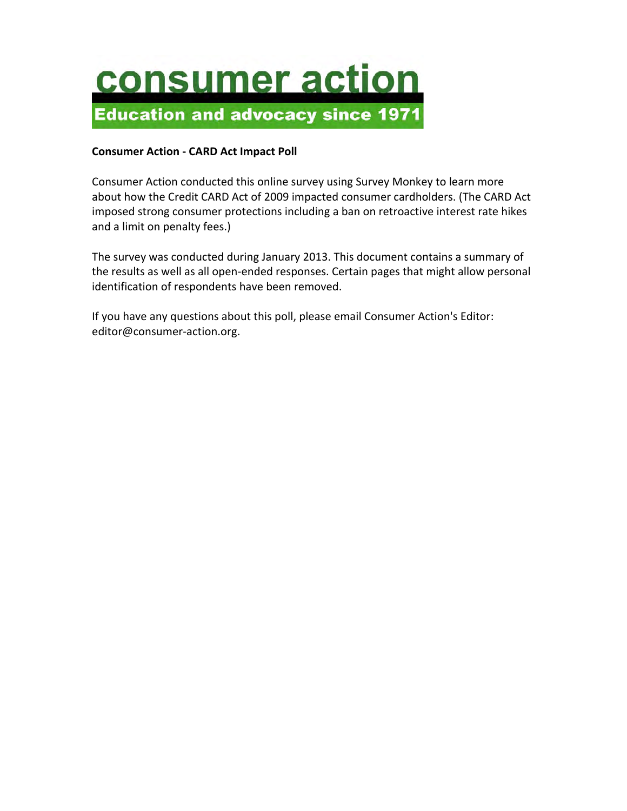

#### **Consumer Action - CARD Act Impact Poll**

Consumer Action conducted this online survey using Survey Monkey to learn more about how the Credit CARD Act of 2009 impacted consumer cardholders. (The CARD Act imposed strong consumer protections including a ban on retroactive interest rate hikes and a limit on penalty fees.)

The survey was conducted during January 2013. This document contains a summary of the results as well as all open-ended responses. Certain pages that might allow personal identification of respondents have been removed.

If you have any questions about this poll, please email Consumer Action's Editor: editor@consumer-action.org.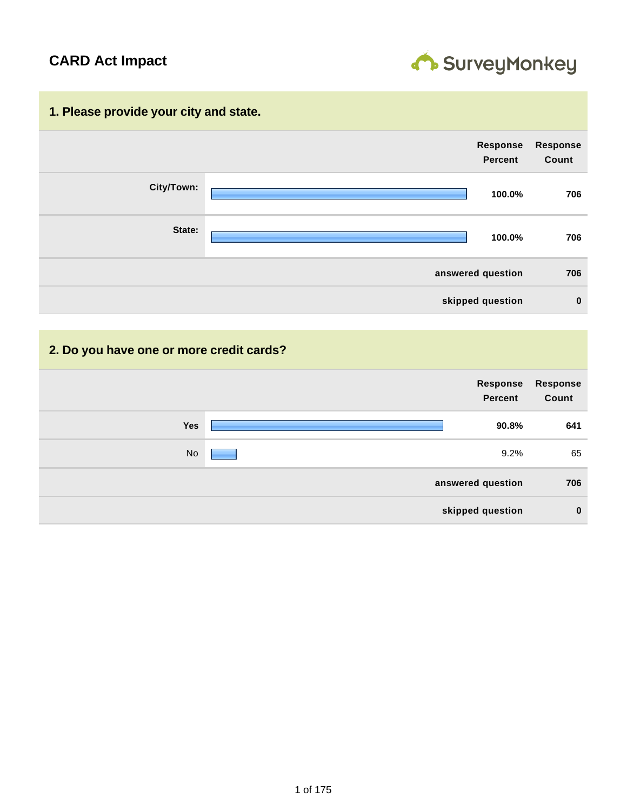

#### **1. Please provide your city and state.**



#### **2. Do you have one or more credit cards?**

| Response<br><b>Percent</b> | <b>Response</b><br>Count |
|----------------------------|--------------------------|
| Yes<br>90.8%               | 641                      |
| No<br>9.2%                 | 65                       |
| answered question          | 706                      |
| skipped question           | $\bf{0}$                 |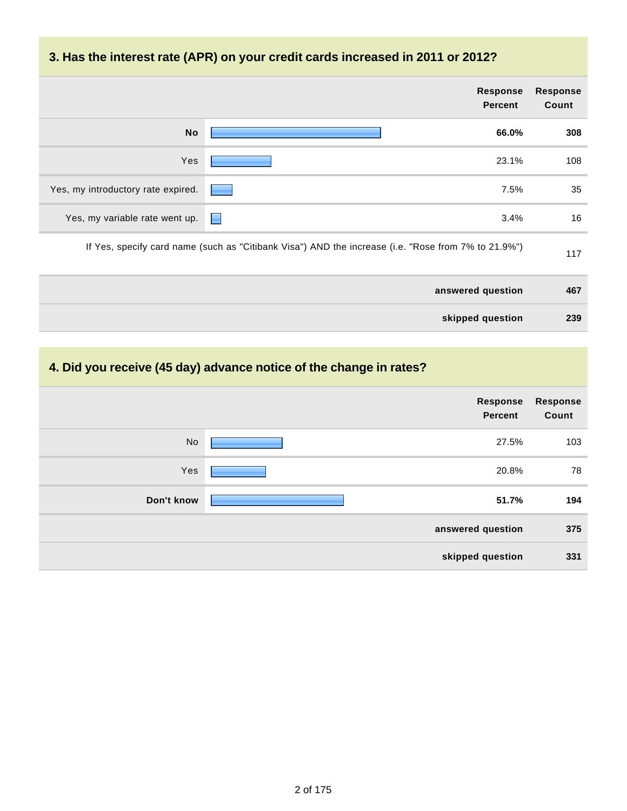|                                     | <b>Response</b><br><b>Percent</b>                                                                   | <b>Response</b><br>Count |
|-------------------------------------|-----------------------------------------------------------------------------------------------------|--------------------------|
| <b>No</b>                           | 66.0%                                                                                               | 308                      |
| Yes                                 | 23.1%                                                                                               | 108                      |
| Yes, my introductory rate expired.  | 7.5%                                                                                                | 35                       |
| Yes, my variable rate went up.<br>E | 3.4%                                                                                                | 16                       |
|                                     | If Yes, specify card name (such as "Citibank Visa") AND the increase (i.e. "Rose from 7% to 21.9%") | 117                      |
|                                     | answered question                                                                                   | 467                      |
|                                     | skipped question                                                                                    | 239                      |

# **4. Did you receive (45 day) advance notice of the change in rates?**

|            | Response<br><b>Percent</b> | <b>Response</b><br>Count |
|------------|----------------------------|--------------------------|
| <b>No</b>  | 27.5%                      | 103                      |
| Yes        | 20.8%                      | 78                       |
| Don't know | 51.7%                      | 194                      |
|            | answered question          | 375                      |
|            | skipped question           | 331                      |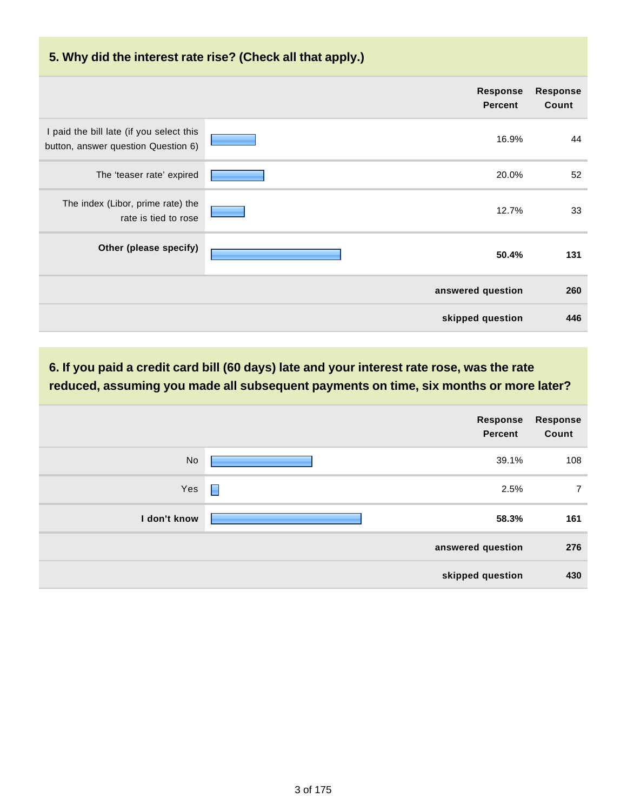### **5. Why did the interest rate rise? (Check all that apply.)**

|                                                                                 | Response<br><b>Percent</b> | <b>Response</b><br>Count |
|---------------------------------------------------------------------------------|----------------------------|--------------------------|
| I paid the bill late (if you select this<br>button, answer question Question 6) | 16.9%                      | 44                       |
| The 'teaser rate' expired                                                       | 20.0%                      | 52                       |
| The index (Libor, prime rate) the<br>rate is tied to rose                       | 12.7%                      | 33                       |
| Other (please specify)                                                          | 50.4%                      | 131                      |
|                                                                                 | answered question          | 260                      |
|                                                                                 | skipped question           | 446                      |

## **6. If you paid a credit card bill (60 days) late and your interest rate rose, was the rate reduced, assuming you made all subsequent payments on time, six months or more later?**

|              | Response<br>Percent    | <b>Response</b><br>Count |
|--------------|------------------------|--------------------------|
| <b>No</b>    | 39.1%                  | 108                      |
| Yes          | $\blacksquare$<br>2.5% | $\overline{7}$           |
| I don't know | 58.3%                  | 161                      |
|              | answered question      | 276                      |
|              | skipped question       | 430                      |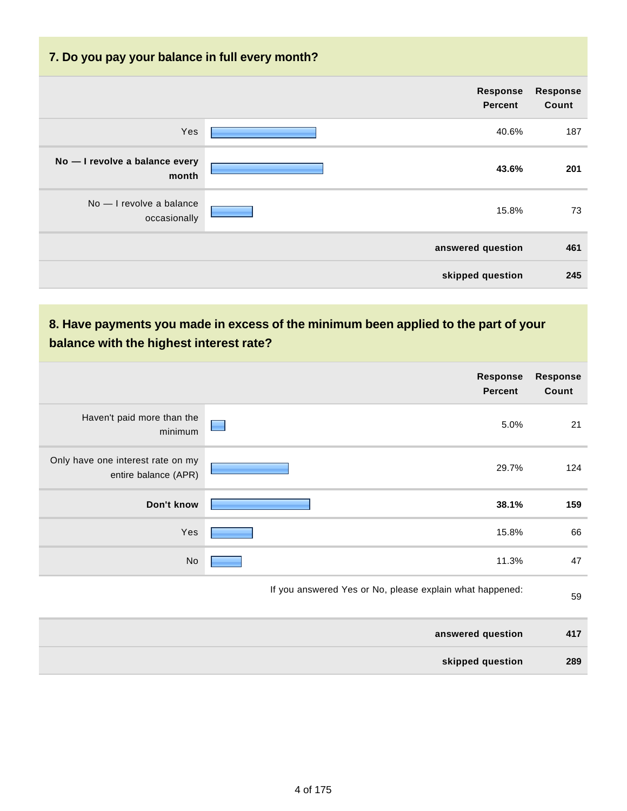| 7. Do you pay your balance in full every month? |                                   |                          |
|-------------------------------------------------|-----------------------------------|--------------------------|
|                                                 | <b>Response</b><br><b>Percent</b> | <b>Response</b><br>Count |
| Yes                                             | 40.6%                             | 187                      |
| No - I revolve a balance every<br>month         | 43.6%                             | 201                      |
| No - I revolve a balance<br>occasionally        | 15.8%                             | 73                       |
|                                                 | answered question                 | 461                      |
|                                                 | skipped question                  | 245                      |

|                                                           | <b>Response</b><br><b>Percent</b>                        | <b>Response</b><br>Count |
|-----------------------------------------------------------|----------------------------------------------------------|--------------------------|
| Haven't paid more than the<br>minimum                     | 5.0%                                                     | 21                       |
| Only have one interest rate on my<br>entire balance (APR) | 29.7%                                                    | 124                      |
| Don't know                                                | 38.1%                                                    | 159                      |
| Yes                                                       | 15.8%                                                    | 66                       |
| No                                                        | 11.3%                                                    | 47                       |
|                                                           | If you answered Yes or No, please explain what happened: | 59                       |
|                                                           | answered question                                        | 417                      |
|                                                           | skipped question                                         | 289                      |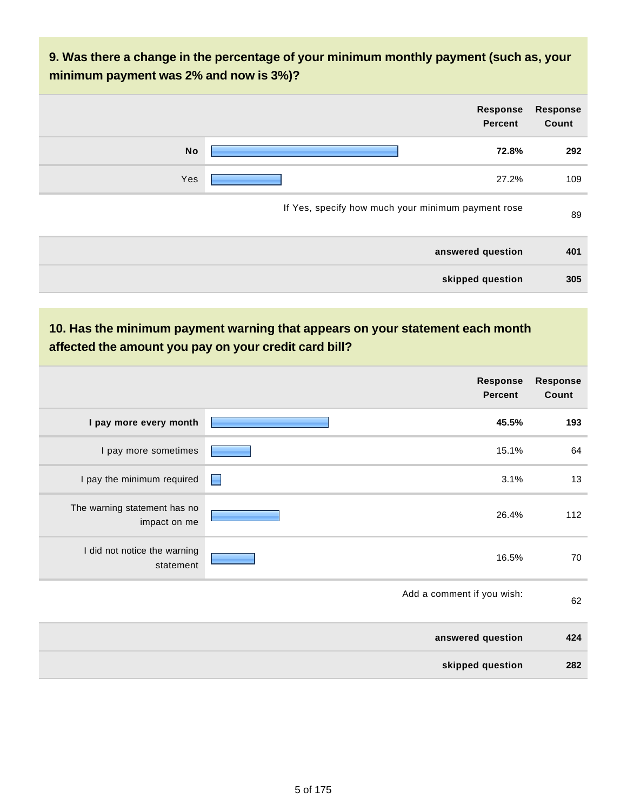| <b>Response</b><br>Count | Response<br><b>Percent</b>                         |           |
|--------------------------|----------------------------------------------------|-----------|
| 292                      | 72.8%                                              | <b>No</b> |
| 109                      | 27.2%                                              | Yes       |
| 89                       | If Yes, specify how much your minimum payment rose |           |
| 401                      | answered question                                  |           |

**skipped question 305**

|                                              |   | Response<br><b>Percent</b> | <b>Response</b><br>Count |
|----------------------------------------------|---|----------------------------|--------------------------|
| I pay more every month                       |   | 45.5%                      | 193                      |
| I pay more sometimes                         |   | 15.1%                      | 64                       |
| I pay the minimum required                   | ▉ | 3.1%                       | 13                       |
| The warning statement has no<br>impact on me |   | 26.4%                      | 112                      |
| I did not notice the warning<br>statement    |   | 16.5%                      | 70                       |
|                                              |   | Add a comment if you wish: | 62                       |
|                                              |   | answered question          | 424                      |
|                                              |   | skipped question           | 282                      |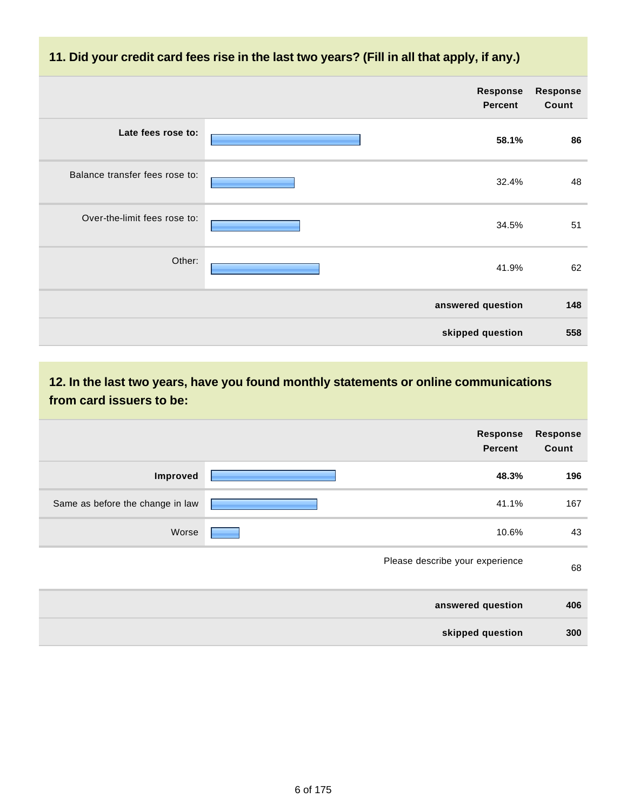### **11. Did your credit card fees rise in the last two years? (Fill in all that apply, if any.)**

|                                | Response<br><b>Percent</b> | <b>Response</b><br>Count |
|--------------------------------|----------------------------|--------------------------|
| Late fees rose to:             | 58.1%                      | 86                       |
| Balance transfer fees rose to: | 32.4%                      | 48                       |
| Over-the-limit fees rose to:   | 34.5%                      | 51                       |
| Other:                         | 41.9%                      | 62                       |
|                                | answered question          | 148                      |
|                                | skipped question           | 558                      |

**12. In the last two years, have you found monthly statements or online communications from card issuers to be:**

|                                  | Response<br><b>Percent</b>      | <b>Response</b><br>Count |
|----------------------------------|---------------------------------|--------------------------|
| Improved                         | 48.3%                           | 196                      |
| Same as before the change in law | 41.1%                           | 167                      |
| Worse                            | 10.6%                           | 43                       |
|                                  | Please describe your experience | 68                       |
|                                  | answered question               | 406                      |
|                                  | skipped question                | 300                      |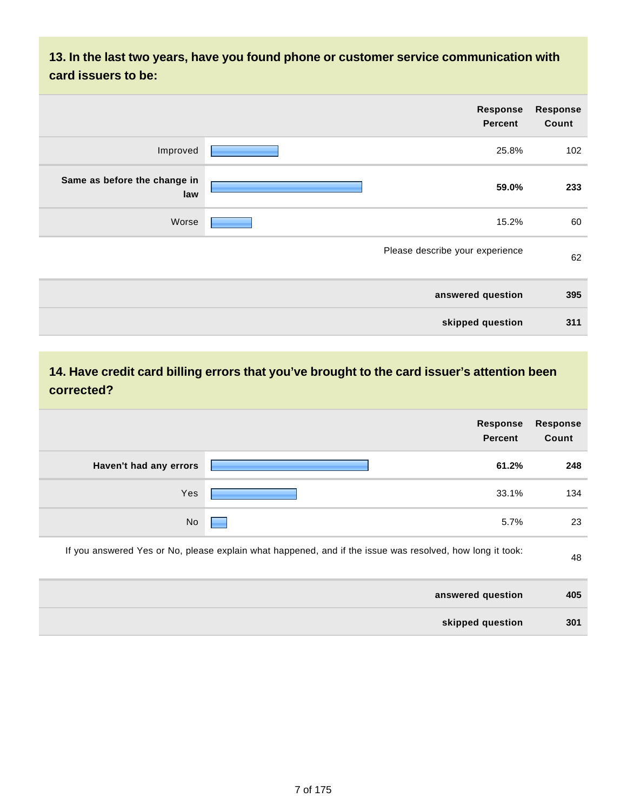**13. In the last two years, have you found phone or customer service communication with card issuers to be:**

| <b>Response</b><br>Count | <b>Response</b><br><b>Percent</b> |                                     |
|--------------------------|-----------------------------------|-------------------------------------|
| 102                      | 25.8%                             | Improved                            |
| 233                      | 59.0%                             | Same as before the change in<br>law |
| 60                       | 15.2%                             | Worse                               |
| 62                       | Please describe your experience   |                                     |
| 395                      | answered question                 |                                     |
| 311                      | skipped question                  |                                     |

# **14. Have credit card billing errors that you've brought to the card issuer's attention been corrected?**

|                        | <b>Response</b><br><b>Percent</b>                                                                         | <b>Response</b><br>Count |
|------------------------|-----------------------------------------------------------------------------------------------------------|--------------------------|
| Haven't had any errors | 61.2%                                                                                                     | 248                      |
| Yes                    | 33.1%                                                                                                     | 134                      |
| <b>No</b>              | 5.7%                                                                                                      | 23                       |
|                        | If you answered Yes or No, please explain what happened, and if the issue was resolved, how long it took: | 48                       |
|                        | answered question                                                                                         | 405                      |
|                        | skipped question                                                                                          | 301                      |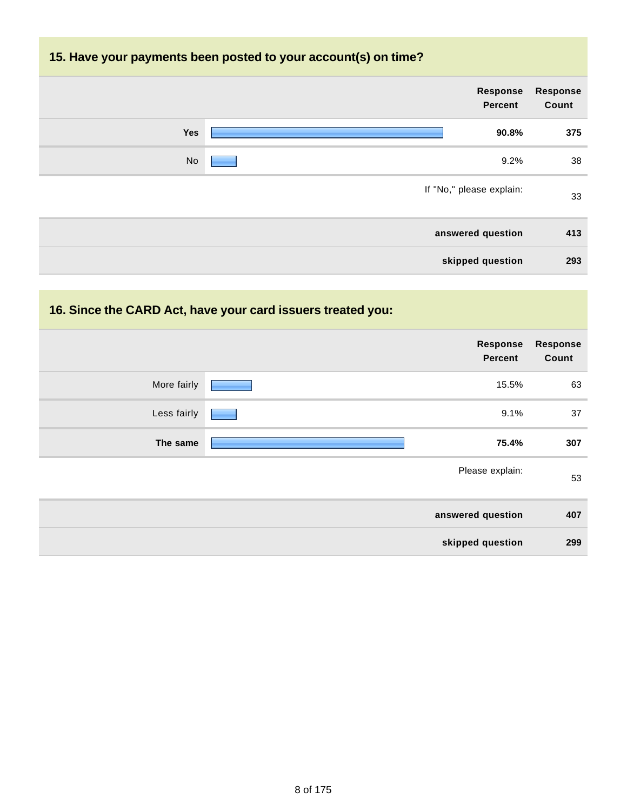## **15. Have your payments been posted to your account(s) on time?**

| <b>Response</b><br>Count | Response<br><b>Percent</b> |     |
|--------------------------|----------------------------|-----|
| 375                      | 90.8%                      | Yes |
| 38                       | 9.2%                       | No  |
| 33                       | If "No," please explain:   |     |
| 413                      | answered question          |     |
| 293                      | skipped question           |     |

# **16. Since the CARD Act, have your card issuers treated you:**

|             | Response<br>Percent | <b>Response</b><br>Count |
|-------------|---------------------|--------------------------|
| More fairly | 15.5%               | 63                       |
| Less fairly | 9.1%                | 37                       |
| The same    | 75.4%               | 307                      |
|             | Please explain:     | 53                       |
|             | answered question   | 407                      |
|             | skipped question    | 299                      |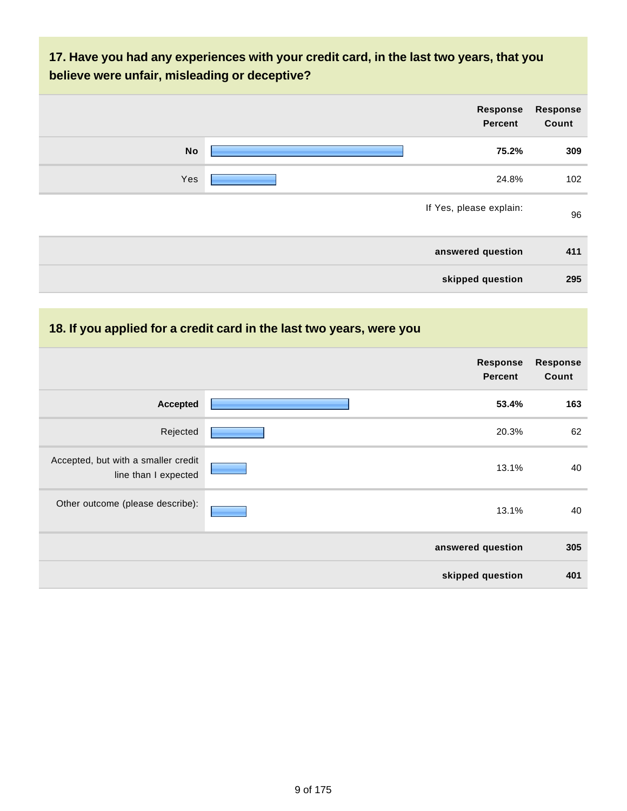## **17. Have you had any experiences with your credit card, in the last two years, that you believe were unfair, misleading or deceptive?**

| <b>Response</b><br>Count | Response<br>Percent     |           |
|--------------------------|-------------------------|-----------|
| 309                      | 75.2%                   | <b>No</b> |
| 102                      | 24.8%                   | Yes       |
| 96                       | If Yes, please explain: |           |
| 411                      | answered question       |           |
| 295                      | skipped question        |           |

## **18. If you applied for a credit card in the last two years, were you**

|                                                             | Response<br><b>Percent</b> | <b>Response</b><br>Count |
|-------------------------------------------------------------|----------------------------|--------------------------|
| <b>Accepted</b>                                             | 53.4%                      | 163                      |
| Rejected                                                    | 20.3%                      | 62                       |
| Accepted, but with a smaller credit<br>line than I expected | 13.1%                      | 40                       |
| Other outcome (please describe):                            | 13.1%                      | 40                       |
|                                                             | answered question          | 305                      |
|                                                             | skipped question           | 401                      |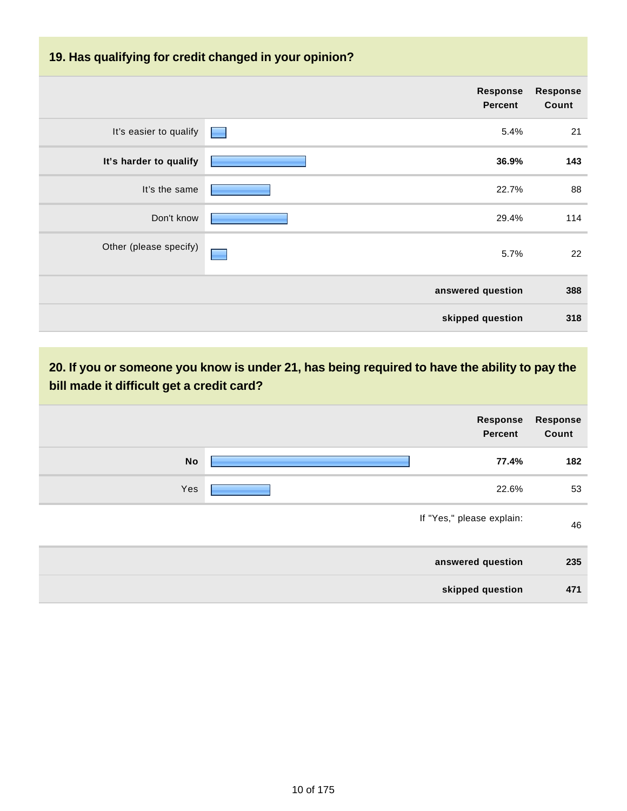| 19. Has qualifying for credit changed in your opinion? |                                   |                          |  |
|--------------------------------------------------------|-----------------------------------|--------------------------|--|
|                                                        | <b>Response</b><br><b>Percent</b> | <b>Response</b><br>Count |  |
| It's easier to qualify                                 | 5.4%                              | 21                       |  |
| It's harder to qualify                                 | 36.9%                             | 143                      |  |
| It's the same                                          | 22.7%                             | 88                       |  |
| Don't know                                             | 29.4%                             | 114                      |  |
| Other (please specify)                                 | 5.7%                              | 22                       |  |
|                                                        | answered question                 | 388                      |  |
|                                                        | skipped question                  | 318                      |  |

**20. If you or someone you know is under 21, has being required to have the ability to pay the bill made it difficult get a credit card?**

|           | Response<br><b>Percent</b> | Response<br>Count |
|-----------|----------------------------|-------------------|
| <b>No</b> | 77.4%                      | 182               |
| Yes       | 22.6%                      | 53                |
|           | If "Yes," please explain:  | 46                |
|           | answered question          | 235               |
|           | skipped question           | 471               |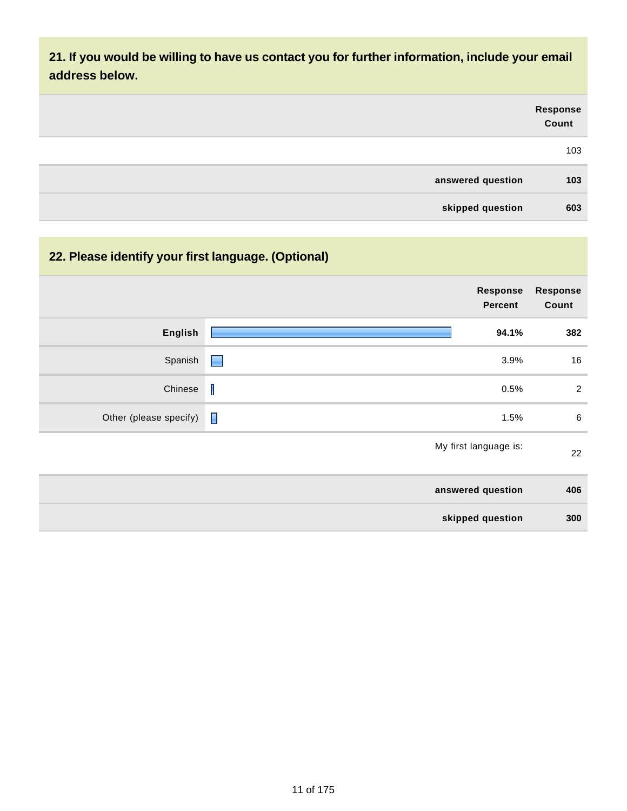**21. If you would be willing to have us contact you for further information, include your email address below.**

|                   | Response<br>Count |
|-------------------|-------------------|
|                   | 103               |
| answered question | 103               |
| skipped question  | 603               |

# **22. Please identify your first language. (Optional)**

|                        | <b>Response</b><br><b>Percent</b> | <b>Response</b><br>Count |
|------------------------|-----------------------------------|--------------------------|
| English                | 94.1%                             | 382                      |
| Spanish                | 3.9%<br>Н                         | 16                       |
| Chinese                | $\mathbf I$<br>0.5%               | $\overline{2}$           |
| Other (please specify) | $\blacksquare$<br>1.5%            | $\,6$                    |
|                        | My first language is:             | 22                       |
|                        | answered question                 | 406                      |
|                        | skipped question                  | 300                      |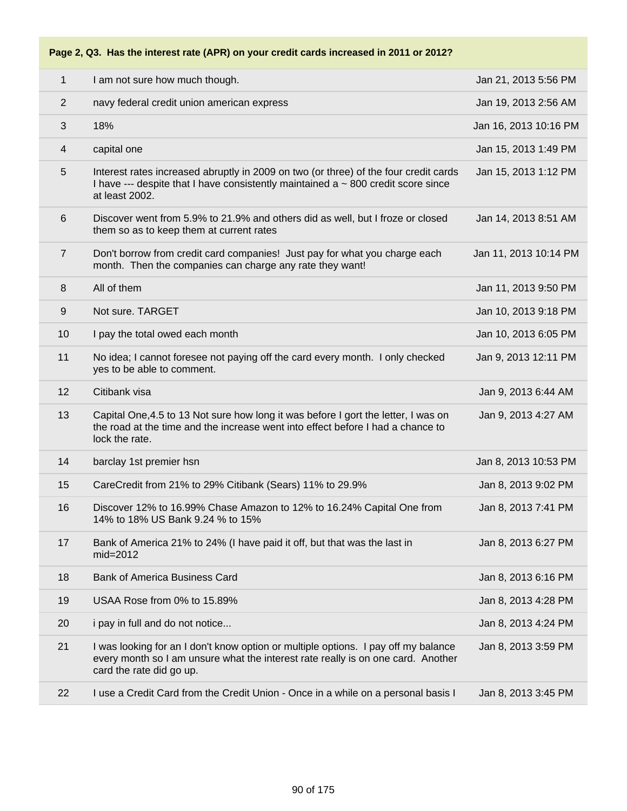**Page 2, Q3. Has the interest rate (APR) on your credit cards increased in 2011 or 2012?**

| 1              | I am not sure how much though.                                                                                                                                                                     | Jan 21, 2013 5:56 PM  |
|----------------|----------------------------------------------------------------------------------------------------------------------------------------------------------------------------------------------------|-----------------------|
| $\overline{2}$ | navy federal credit union american express                                                                                                                                                         | Jan 19, 2013 2:56 AM  |
| 3              | 18%                                                                                                                                                                                                | Jan 16, 2013 10:16 PM |
| 4              | capital one                                                                                                                                                                                        | Jan 15, 2013 1:49 PM  |
| 5              | Interest rates increased abruptly in 2009 on two (or three) of the four credit cards<br>I have $-$ - despite that I have consistently maintained a $\sim$ 800 credit score since<br>at least 2002. | Jan 15, 2013 1:12 PM  |
| 6              | Discover went from 5.9% to 21.9% and others did as well, but I froze or closed<br>them so as to keep them at current rates                                                                         | Jan 14, 2013 8:51 AM  |
| $\overline{7}$ | Don't borrow from credit card companies! Just pay for what you charge each<br>month. Then the companies can charge any rate they want!                                                             | Jan 11, 2013 10:14 PM |
| 8              | All of them                                                                                                                                                                                        | Jan 11, 2013 9:50 PM  |
| $9\,$          | Not sure. TARGET                                                                                                                                                                                   | Jan 10, 2013 9:18 PM  |
| 10             | I pay the total owed each month                                                                                                                                                                    | Jan 10, 2013 6:05 PM  |
| 11             | No idea; I cannot foresee not paying off the card every month. I only checked<br>yes to be able to comment.                                                                                        | Jan 9, 2013 12:11 PM  |
| 12             | Citibank visa                                                                                                                                                                                      | Jan 9, 2013 6:44 AM   |
| 13             | Capital One, 4.5 to 13 Not sure how long it was before I gort the letter, I was on<br>the road at the time and the increase went into effect before I had a chance to<br>lock the rate.            | Jan 9, 2013 4:27 AM   |
| 14             | barclay 1st premier hsn                                                                                                                                                                            | Jan 8, 2013 10:53 PM  |
| 15             | CareCredit from 21% to 29% Citibank (Sears) 11% to 29.9%                                                                                                                                           | Jan 8, 2013 9:02 PM   |
| 16             | Discover 12% to 16.99% Chase Amazon to 12% to 16.24% Capital One from<br>14% to 18% US Bank 9.24 % to 15%                                                                                          | Jan 8, 2013 7:41 PM   |
| 17             | Bank of America 21% to 24% (I have paid it off, but that was the last in<br>$mid=2012$                                                                                                             | Jan 8, 2013 6:27 PM   |
| 18             | <b>Bank of America Business Card</b>                                                                                                                                                               | Jan 8, 2013 6:16 PM   |
| 19             | USAA Rose from 0% to 15.89%                                                                                                                                                                        | Jan 8, 2013 4:28 PM   |
| 20             | i pay in full and do not notice                                                                                                                                                                    | Jan 8, 2013 4:24 PM   |
| 21             | I was looking for an I don't know option or multiple options. I pay off my balance<br>every month so I am unsure what the interest rate really is on one card. Another<br>card the rate did go up. | Jan 8, 2013 3:59 PM   |
| 22             | I use a Credit Card from the Credit Union - Once in a while on a personal basis I                                                                                                                  | Jan 8, 2013 3:45 PM   |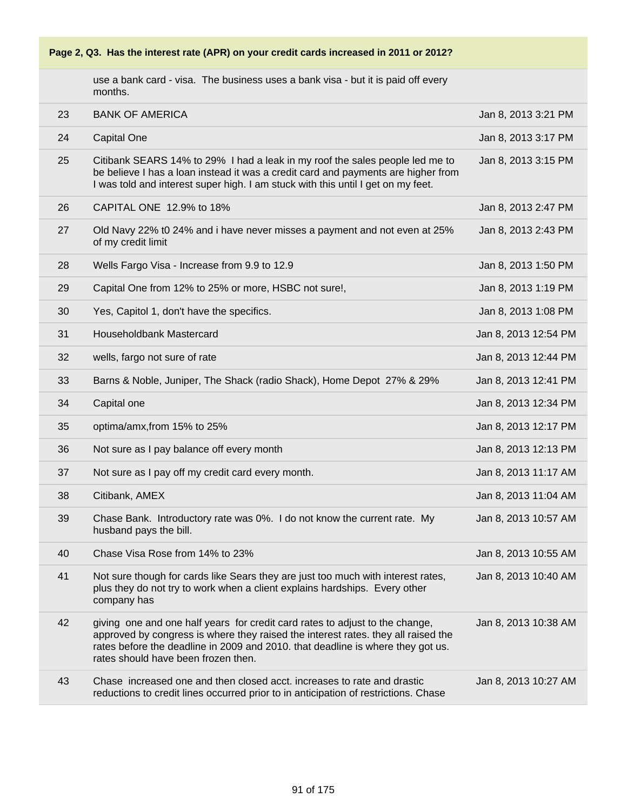use a bank card - visa. The business uses a bank visa - but it is paid off every months.

| 23 | <b>BANK OF AMERICA</b>                                                                                                                                                                                                                                                                      | Jan 8, 2013 3:21 PM  |
|----|---------------------------------------------------------------------------------------------------------------------------------------------------------------------------------------------------------------------------------------------------------------------------------------------|----------------------|
| 24 | <b>Capital One</b>                                                                                                                                                                                                                                                                          | Jan 8, 2013 3:17 PM  |
| 25 | Citibank SEARS 14% to 29% I had a leak in my roof the sales people led me to<br>be believe I has a loan instead it was a credit card and payments are higher from<br>I was told and interest super high. I am stuck with this until I get on my feet.                                       | Jan 8, 2013 3:15 PM  |
| 26 | CAPITAL ONE 12.9% to 18%                                                                                                                                                                                                                                                                    | Jan 8, 2013 2:47 PM  |
| 27 | Old Navy 22% t0 24% and i have never misses a payment and not even at 25%<br>of my credit limit                                                                                                                                                                                             | Jan 8, 2013 2:43 PM  |
| 28 | Wells Fargo Visa - Increase from 9.9 to 12.9                                                                                                                                                                                                                                                | Jan 8, 2013 1:50 PM  |
| 29 | Capital One from 12% to 25% or more, HSBC not sure!,                                                                                                                                                                                                                                        | Jan 8, 2013 1:19 PM  |
| 30 | Yes, Capitol 1, don't have the specifics.                                                                                                                                                                                                                                                   | Jan 8, 2013 1:08 PM  |
| 31 | Householdbank Mastercard                                                                                                                                                                                                                                                                    | Jan 8, 2013 12:54 PM |
| 32 | wells, fargo not sure of rate                                                                                                                                                                                                                                                               | Jan 8, 2013 12:44 PM |
| 33 | Barns & Noble, Juniper, The Shack (radio Shack), Home Depot 27% & 29%                                                                                                                                                                                                                       | Jan 8, 2013 12:41 PM |
| 34 | Capital one                                                                                                                                                                                                                                                                                 | Jan 8, 2013 12:34 PM |
| 35 | optima/amx, from 15% to 25%                                                                                                                                                                                                                                                                 | Jan 8, 2013 12:17 PM |
| 36 | Not sure as I pay balance off every month                                                                                                                                                                                                                                                   | Jan 8, 2013 12:13 PM |
| 37 | Not sure as I pay off my credit card every month.                                                                                                                                                                                                                                           | Jan 8, 2013 11:17 AM |
| 38 | Citibank, AMEX                                                                                                                                                                                                                                                                              | Jan 8, 2013 11:04 AM |
| 39 | Chase Bank. Introductory rate was 0%. I do not know the current rate. My<br>husband pays the bill.                                                                                                                                                                                          | Jan 8, 2013 10:57 AM |
| 40 | Chase Visa Rose from 14% to 23%                                                                                                                                                                                                                                                             | Jan 8, 2013 10:55 AM |
| 41 | Not sure though for cards like Sears they are just too much with interest rates,<br>plus they do not try to work when a client explains hardships. Every other<br>company has                                                                                                               | Jan 8, 2013 10:40 AM |
| 42 | giving one and one half years for credit card rates to adjust to the change,<br>approved by congress is where they raised the interest rates. they all raised the<br>rates before the deadline in 2009 and 2010. that deadline is where they got us.<br>rates should have been frozen then. | Jan 8, 2013 10:38 AM |
| 43 | Chase increased one and then closed acct. increases to rate and drastic<br>reductions to credit lines occurred prior to in anticipation of restrictions. Chase                                                                                                                              | Jan 8, 2013 10:27 AM |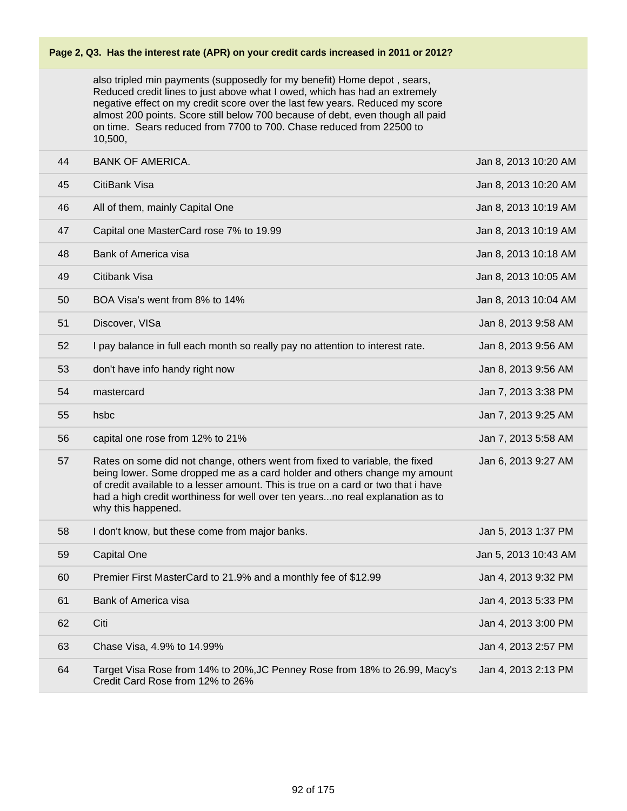also tripled min payments (supposedly for my benefit) Home depot , sears, Reduced credit lines to just above what I owed, which has had an extremely negative effect on my credit score over the last few years. Reduced my score almost 200 points. Score still below 700 because of debt, even though all paid on time. Sears reduced from 7700 to 700. Chase reduced from 22500 to 10,500,

| 44 | <b>BANK OF AMERICA.</b>                                                                                                                                                                                                                                                                                                                              | Jan 8, 2013 10:20 AM |
|----|------------------------------------------------------------------------------------------------------------------------------------------------------------------------------------------------------------------------------------------------------------------------------------------------------------------------------------------------------|----------------------|
| 45 | CitiBank Visa                                                                                                                                                                                                                                                                                                                                        | Jan 8, 2013 10:20 AM |
| 46 | All of them, mainly Capital One                                                                                                                                                                                                                                                                                                                      | Jan 8, 2013 10:19 AM |
| 47 | Capital one MasterCard rose 7% to 19.99                                                                                                                                                                                                                                                                                                              | Jan 8, 2013 10:19 AM |
| 48 | Bank of America visa                                                                                                                                                                                                                                                                                                                                 | Jan 8, 2013 10:18 AM |
| 49 | Citibank Visa                                                                                                                                                                                                                                                                                                                                        | Jan 8, 2013 10:05 AM |
| 50 | BOA Visa's went from 8% to 14%                                                                                                                                                                                                                                                                                                                       | Jan 8, 2013 10:04 AM |
| 51 | Discover, VISa                                                                                                                                                                                                                                                                                                                                       | Jan 8, 2013 9:58 AM  |
| 52 | I pay balance in full each month so really pay no attention to interest rate.                                                                                                                                                                                                                                                                        | Jan 8, 2013 9:56 AM  |
| 53 | don't have info handy right now                                                                                                                                                                                                                                                                                                                      | Jan 8, 2013 9:56 AM  |
| 54 | mastercard                                                                                                                                                                                                                                                                                                                                           | Jan 7, 2013 3:38 PM  |
| 55 | hsbc                                                                                                                                                                                                                                                                                                                                                 | Jan 7, 2013 9:25 AM  |
| 56 | capital one rose from 12% to 21%                                                                                                                                                                                                                                                                                                                     | Jan 7, 2013 5:58 AM  |
| 57 | Rates on some did not change, others went from fixed to variable, the fixed<br>being lower. Some dropped me as a card holder and others change my amount<br>of credit available to a lesser amount. This is true on a card or two that i have<br>had a high credit worthiness for well over ten yearsno real explanation as to<br>why this happened. | Jan 6, 2013 9:27 AM  |
| 58 | I don't know, but these come from major banks.                                                                                                                                                                                                                                                                                                       | Jan 5, 2013 1:37 PM  |
| 59 | <b>Capital One</b>                                                                                                                                                                                                                                                                                                                                   | Jan 5, 2013 10:43 AM |
| 60 | Premier First MasterCard to 21.9% and a monthly fee of \$12.99                                                                                                                                                                                                                                                                                       | Jan 4, 2013 9:32 PM  |
| 61 | <b>Bank of America visa</b>                                                                                                                                                                                                                                                                                                                          | Jan 4, 2013 5:33 PM  |
| 62 | Citi                                                                                                                                                                                                                                                                                                                                                 | Jan 4, 2013 3:00 PM  |
| 63 | Chase Visa, 4.9% to 14.99%                                                                                                                                                                                                                                                                                                                           | Jan 4, 2013 2:57 PM  |
| 64 | Target Visa Rose from 14% to 20%, JC Penney Rose from 18% to 26.99, Macy's<br>Credit Card Rose from 12% to 26%                                                                                                                                                                                                                                       | Jan 4, 2013 2:13 PM  |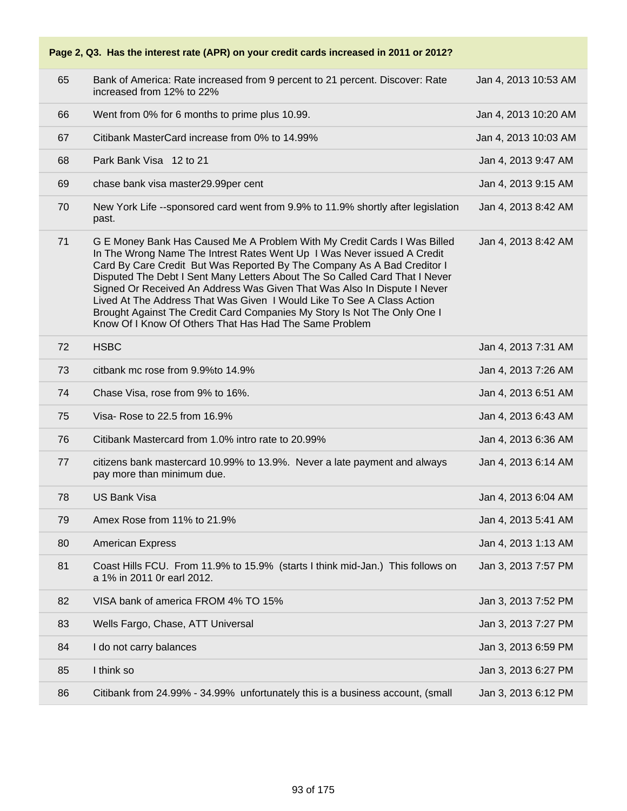| 65 | Bank of America: Rate increased from 9 percent to 21 percent. Discover: Rate<br>increased from 12% to 22%                                                                                                                                                                                                                                                                                                                                                                                                                                                                                                 | Jan 4, 2013 10:53 AM |
|----|-----------------------------------------------------------------------------------------------------------------------------------------------------------------------------------------------------------------------------------------------------------------------------------------------------------------------------------------------------------------------------------------------------------------------------------------------------------------------------------------------------------------------------------------------------------------------------------------------------------|----------------------|
| 66 | Went from 0% for 6 months to prime plus 10.99.                                                                                                                                                                                                                                                                                                                                                                                                                                                                                                                                                            | Jan 4, 2013 10:20 AM |
| 67 | Citibank MasterCard increase from 0% to 14.99%                                                                                                                                                                                                                                                                                                                                                                                                                                                                                                                                                            | Jan 4, 2013 10:03 AM |
| 68 | Park Bank Visa 12 to 21                                                                                                                                                                                                                                                                                                                                                                                                                                                                                                                                                                                   | Jan 4, 2013 9:47 AM  |
| 69 | chase bank visa master29.99per cent                                                                                                                                                                                                                                                                                                                                                                                                                                                                                                                                                                       | Jan 4, 2013 9:15 AM  |
| 70 | New York Life --sponsored card went from 9.9% to 11.9% shortly after legislation<br>past.                                                                                                                                                                                                                                                                                                                                                                                                                                                                                                                 | Jan 4, 2013 8:42 AM  |
| 71 | G E Money Bank Has Caused Me A Problem With My Credit Cards I Was Billed<br>In The Wrong Name The Intrest Rates Went Up I Was Never issued A Credit<br>Card By Care Credit But Was Reported By The Company As A Bad Creditor I<br>Disputed The Debt I Sent Many Letters About The So Called Card That I Never<br>Signed Or Received An Address Was Given That Was Also In Dispute I Never<br>Lived At The Address That Was Given I Would Like To See A Class Action<br>Brought Against The Credit Card Companies My Story Is Not The Only One I<br>Know Of I Know Of Others That Has Had The Same Problem | Jan 4, 2013 8:42 AM  |
| 72 | <b>HSBC</b>                                                                                                                                                                                                                                                                                                                                                                                                                                                                                                                                                                                               | Jan 4, 2013 7:31 AM  |
| 73 | citbank mc rose from 9.9% to 14.9%                                                                                                                                                                                                                                                                                                                                                                                                                                                                                                                                                                        | Jan 4, 2013 7:26 AM  |
| 74 | Chase Visa, rose from 9% to 16%.                                                                                                                                                                                                                                                                                                                                                                                                                                                                                                                                                                          | Jan 4, 2013 6:51 AM  |
| 75 | Visa-Rose to 22.5 from 16.9%                                                                                                                                                                                                                                                                                                                                                                                                                                                                                                                                                                              | Jan 4, 2013 6:43 AM  |
| 76 | Citibank Mastercard from 1.0% intro rate to 20.99%                                                                                                                                                                                                                                                                                                                                                                                                                                                                                                                                                        | Jan 4, 2013 6:36 AM  |
| 77 | citizens bank mastercard 10.99% to 13.9%. Never a late payment and always<br>pay more than minimum due.                                                                                                                                                                                                                                                                                                                                                                                                                                                                                                   | Jan 4, 2013 6:14 AM  |
| 78 | <b>US Bank Visa</b>                                                                                                                                                                                                                                                                                                                                                                                                                                                                                                                                                                                       | Jan 4, 2013 6:04 AM  |
| 79 | Amex Rose from 11% to 21.9%                                                                                                                                                                                                                                                                                                                                                                                                                                                                                                                                                                               | Jan 4, 2013 5:41 AM  |
| 80 | <b>American Express</b>                                                                                                                                                                                                                                                                                                                                                                                                                                                                                                                                                                                   | Jan 4, 2013 1:13 AM  |
| 81 | Coast Hills FCU. From 11.9% to 15.9% (starts I think mid-Jan.) This follows on<br>a 1% in 2011 Or earl 2012.                                                                                                                                                                                                                                                                                                                                                                                                                                                                                              | Jan 3, 2013 7:57 PM  |
| 82 | VISA bank of america FROM 4% TO 15%                                                                                                                                                                                                                                                                                                                                                                                                                                                                                                                                                                       | Jan 3, 2013 7:52 PM  |
| 83 | Wells Fargo, Chase, ATT Universal                                                                                                                                                                                                                                                                                                                                                                                                                                                                                                                                                                         | Jan 3, 2013 7:27 PM  |
| 84 | I do not carry balances                                                                                                                                                                                                                                                                                                                                                                                                                                                                                                                                                                                   | Jan 3, 2013 6:59 PM  |
| 85 | I think so                                                                                                                                                                                                                                                                                                                                                                                                                                                                                                                                                                                                | Jan 3, 2013 6:27 PM  |
| 86 | Citibank from 24.99% - 34.99% unfortunately this is a business account, (small                                                                                                                                                                                                                                                                                                                                                                                                                                                                                                                            | Jan 3, 2013 6:12 PM  |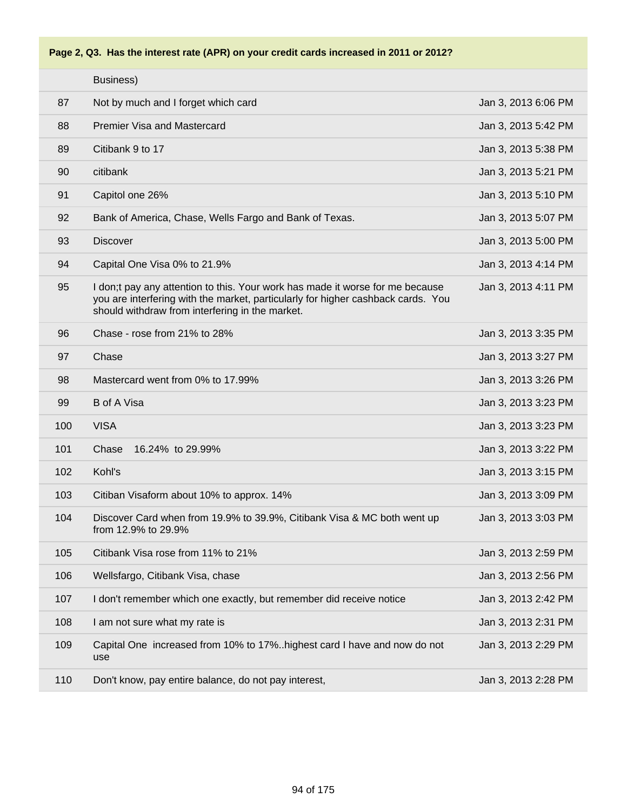

|     | Business)                                                                                                                                                                                                            |                     |
|-----|----------------------------------------------------------------------------------------------------------------------------------------------------------------------------------------------------------------------|---------------------|
| 87  | Not by much and I forget which card                                                                                                                                                                                  | Jan 3, 2013 6:06 PM |
| 88  | <b>Premier Visa and Mastercard</b>                                                                                                                                                                                   | Jan 3, 2013 5:42 PM |
| 89  | Citibank 9 to 17                                                                                                                                                                                                     | Jan 3, 2013 5:38 PM |
| 90  | citibank                                                                                                                                                                                                             | Jan 3, 2013 5:21 PM |
| 91  | Capitol one 26%                                                                                                                                                                                                      | Jan 3, 2013 5:10 PM |
| 92  | Bank of America, Chase, Wells Fargo and Bank of Texas.                                                                                                                                                               | Jan 3, 2013 5:07 PM |
| 93  | <b>Discover</b>                                                                                                                                                                                                      | Jan 3, 2013 5:00 PM |
| 94  | Capital One Visa 0% to 21.9%                                                                                                                                                                                         | Jan 3, 2013 4:14 PM |
| 95  | I don;t pay any attention to this. Your work has made it worse for me because<br>you are interfering with the market, particularly for higher cashback cards. You<br>should withdraw from interfering in the market. | Jan 3, 2013 4:11 PM |
| 96  | Chase - rose from 21% to 28%                                                                                                                                                                                         | Jan 3, 2013 3:35 PM |
| 97  | Chase                                                                                                                                                                                                                | Jan 3, 2013 3:27 PM |
| 98  | Mastercard went from 0% to 17.99%                                                                                                                                                                                    | Jan 3, 2013 3:26 PM |
| 99  | <b>B</b> of A Visa                                                                                                                                                                                                   | Jan 3, 2013 3:23 PM |
| 100 | <b>VISA</b>                                                                                                                                                                                                          | Jan 3, 2013 3:23 PM |
| 101 | Chase<br>16.24% to 29.99%                                                                                                                                                                                            | Jan 3, 2013 3:22 PM |
| 102 | Kohl's                                                                                                                                                                                                               | Jan 3, 2013 3:15 PM |
| 103 | Citiban Visaform about 10% to approx. 14%                                                                                                                                                                            | Jan 3, 2013 3:09 PM |
| 104 | Discover Card when from 19.9% to 39.9%, Citibank Visa & MC both went up<br>from 12.9% to 29.9%                                                                                                                       | Jan 3, 2013 3:03 PM |
| 105 | Citibank Visa rose from 11% to 21%                                                                                                                                                                                   | Jan 3, 2013 2:59 PM |
| 106 | Wellsfargo, Citibank Visa, chase                                                                                                                                                                                     | Jan 3, 2013 2:56 PM |
| 107 | I don't remember which one exactly, but remember did receive notice                                                                                                                                                  | Jan 3, 2013 2:42 PM |
| 108 | I am not sure what my rate is                                                                                                                                                                                        | Jan 3, 2013 2:31 PM |
| 109 | Capital One increased from 10% to 17%highest card I have and now do not<br>use                                                                                                                                       | Jan 3, 2013 2:29 PM |
| 110 | Don't know, pay entire balance, do not pay interest,                                                                                                                                                                 | Jan 3, 2013 2:28 PM |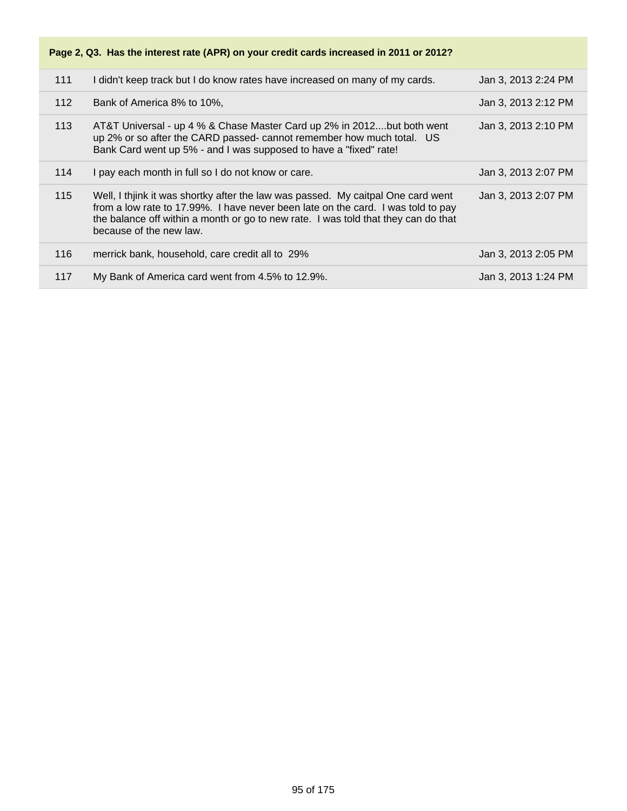| 111 | I didn't keep track but I do know rates have increased on many of my cards.                                                                                                                                                                                                           | Jan 3, 2013 2:24 PM |
|-----|---------------------------------------------------------------------------------------------------------------------------------------------------------------------------------------------------------------------------------------------------------------------------------------|---------------------|
| 112 | Bank of America 8% to 10%,                                                                                                                                                                                                                                                            | Jan 3, 2013 2:12 PM |
| 113 | AT&T Universal - up 4 % & Chase Master Card up 2% in 2012but both went<br>up 2% or so after the CARD passed- cannot remember how much total. US<br>Bank Card went up 5% - and I was supposed to have a "fixed" rate!                                                                  | Jan 3, 2013 2:10 PM |
| 114 | I pay each month in full so I do not know or care.                                                                                                                                                                                                                                    | Jan 3, 2013 2:07 PM |
| 115 | Well, I thijnk it was shortky after the law was passed. My caitpal One card went<br>from a low rate to 17.99%. I have never been late on the card. I was told to pay<br>the balance off within a month or go to new rate. I was told that they can do that<br>because of the new law. | Jan 3, 2013 2:07 PM |
| 116 | merrick bank, household, care credit all to 29%                                                                                                                                                                                                                                       | Jan 3, 2013 2:05 PM |
| 117 | My Bank of America card went from 4.5% to 12.9%.                                                                                                                                                                                                                                      | Jan 3, 2013 1:24 PM |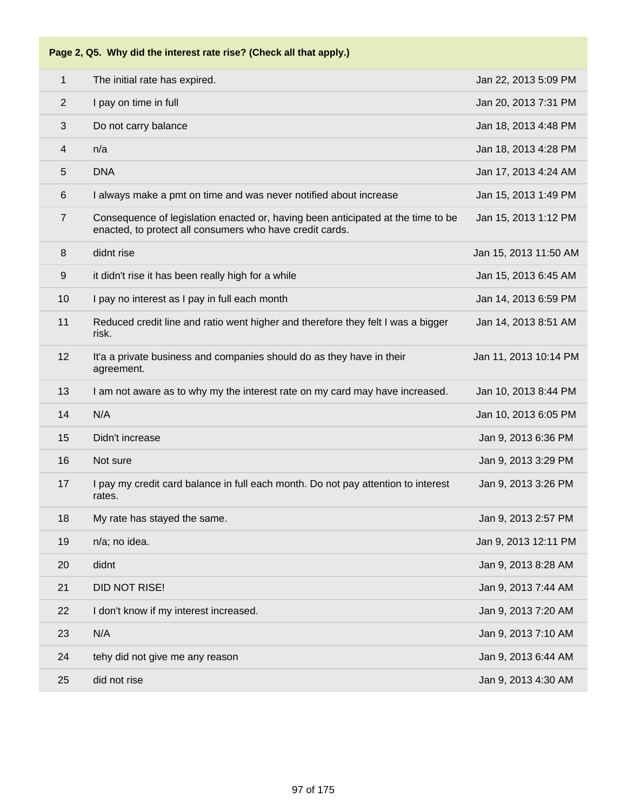|  |  |  | Page 2, Q5. Why did the interest rate rise? (Check all that apply.) |
|--|--|--|---------------------------------------------------------------------|
|--|--|--|---------------------------------------------------------------------|

| $\mathbf{1}$            | The initial rate has expired.                                                                                                                | Jan 22, 2013 5:09 PM  |
|-------------------------|----------------------------------------------------------------------------------------------------------------------------------------------|-----------------------|
| $\overline{2}$          | I pay on time in full                                                                                                                        | Jan 20, 2013 7:31 PM  |
| 3                       | Do not carry balance                                                                                                                         | Jan 18, 2013 4:48 PM  |
| $\overline{\mathbf{4}}$ | n/a                                                                                                                                          | Jan 18, 2013 4:28 PM  |
| 5                       | <b>DNA</b>                                                                                                                                   | Jan 17, 2013 4:24 AM  |
| 6                       | I always make a pmt on time and was never notified about increase                                                                            | Jan 15, 2013 1:49 PM  |
| $\overline{7}$          | Consequence of legislation enacted or, having been anticipated at the time to be<br>enacted, to protect all consumers who have credit cards. | Jan 15, 2013 1:12 PM  |
| 8                       | didnt rise                                                                                                                                   | Jan 15, 2013 11:50 AM |
| 9                       | it didn't rise it has been really high for a while                                                                                           | Jan 15, 2013 6:45 AM  |
| 10                      | I pay no interest as I pay in full each month                                                                                                | Jan 14, 2013 6:59 PM  |
| 11                      | Reduced credit line and ratio went higher and therefore they felt I was a bigger<br>risk.                                                    | Jan 14, 2013 8:51 AM  |
| 12                      | It'a a private business and companies should do as they have in their<br>agreement.                                                          | Jan 11, 2013 10:14 PM |
| 13                      | I am not aware as to why my the interest rate on my card may have increased.                                                                 | Jan 10, 2013 8:44 PM  |
| 14                      | N/A                                                                                                                                          | Jan 10, 2013 6:05 PM  |
| 15                      | Didn't increase                                                                                                                              | Jan 9, 2013 6:36 PM   |
| 16                      | Not sure                                                                                                                                     | Jan 9, 2013 3:29 PM   |
| 17                      | I pay my credit card balance in full each month. Do not pay attention to interest<br>rates.                                                  | Jan 9, 2013 3:26 PM   |
| 18                      | My rate has stayed the same.                                                                                                                 | Jan 9, 2013 2:57 PM   |
| 19                      | n/a; no idea.                                                                                                                                | Jan 9, 2013 12:11 PM  |
| 20                      | didnt                                                                                                                                        | Jan 9, 2013 8:28 AM   |
| 21                      | <b>DID NOT RISE!</b>                                                                                                                         | Jan 9, 2013 7:44 AM   |
| 22                      | I don't know if my interest increased.                                                                                                       | Jan 9, 2013 7:20 AM   |
| 23                      | N/A                                                                                                                                          | Jan 9, 2013 7:10 AM   |
| 24                      | tehy did not give me any reason                                                                                                              | Jan 9, 2013 6:44 AM   |
| 25                      | did not rise                                                                                                                                 | Jan 9, 2013 4:30 AM   |
|                         |                                                                                                                                              |                       |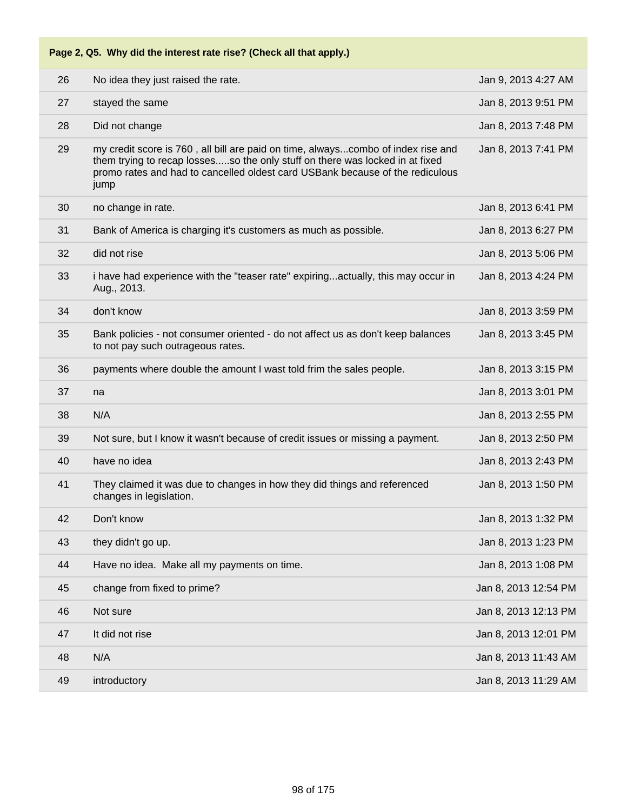| Page 2, Q5. Why did the interest rate rise? (Check all that apply.) |                                                                                                                                                                                                                                                           |                      |  |  |
|---------------------------------------------------------------------|-----------------------------------------------------------------------------------------------------------------------------------------------------------------------------------------------------------------------------------------------------------|----------------------|--|--|
| 26                                                                  | No idea they just raised the rate.                                                                                                                                                                                                                        | Jan 9, 2013 4:27 AM  |  |  |
| 27                                                                  | stayed the same                                                                                                                                                                                                                                           | Jan 8, 2013 9:51 PM  |  |  |
| 28                                                                  | Did not change                                                                                                                                                                                                                                            | Jan 8, 2013 7:48 PM  |  |  |
| 29                                                                  | my credit score is 760, all bill are paid on time, alwayscombo of index rise and<br>them trying to recap lossesso the only stuff on there was locked in at fixed<br>promo rates and had to cancelled oldest card USBank because of the rediculous<br>jump | Jan 8, 2013 7:41 PM  |  |  |
| 30                                                                  | no change in rate.                                                                                                                                                                                                                                        | Jan 8, 2013 6:41 PM  |  |  |
| 31                                                                  | Bank of America is charging it's customers as much as possible.                                                                                                                                                                                           | Jan 8, 2013 6:27 PM  |  |  |
| 32                                                                  | did not rise                                                                                                                                                                                                                                              | Jan 8, 2013 5:06 PM  |  |  |
| 33                                                                  | i have had experience with the "teaser rate" expiringactually, this may occur in<br>Aug., 2013.                                                                                                                                                           | Jan 8, 2013 4:24 PM  |  |  |
| 34                                                                  | don't know                                                                                                                                                                                                                                                | Jan 8, 2013 3:59 PM  |  |  |
| 35                                                                  | Bank policies - not consumer oriented - do not affect us as don't keep balances<br>to not pay such outrageous rates.                                                                                                                                      | Jan 8, 2013 3:45 PM  |  |  |
| 36                                                                  | payments where double the amount I wast told frim the sales people.                                                                                                                                                                                       | Jan 8, 2013 3:15 PM  |  |  |
| 37                                                                  | na                                                                                                                                                                                                                                                        | Jan 8, 2013 3:01 PM  |  |  |
| 38                                                                  | N/A                                                                                                                                                                                                                                                       | Jan 8, 2013 2:55 PM  |  |  |
| 39                                                                  | Not sure, but I know it wasn't because of credit issues or missing a payment.                                                                                                                                                                             | Jan 8, 2013 2:50 PM  |  |  |
| 40                                                                  | have no idea                                                                                                                                                                                                                                              | Jan 8, 2013 2:43 PM  |  |  |
| 41                                                                  | They claimed it was due to changes in how they did things and referenced<br>changes in legislation.                                                                                                                                                       | Jan 8, 2013 1:50 PM  |  |  |
| 42                                                                  | Don't know                                                                                                                                                                                                                                                | Jan 8, 2013 1:32 PM  |  |  |
| 43                                                                  | they didn't go up.                                                                                                                                                                                                                                        | Jan 8, 2013 1:23 PM  |  |  |
| 44                                                                  | Have no idea. Make all my payments on time.                                                                                                                                                                                                               | Jan 8, 2013 1:08 PM  |  |  |
| 45                                                                  | change from fixed to prime?                                                                                                                                                                                                                               | Jan 8, 2013 12:54 PM |  |  |
| 46                                                                  | Not sure                                                                                                                                                                                                                                                  | Jan 8, 2013 12:13 PM |  |  |
| 47                                                                  | It did not rise                                                                                                                                                                                                                                           | Jan 8, 2013 12:01 PM |  |  |
| 48                                                                  | N/A                                                                                                                                                                                                                                                       | Jan 8, 2013 11:43 AM |  |  |
| 49                                                                  | introductory                                                                                                                                                                                                                                              | Jan 8, 2013 11:29 AM |  |  |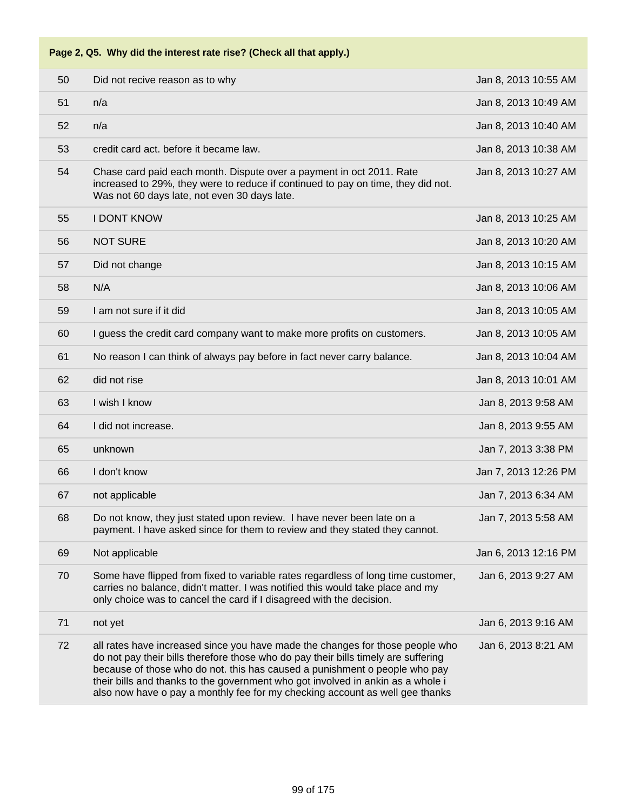|  | Page 2, Q5. Why did the interest rate rise? (Check all that apply.) |  |
|--|---------------------------------------------------------------------|--|
|--|---------------------------------------------------------------------|--|

| 50 | Did not recive reason as to why                                                                                                                                                                                                                                                                                                                                                                                      | Jan 8, 2013 10:55 AM |
|----|----------------------------------------------------------------------------------------------------------------------------------------------------------------------------------------------------------------------------------------------------------------------------------------------------------------------------------------------------------------------------------------------------------------------|----------------------|
| 51 | n/a                                                                                                                                                                                                                                                                                                                                                                                                                  | Jan 8, 2013 10:49 AM |
| 52 | n/a                                                                                                                                                                                                                                                                                                                                                                                                                  | Jan 8, 2013 10:40 AM |
| 53 | credit card act. before it became law.                                                                                                                                                                                                                                                                                                                                                                               | Jan 8, 2013 10:38 AM |
| 54 | Chase card paid each month. Dispute over a payment in oct 2011. Rate<br>increased to 29%, they were to reduce if continued to pay on time, they did not.<br>Was not 60 days late, not even 30 days late.                                                                                                                                                                                                             | Jan 8, 2013 10:27 AM |
| 55 | <b>I DONT KNOW</b>                                                                                                                                                                                                                                                                                                                                                                                                   | Jan 8, 2013 10:25 AM |
| 56 | <b>NOT SURE</b>                                                                                                                                                                                                                                                                                                                                                                                                      | Jan 8, 2013 10:20 AM |
| 57 | Did not change                                                                                                                                                                                                                                                                                                                                                                                                       | Jan 8, 2013 10:15 AM |
| 58 | N/A                                                                                                                                                                                                                                                                                                                                                                                                                  | Jan 8, 2013 10:06 AM |
| 59 | I am not sure if it did                                                                                                                                                                                                                                                                                                                                                                                              | Jan 8, 2013 10:05 AM |
| 60 | I guess the credit card company want to make more profits on customers.                                                                                                                                                                                                                                                                                                                                              | Jan 8, 2013 10:05 AM |
| 61 | No reason I can think of always pay before in fact never carry balance.                                                                                                                                                                                                                                                                                                                                              | Jan 8, 2013 10:04 AM |
| 62 | did not rise                                                                                                                                                                                                                                                                                                                                                                                                         | Jan 8, 2013 10:01 AM |
| 63 | I wish I know                                                                                                                                                                                                                                                                                                                                                                                                        | Jan 8, 2013 9:58 AM  |
| 64 | I did not increase.                                                                                                                                                                                                                                                                                                                                                                                                  | Jan 8, 2013 9:55 AM  |
| 65 | unknown                                                                                                                                                                                                                                                                                                                                                                                                              | Jan 7, 2013 3:38 PM  |
| 66 | I don't know                                                                                                                                                                                                                                                                                                                                                                                                         | Jan 7, 2013 12:26 PM |
| 67 | not applicable                                                                                                                                                                                                                                                                                                                                                                                                       | Jan 7, 2013 6:34 AM  |
| 68 | Do not know, they just stated upon review. I have never been late on a<br>payment. I have asked since for them to review and they stated they cannot.                                                                                                                                                                                                                                                                | Jan 7, 2013 5:58 AM  |
| 69 | Not applicable                                                                                                                                                                                                                                                                                                                                                                                                       | Jan 6, 2013 12:16 PM |
| 70 | Some have flipped from fixed to variable rates regardless of long time customer,<br>carries no balance, didn't matter. I was notified this would take place and my<br>only choice was to cancel the card if I disagreed with the decision.                                                                                                                                                                           | Jan 6, 2013 9:27 AM  |
| 71 | not yet                                                                                                                                                                                                                                                                                                                                                                                                              | Jan 6, 2013 9:16 AM  |
| 72 | all rates have increased since you have made the changes for those people who<br>do not pay their bills therefore those who do pay their bills timely are suffering<br>because of those who do not. this has caused a punishment o people who pay<br>their bills and thanks to the government who got involved in ankin as a whole i<br>also now have o pay a monthly fee for my checking account as well gee thanks | Jan 6, 2013 8:21 AM  |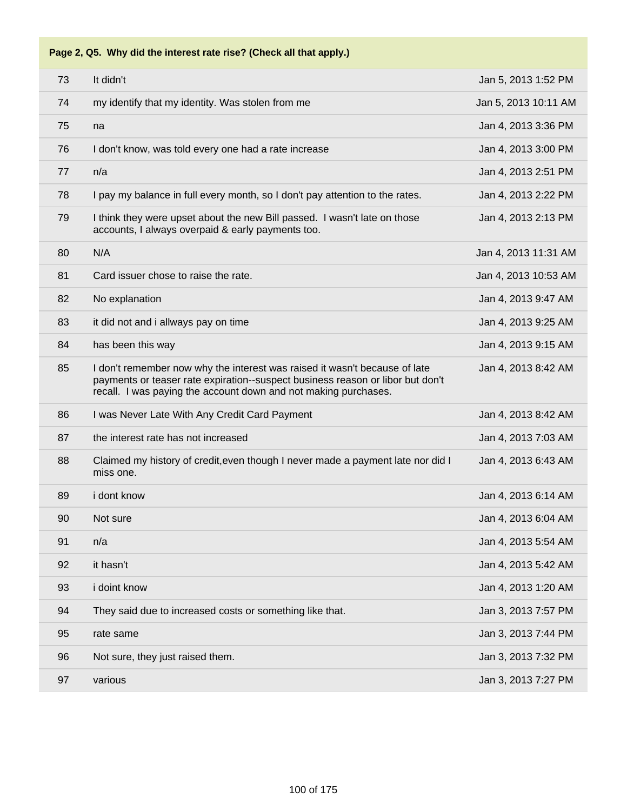**Page 2, Q5. Why did the interest rate rise? (Check all that apply.)**

| 73 | It didn't                                                                                                                                                                                                                       | Jan 5, 2013 1:52 PM  |
|----|---------------------------------------------------------------------------------------------------------------------------------------------------------------------------------------------------------------------------------|----------------------|
| 74 | my identify that my identity. Was stolen from me                                                                                                                                                                                | Jan 5, 2013 10:11 AM |
| 75 | na                                                                                                                                                                                                                              | Jan 4, 2013 3:36 PM  |
| 76 | I don't know, was told every one had a rate increase                                                                                                                                                                            | Jan 4, 2013 3:00 PM  |
| 77 | n/a                                                                                                                                                                                                                             | Jan 4, 2013 2:51 PM  |
| 78 | I pay my balance in full every month, so I don't pay attention to the rates.                                                                                                                                                    | Jan 4, 2013 2:22 PM  |
| 79 | I think they were upset about the new Bill passed. I wasn't late on those<br>accounts, I always overpaid & early payments too.                                                                                                  | Jan 4, 2013 2:13 PM  |
| 80 | N/A                                                                                                                                                                                                                             | Jan 4, 2013 11:31 AM |
| 81 | Card issuer chose to raise the rate.                                                                                                                                                                                            | Jan 4, 2013 10:53 AM |
| 82 | No explanation                                                                                                                                                                                                                  | Jan 4, 2013 9:47 AM  |
| 83 | it did not and i allways pay on time                                                                                                                                                                                            | Jan 4, 2013 9:25 AM  |
| 84 | has been this way                                                                                                                                                                                                               | Jan 4, 2013 9:15 AM  |
| 85 | I don't remember now why the interest was raised it wasn't because of late<br>payments or teaser rate expiration--suspect business reason or libor but don't<br>recall. I was paying the account down and not making purchases. | Jan 4, 2013 8:42 AM  |
| 86 | I was Never Late With Any Credit Card Payment                                                                                                                                                                                   | Jan 4, 2013 8:42 AM  |
| 87 | the interest rate has not increased                                                                                                                                                                                             | Jan 4, 2013 7:03 AM  |
| 88 | Claimed my history of credit, even though I never made a payment late nor did I<br>miss one.                                                                                                                                    | Jan 4, 2013 6:43 AM  |
| 89 | i dont know                                                                                                                                                                                                                     | Jan 4, 2013 6:14 AM  |
| 90 | Not sure                                                                                                                                                                                                                        | Jan 4, 2013 6:04 AM  |
| 91 | n/a                                                                                                                                                                                                                             | Jan 4, 2013 5:54 AM  |
| 92 | it hasn't                                                                                                                                                                                                                       | Jan 4, 2013 5:42 AM  |
| 93 | i doint know                                                                                                                                                                                                                    | Jan 4, 2013 1:20 AM  |
| 94 | They said due to increased costs or something like that.                                                                                                                                                                        | Jan 3, 2013 7:57 PM  |
| 95 | rate same                                                                                                                                                                                                                       | Jan 3, 2013 7:44 PM  |
| 96 | Not sure, they just raised them.                                                                                                                                                                                                | Jan 3, 2013 7:32 PM  |
| 97 | various                                                                                                                                                                                                                         | Jan 3, 2013 7:27 PM  |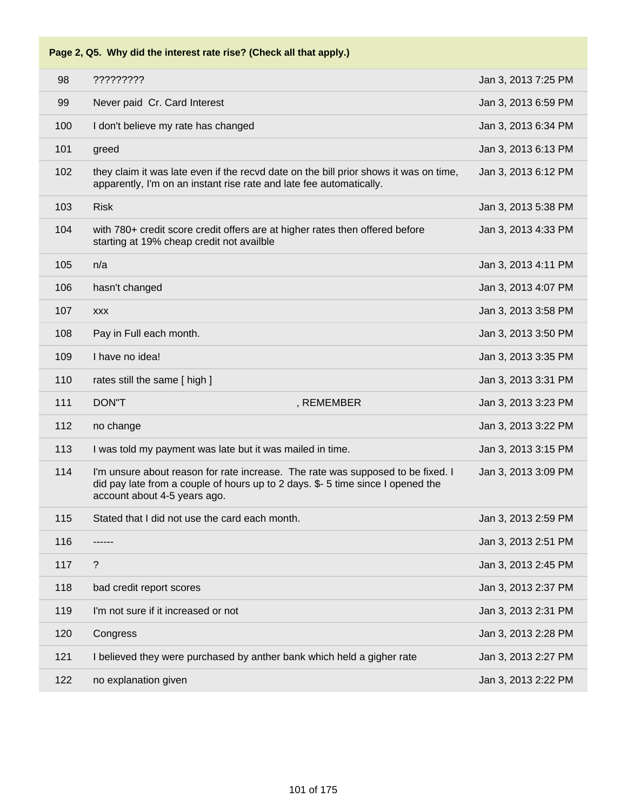**Page 2, Q5. Why did the interest rate rise? (Check all that apply.)**

| 98<br>?????????<br>99<br>Never paid Cr. Card Interest<br>100<br>I don't believe my rate has changed<br>101<br>greed<br>102<br>they claim it was late even if the recvd date on the bill prior shows it was on time,<br>apparently, I'm on an instant rise rate and late fee automatically.<br><b>Risk</b><br>103<br>104<br>with 780+ credit score credit offers are at higher rates then offered before<br>starting at 19% cheap credit not availble<br>105<br>n/a<br>106<br>hasn't changed<br>107<br><b>XXX</b><br>108<br>Pay in Full each month.<br>I have no idea!<br>109<br>110<br>rates still the same [ high ]<br>111<br>DON"T<br>, REMEMBER<br>112<br>no change<br>113<br>I was told my payment was late but it was mailed in time.<br>114<br>I'm unsure about reason for rate increase. The rate was supposed to be fixed. I<br>did pay late from a couple of hours up to 2 days. \$-5 time since I opened the<br>account about 4-5 years ago.<br>115<br>Stated that I did not use the card each month.<br>116<br>117<br>? |     |                                                                        |                     |
|------------------------------------------------------------------------------------------------------------------------------------------------------------------------------------------------------------------------------------------------------------------------------------------------------------------------------------------------------------------------------------------------------------------------------------------------------------------------------------------------------------------------------------------------------------------------------------------------------------------------------------------------------------------------------------------------------------------------------------------------------------------------------------------------------------------------------------------------------------------------------------------------------------------------------------------------------------------------------------------------------------------------------------|-----|------------------------------------------------------------------------|---------------------|
|                                                                                                                                                                                                                                                                                                                                                                                                                                                                                                                                                                                                                                                                                                                                                                                                                                                                                                                                                                                                                                    |     |                                                                        | Jan 3, 2013 7:25 PM |
|                                                                                                                                                                                                                                                                                                                                                                                                                                                                                                                                                                                                                                                                                                                                                                                                                                                                                                                                                                                                                                    |     |                                                                        | Jan 3, 2013 6:59 PM |
|                                                                                                                                                                                                                                                                                                                                                                                                                                                                                                                                                                                                                                                                                                                                                                                                                                                                                                                                                                                                                                    |     |                                                                        | Jan 3, 2013 6:34 PM |
|                                                                                                                                                                                                                                                                                                                                                                                                                                                                                                                                                                                                                                                                                                                                                                                                                                                                                                                                                                                                                                    |     |                                                                        | Jan 3, 2013 6:13 PM |
|                                                                                                                                                                                                                                                                                                                                                                                                                                                                                                                                                                                                                                                                                                                                                                                                                                                                                                                                                                                                                                    |     |                                                                        | Jan 3, 2013 6:12 PM |
|                                                                                                                                                                                                                                                                                                                                                                                                                                                                                                                                                                                                                                                                                                                                                                                                                                                                                                                                                                                                                                    |     |                                                                        | Jan 3, 2013 5:38 PM |
|                                                                                                                                                                                                                                                                                                                                                                                                                                                                                                                                                                                                                                                                                                                                                                                                                                                                                                                                                                                                                                    |     |                                                                        | Jan 3, 2013 4:33 PM |
|                                                                                                                                                                                                                                                                                                                                                                                                                                                                                                                                                                                                                                                                                                                                                                                                                                                                                                                                                                                                                                    |     |                                                                        | Jan 3, 2013 4:11 PM |
|                                                                                                                                                                                                                                                                                                                                                                                                                                                                                                                                                                                                                                                                                                                                                                                                                                                                                                                                                                                                                                    |     |                                                                        | Jan 3, 2013 4:07 PM |
|                                                                                                                                                                                                                                                                                                                                                                                                                                                                                                                                                                                                                                                                                                                                                                                                                                                                                                                                                                                                                                    |     |                                                                        | Jan 3, 2013 3:58 PM |
|                                                                                                                                                                                                                                                                                                                                                                                                                                                                                                                                                                                                                                                                                                                                                                                                                                                                                                                                                                                                                                    |     |                                                                        | Jan 3, 2013 3:50 PM |
|                                                                                                                                                                                                                                                                                                                                                                                                                                                                                                                                                                                                                                                                                                                                                                                                                                                                                                                                                                                                                                    |     |                                                                        | Jan 3, 2013 3:35 PM |
|                                                                                                                                                                                                                                                                                                                                                                                                                                                                                                                                                                                                                                                                                                                                                                                                                                                                                                                                                                                                                                    |     |                                                                        | Jan 3, 2013 3:31 PM |
|                                                                                                                                                                                                                                                                                                                                                                                                                                                                                                                                                                                                                                                                                                                                                                                                                                                                                                                                                                                                                                    |     |                                                                        | Jan 3, 2013 3:23 PM |
|                                                                                                                                                                                                                                                                                                                                                                                                                                                                                                                                                                                                                                                                                                                                                                                                                                                                                                                                                                                                                                    |     |                                                                        | Jan 3, 2013 3:22 PM |
|                                                                                                                                                                                                                                                                                                                                                                                                                                                                                                                                                                                                                                                                                                                                                                                                                                                                                                                                                                                                                                    |     |                                                                        | Jan 3, 2013 3:15 PM |
|                                                                                                                                                                                                                                                                                                                                                                                                                                                                                                                                                                                                                                                                                                                                                                                                                                                                                                                                                                                                                                    |     |                                                                        | Jan 3, 2013 3:09 PM |
|                                                                                                                                                                                                                                                                                                                                                                                                                                                                                                                                                                                                                                                                                                                                                                                                                                                                                                                                                                                                                                    |     |                                                                        | Jan 3, 2013 2:59 PM |
|                                                                                                                                                                                                                                                                                                                                                                                                                                                                                                                                                                                                                                                                                                                                                                                                                                                                                                                                                                                                                                    |     |                                                                        | Jan 3, 2013 2:51 PM |
|                                                                                                                                                                                                                                                                                                                                                                                                                                                                                                                                                                                                                                                                                                                                                                                                                                                                                                                                                                                                                                    |     |                                                                        | Jan 3, 2013 2:45 PM |
|                                                                                                                                                                                                                                                                                                                                                                                                                                                                                                                                                                                                                                                                                                                                                                                                                                                                                                                                                                                                                                    | 118 | bad credit report scores                                               | Jan 3, 2013 2:37 PM |
| 119<br>I'm not sure if it increased or not                                                                                                                                                                                                                                                                                                                                                                                                                                                                                                                                                                                                                                                                                                                                                                                                                                                                                                                                                                                         |     |                                                                        | Jan 3, 2013 2:31 PM |
| 120<br>Congress                                                                                                                                                                                                                                                                                                                                                                                                                                                                                                                                                                                                                                                                                                                                                                                                                                                                                                                                                                                                                    |     |                                                                        | Jan 3, 2013 2:28 PM |
|                                                                                                                                                                                                                                                                                                                                                                                                                                                                                                                                                                                                                                                                                                                                                                                                                                                                                                                                                                                                                                    | 121 | I believed they were purchased by anther bank which held a gigher rate | Jan 3, 2013 2:27 PM |
|                                                                                                                                                                                                                                                                                                                                                                                                                                                                                                                                                                                                                                                                                                                                                                                                                                                                                                                                                                                                                                    | 122 | no explanation given                                                   | Jan 3, 2013 2:22 PM |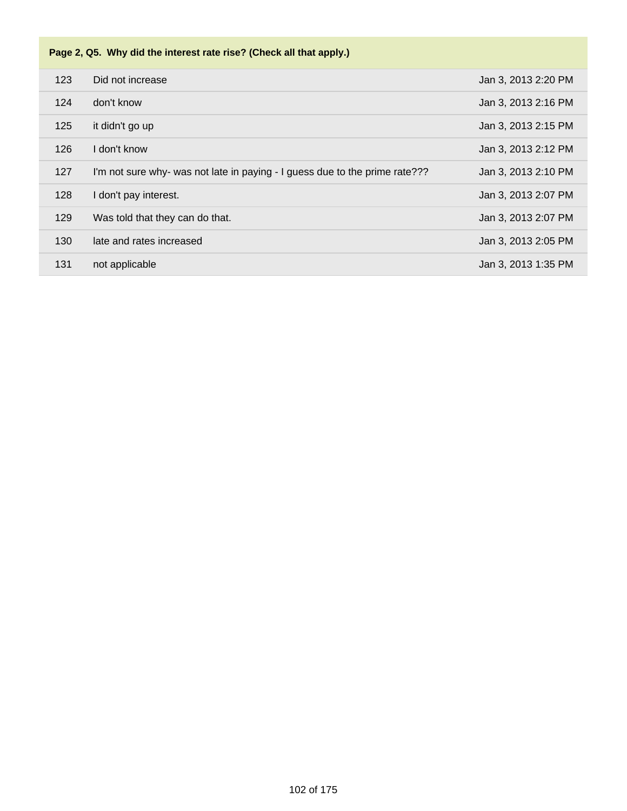|     | Page 2, Q5. Why did the interest rate rise? (Check all that apply.)         |                     |  |  |
|-----|-----------------------------------------------------------------------------|---------------------|--|--|
| 123 | Did not increase                                                            | Jan 3, 2013 2:20 PM |  |  |
| 124 | don't know                                                                  | Jan 3, 2013 2:16 PM |  |  |
| 125 | it didn't go up                                                             | Jan 3, 2013 2:15 PM |  |  |
| 126 | I don't know                                                                | Jan 3, 2013 2:12 PM |  |  |
| 127 | I'm not sure why- was not late in paying - I guess due to the prime rate??? | Jan 3, 2013 2:10 PM |  |  |
| 128 | I don't pay interest.                                                       | Jan 3, 2013 2:07 PM |  |  |
| 129 | Was told that they can do that.                                             | Jan 3, 2013 2:07 PM |  |  |
| 130 | late and rates increased                                                    | Jan 3, 2013 2:05 PM |  |  |
| 131 | not applicable                                                              | Jan 3, 2013 1:35 PM |  |  |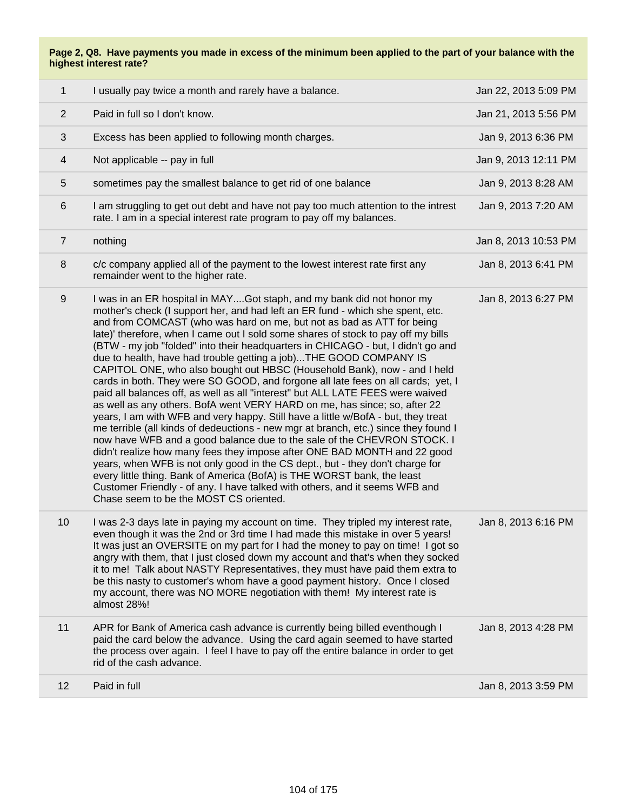| 1              | I usually pay twice a month and rarely have a balance.                                                                                                                                                                                                                                                                                                                                                                                                                                                                                                                                                                                                                                                                                                                                                                                                                                                                                                                                                                                                                                                                                                                                                                                                                                                                                                                                                                                | Jan 22, 2013 5:09 PM |
|----------------|---------------------------------------------------------------------------------------------------------------------------------------------------------------------------------------------------------------------------------------------------------------------------------------------------------------------------------------------------------------------------------------------------------------------------------------------------------------------------------------------------------------------------------------------------------------------------------------------------------------------------------------------------------------------------------------------------------------------------------------------------------------------------------------------------------------------------------------------------------------------------------------------------------------------------------------------------------------------------------------------------------------------------------------------------------------------------------------------------------------------------------------------------------------------------------------------------------------------------------------------------------------------------------------------------------------------------------------------------------------------------------------------------------------------------------------|----------------------|
| $\overline{2}$ | Paid in full so I don't know.                                                                                                                                                                                                                                                                                                                                                                                                                                                                                                                                                                                                                                                                                                                                                                                                                                                                                                                                                                                                                                                                                                                                                                                                                                                                                                                                                                                                         | Jan 21, 2013 5:56 PM |
| 3              | Excess has been applied to following month charges.                                                                                                                                                                                                                                                                                                                                                                                                                                                                                                                                                                                                                                                                                                                                                                                                                                                                                                                                                                                                                                                                                                                                                                                                                                                                                                                                                                                   | Jan 9, 2013 6:36 PM  |
| $\overline{4}$ | Not applicable -- pay in full                                                                                                                                                                                                                                                                                                                                                                                                                                                                                                                                                                                                                                                                                                                                                                                                                                                                                                                                                                                                                                                                                                                                                                                                                                                                                                                                                                                                         | Jan 9, 2013 12:11 PM |
| $5\,$          | sometimes pay the smallest balance to get rid of one balance                                                                                                                                                                                                                                                                                                                                                                                                                                                                                                                                                                                                                                                                                                                                                                                                                                                                                                                                                                                                                                                                                                                                                                                                                                                                                                                                                                          | Jan 9, 2013 8:28 AM  |
| 6              | I am struggling to get out debt and have not pay too much attention to the intrest<br>rate. I am in a special interest rate program to pay off my balances.                                                                                                                                                                                                                                                                                                                                                                                                                                                                                                                                                                                                                                                                                                                                                                                                                                                                                                                                                                                                                                                                                                                                                                                                                                                                           | Jan 9, 2013 7:20 AM  |
| $\overline{7}$ | nothing                                                                                                                                                                                                                                                                                                                                                                                                                                                                                                                                                                                                                                                                                                                                                                                                                                                                                                                                                                                                                                                                                                                                                                                                                                                                                                                                                                                                                               | Jan 8, 2013 10:53 PM |
| 8              | c/c company applied all of the payment to the lowest interest rate first any<br>remainder went to the higher rate.                                                                                                                                                                                                                                                                                                                                                                                                                                                                                                                                                                                                                                                                                                                                                                                                                                                                                                                                                                                                                                                                                                                                                                                                                                                                                                                    | Jan 8, 2013 6:41 PM  |
| 9              | I was in an ER hospital in MAYGot staph, and my bank did not honor my<br>mother's check (I support her, and had left an ER fund - which she spent, etc.<br>and from COMCAST (who was hard on me, but not as bad as ATT for being<br>late)' therefore, when I came out I sold some shares of stock to pay off my bills<br>(BTW - my job "folded" into their headquarters in CHICAGO - but, I didn't go and<br>due to health, have had trouble getting a job)THE GOOD COMPANY IS<br>CAPITOL ONE, who also bought out HBSC (Household Bank), now - and I held<br>cards in both. They were SO GOOD, and forgone all late fees on all cards; yet, I<br>paid all balances off, as well as all "interest" but ALL LATE FEES were waived<br>as well as any others. BofA went VERY HARD on me, has since; so, after 22<br>years, I am with WFB and very happy. Still have a little w/BofA - but, they treat<br>me terrible (all kinds of dedeuctions - new mgr at branch, etc.) since they found I<br>now have WFB and a good balance due to the sale of the CHEVRON STOCK. I<br>didn't realize how many fees they impose after ONE BAD MONTH and 22 good<br>years, when WFB is not only good in the CS dept., but - they don't charge for<br>every little thing. Bank of America (BofA) is THE WORST bank, the least<br>Customer Friendly - of any. I have talked with others, and it seems WFB and<br>Chase seem to be the MOST CS oriented. | Jan 8, 2013 6:27 PM  |
| 10             | I was 2-3 days late in paying my account on time. They tripled my interest rate,<br>even though it was the 2nd or 3rd time I had made this mistake in over 5 years!<br>It was just an OVERSITE on my part for I had the money to pay on time! I got so<br>angry with them, that I just closed down my account and that's when they socked<br>it to me! Talk about NASTY Representatives, they must have paid them extra to<br>be this nasty to customer's whom have a good payment history. Once I closed<br>my account, there was NO MORE negotiation with them! My interest rate is<br>almost 28%!                                                                                                                                                                                                                                                                                                                                                                                                                                                                                                                                                                                                                                                                                                                                                                                                                                  | Jan 8, 2013 6:16 PM  |
| 11             | APR for Bank of America cash advance is currently being billed eventhough I<br>paid the card below the advance. Using the card again seemed to have started<br>the process over again. I feel I have to pay off the entire balance in order to get<br>rid of the cash advance.                                                                                                                                                                                                                                                                                                                                                                                                                                                                                                                                                                                                                                                                                                                                                                                                                                                                                                                                                                                                                                                                                                                                                        | Jan 8, 2013 4:28 PM  |
| 12             | Paid in full                                                                                                                                                                                                                                                                                                                                                                                                                                                                                                                                                                                                                                                                                                                                                                                                                                                                                                                                                                                                                                                                                                                                                                                                                                                                                                                                                                                                                          | Jan 8, 2013 3:59 PM  |
|                |                                                                                                                                                                                                                                                                                                                                                                                                                                                                                                                                                                                                                                                                                                                                                                                                                                                                                                                                                                                                                                                                                                                                                                                                                                                                                                                                                                                                                                       |                      |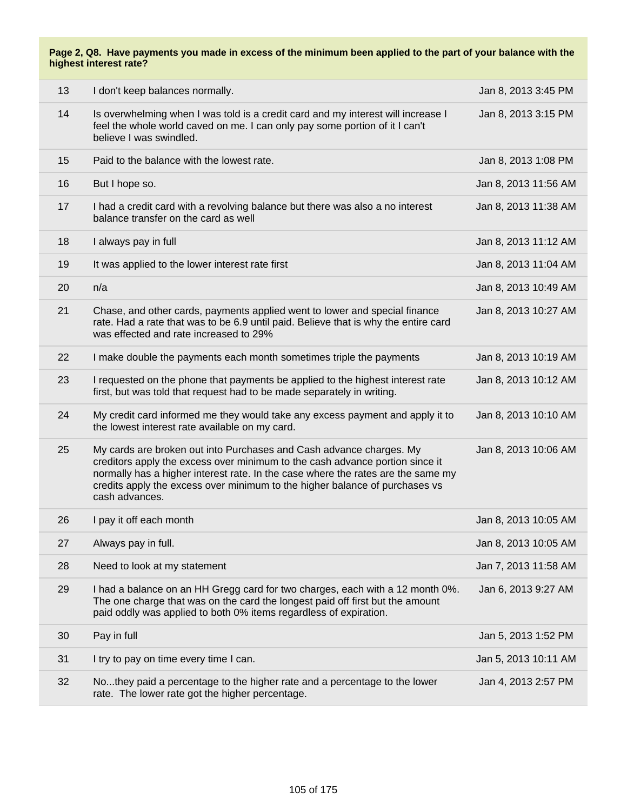| 13 | I don't keep balances normally.                                                                                                                                                                                                                                                                                                          | Jan 8, 2013 3:45 PM  |
|----|------------------------------------------------------------------------------------------------------------------------------------------------------------------------------------------------------------------------------------------------------------------------------------------------------------------------------------------|----------------------|
| 14 | Is overwhelming when I was told is a credit card and my interest will increase I<br>feel the whole world caved on me. I can only pay some portion of it I can't<br>believe I was swindled.                                                                                                                                               | Jan 8, 2013 3:15 PM  |
| 15 | Paid to the balance with the lowest rate.                                                                                                                                                                                                                                                                                                | Jan 8, 2013 1:08 PM  |
| 16 | But I hope so.                                                                                                                                                                                                                                                                                                                           | Jan 8, 2013 11:56 AM |
| 17 | I had a credit card with a revolving balance but there was also a no interest<br>balance transfer on the card as well                                                                                                                                                                                                                    | Jan 8, 2013 11:38 AM |
| 18 | I always pay in full                                                                                                                                                                                                                                                                                                                     | Jan 8, 2013 11:12 AM |
| 19 | It was applied to the lower interest rate first                                                                                                                                                                                                                                                                                          | Jan 8, 2013 11:04 AM |
| 20 | n/a                                                                                                                                                                                                                                                                                                                                      | Jan 8, 2013 10:49 AM |
| 21 | Chase, and other cards, payments applied went to lower and special finance<br>rate. Had a rate that was to be 6.9 until paid. Believe that is why the entire card<br>was effected and rate increased to 29%                                                                                                                              | Jan 8, 2013 10:27 AM |
| 22 | I make double the payments each month sometimes triple the payments                                                                                                                                                                                                                                                                      | Jan 8, 2013 10:19 AM |
| 23 | I requested on the phone that payments be applied to the highest interest rate<br>first, but was told that request had to be made separately in writing.                                                                                                                                                                                 | Jan 8, 2013 10:12 AM |
| 24 | My credit card informed me they would take any excess payment and apply it to<br>the lowest interest rate available on my card.                                                                                                                                                                                                          | Jan 8, 2013 10:10 AM |
| 25 | My cards are broken out into Purchases and Cash advance charges. My<br>creditors apply the excess over minimum to the cash advance portion since it<br>normally has a higher interest rate. In the case where the rates are the same my<br>credits apply the excess over minimum to the higher balance of purchases vs<br>cash advances. | Jan 8, 2013 10:06 AM |
| 26 | I pay it off each month                                                                                                                                                                                                                                                                                                                  | Jan 8, 2013 10:05 AM |
| 27 | Always pay in full.                                                                                                                                                                                                                                                                                                                      | Jan 8, 2013 10:05 AM |
| 28 | Need to look at my statement                                                                                                                                                                                                                                                                                                             | Jan 7, 2013 11:58 AM |
| 29 | I had a balance on an HH Gregg card for two charges, each with a 12 month 0%.<br>The one charge that was on the card the longest paid off first but the amount<br>paid oddly was applied to both 0% items regardless of expiration.                                                                                                      | Jan 6, 2013 9:27 AM  |
| 30 | Pay in full                                                                                                                                                                                                                                                                                                                              | Jan 5, 2013 1:52 PM  |
| 31 | I try to pay on time every time I can.                                                                                                                                                                                                                                                                                                   | Jan 5, 2013 10:11 AM |
| 32 | Nothey paid a percentage to the higher rate and a percentage to the lower<br>rate. The lower rate got the higher percentage.                                                                                                                                                                                                             | Jan 4, 2013 2:57 PM  |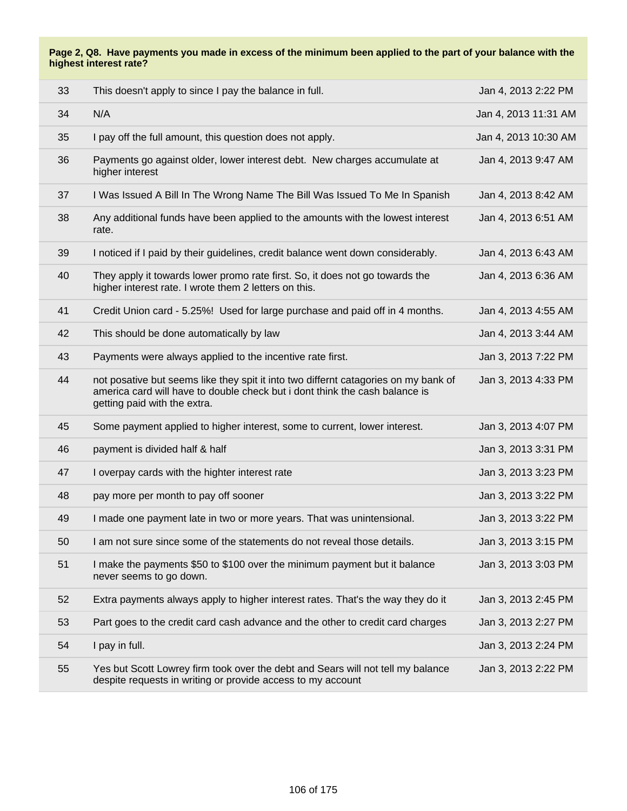| 33 | This doesn't apply to since I pay the balance in full.                                                                                                                                             | Jan 4, 2013 2:22 PM  |
|----|----------------------------------------------------------------------------------------------------------------------------------------------------------------------------------------------------|----------------------|
| 34 | N/A                                                                                                                                                                                                | Jan 4, 2013 11:31 AM |
| 35 | I pay off the full amount, this question does not apply.                                                                                                                                           | Jan 4, 2013 10:30 AM |
| 36 | Payments go against older, lower interest debt. New charges accumulate at<br>higher interest                                                                                                       | Jan 4, 2013 9:47 AM  |
| 37 | I Was Issued A Bill In The Wrong Name The Bill Was Issued To Me In Spanish                                                                                                                         | Jan 4, 2013 8:42 AM  |
| 38 | Any additional funds have been applied to the amounts with the lowest interest<br>rate.                                                                                                            | Jan 4, 2013 6:51 AM  |
| 39 | I noticed if I paid by their guidelines, credit balance went down considerably.                                                                                                                    | Jan 4, 2013 6:43 AM  |
| 40 | They apply it towards lower promo rate first. So, it does not go towards the<br>higher interest rate. I wrote them 2 letters on this.                                                              | Jan 4, 2013 6:36 AM  |
| 41 | Credit Union card - 5.25%! Used for large purchase and paid off in 4 months.                                                                                                                       | Jan 4, 2013 4:55 AM  |
| 42 | This should be done automatically by law                                                                                                                                                           | Jan 4, 2013 3:44 AM  |
| 43 | Payments were always applied to the incentive rate first.                                                                                                                                          | Jan 3, 2013 7:22 PM  |
| 44 | not posative but seems like they spit it into two differnt catagories on my bank of<br>america card will have to double check but i dont think the cash balance is<br>getting paid with the extra. | Jan 3, 2013 4:33 PM  |
| 45 | Some payment applied to higher interest, some to current, lower interest.                                                                                                                          | Jan 3, 2013 4:07 PM  |
| 46 | payment is divided half & half                                                                                                                                                                     | Jan 3, 2013 3:31 PM  |
| 47 | I overpay cards with the highter interest rate                                                                                                                                                     | Jan 3, 2013 3:23 PM  |
| 48 | pay more per month to pay off sooner                                                                                                                                                               | Jan 3, 2013 3:22 PM  |
| 49 | I made one payment late in two or more years. That was unintensional.                                                                                                                              | Jan 3, 2013 3:22 PM  |
| 50 | I am not sure since some of the statements do not reveal those details.                                                                                                                            | Jan 3, 2013 3:15 PM  |
| 51 | I make the payments \$50 to \$100 over the minimum payment but it balance<br>never seems to go down.                                                                                               | Jan 3, 2013 3:03 PM  |
| 52 | Extra payments always apply to higher interest rates. That's the way they do it                                                                                                                    | Jan 3, 2013 2:45 PM  |
| 53 | Part goes to the credit card cash advance and the other to credit card charges                                                                                                                     | Jan 3, 2013 2:27 PM  |
| 54 | I pay in full.                                                                                                                                                                                     | Jan 3, 2013 2:24 PM  |
| 55 | Yes but Scott Lowrey firm took over the debt and Sears will not tell my balance<br>despite requests in writing or provide access to my account                                                     | Jan 3, 2013 2:22 PM  |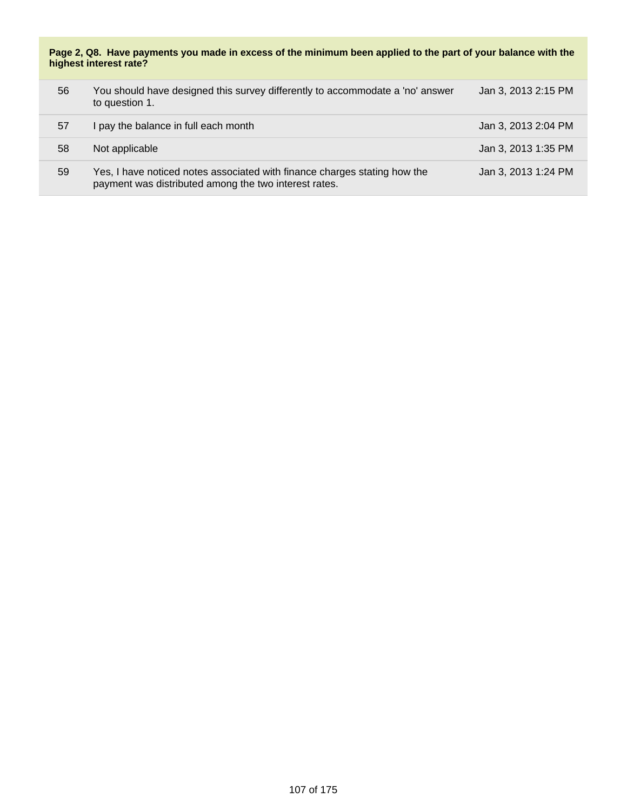| 56 | You should have designed this survey differently to accommodate a 'no' answer<br>to question 1.                                    | Jan 3, 2013 2:15 PM |
|----|------------------------------------------------------------------------------------------------------------------------------------|---------------------|
| 57 | I pay the balance in full each month                                                                                               | Jan 3, 2013 2:04 PM |
| 58 | Not applicable                                                                                                                     | Jan 3, 2013 1:35 PM |
| 59 | Yes, I have noticed notes associated with finance charges stating how the<br>payment was distributed among the two interest rates. | Jan 3, 2013 1:24 PM |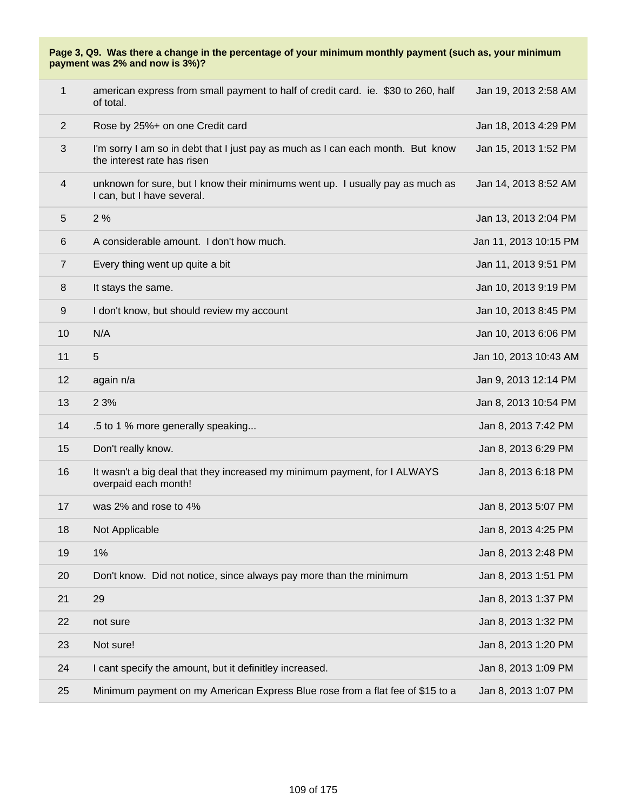| $\mathbf 1$    | american express from small payment to half of credit card. ie. \$30 to 260, half<br>of total.                 | Jan 19, 2013 2:58 AM  |
|----------------|----------------------------------------------------------------------------------------------------------------|-----------------------|
| $\overline{2}$ | Rose by 25%+ on one Credit card                                                                                | Jan 18, 2013 4:29 PM  |
| 3              | I'm sorry I am so in debt that I just pay as much as I can each month. But know<br>the interest rate has risen | Jan 15, 2013 1:52 PM  |
| 4              | unknown for sure, but I know their minimums went up. I usually pay as much as<br>I can, but I have several.    | Jan 14, 2013 8:52 AM  |
| 5              | 2%                                                                                                             | Jan 13, 2013 2:04 PM  |
| 6              | A considerable amount. I don't how much.                                                                       | Jan 11, 2013 10:15 PM |
| $\overline{7}$ | Every thing went up quite a bit                                                                                | Jan 11, 2013 9:51 PM  |
| 8              | It stays the same.                                                                                             | Jan 10, 2013 9:19 PM  |
| 9              | I don't know, but should review my account                                                                     | Jan 10, 2013 8:45 PM  |
| 10             | N/A                                                                                                            | Jan 10, 2013 6:06 PM  |
| 11             | 5                                                                                                              | Jan 10, 2013 10:43 AM |
| 12             | again n/a                                                                                                      | Jan 9, 2013 12:14 PM  |
| 13             | 2 3%                                                                                                           | Jan 8, 2013 10:54 PM  |
| 14             | .5 to 1 % more generally speaking                                                                              | Jan 8, 2013 7:42 PM   |
| 15             | Don't really know.                                                                                             | Jan 8, 2013 6:29 PM   |
| 16             | It wasn't a big deal that they increased my minimum payment, for I ALWAYS<br>overpaid each month!              | Jan 8, 2013 6:18 PM   |
| 17             | was 2% and rose to 4%                                                                                          | Jan 8, 2013 5:07 PM   |
| 18             | Not Applicable                                                                                                 | Jan 8, 2013 4:25 PM   |
| 19             | 1%                                                                                                             | Jan 8, 2013 2:48 PM   |
| 20             | Don't know. Did not notice, since always pay more than the minimum                                             | Jan 8, 2013 1:51 PM   |
| 21             | 29                                                                                                             | Jan 8, 2013 1:37 PM   |
| 22             | not sure                                                                                                       | Jan 8, 2013 1:32 PM   |
| 23             | Not sure!                                                                                                      | Jan 8, 2013 1:20 PM   |
| 24             | I cant specify the amount, but it definitley increased.                                                        | Jan 8, 2013 1:09 PM   |
| 25             | Minimum payment on my American Express Blue rose from a flat fee of \$15 to a                                  | Jan 8, 2013 1:07 PM   |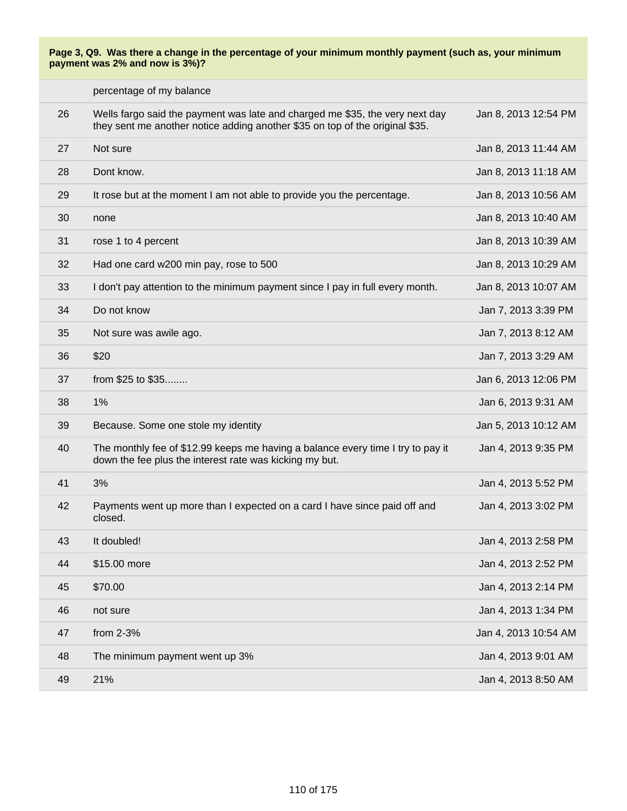|    | percentage of my balance                                                                                                                                     |                      |
|----|--------------------------------------------------------------------------------------------------------------------------------------------------------------|----------------------|
| 26 | Wells fargo said the payment was late and charged me \$35, the very next day<br>they sent me another notice adding another \$35 on top of the original \$35. | Jan 8, 2013 12:54 PM |
| 27 | Not sure                                                                                                                                                     | Jan 8, 2013 11:44 AM |
| 28 | Dont know.                                                                                                                                                   | Jan 8, 2013 11:18 AM |
| 29 | It rose but at the moment I am not able to provide you the percentage.                                                                                       | Jan 8, 2013 10:56 AM |
| 30 | none                                                                                                                                                         | Jan 8, 2013 10:40 AM |
| 31 | rose 1 to 4 percent                                                                                                                                          | Jan 8, 2013 10:39 AM |
| 32 | Had one card w200 min pay, rose to 500                                                                                                                       | Jan 8, 2013 10:29 AM |
| 33 | I don't pay attention to the minimum payment since I pay in full every month.                                                                                | Jan 8, 2013 10:07 AM |
| 34 | Do not know                                                                                                                                                  | Jan 7, 2013 3:39 PM  |
| 35 | Not sure was awile ago.                                                                                                                                      | Jan 7, 2013 8:12 AM  |
| 36 | \$20                                                                                                                                                         | Jan 7, 2013 3:29 AM  |
| 37 | from \$25 to \$35                                                                                                                                            | Jan 6, 2013 12:06 PM |
| 38 | 1%                                                                                                                                                           | Jan 6, 2013 9:31 AM  |
| 39 | Because. Some one stole my identity                                                                                                                          | Jan 5, 2013 10:12 AM |
| 40 | The monthly fee of \$12.99 keeps me having a balance every time I try to pay it<br>down the fee plus the interest rate was kicking my but.                   | Jan 4, 2013 9:35 PM  |
| 41 | 3%                                                                                                                                                           | Jan 4, 2013 5:52 PM  |
| 42 | Payments went up more than I expected on a card I have since paid off and<br>closed.                                                                         | Jan 4, 2013 3:02 PM  |
| 43 | It doubled!                                                                                                                                                  | Jan 4, 2013 2:58 PM  |
| 44 | \$15.00 more                                                                                                                                                 | Jan 4, 2013 2:52 PM  |
| 45 | \$70.00                                                                                                                                                      | Jan 4, 2013 2:14 PM  |
| 46 | not sure                                                                                                                                                     | Jan 4, 2013 1:34 PM  |
| 47 | from 2-3%                                                                                                                                                    | Jan 4, 2013 10:54 AM |
| 48 | The minimum payment went up 3%                                                                                                                               | Jan 4, 2013 9:01 AM  |
| 49 | 21%                                                                                                                                                          | Jan 4, 2013 8:50 AM  |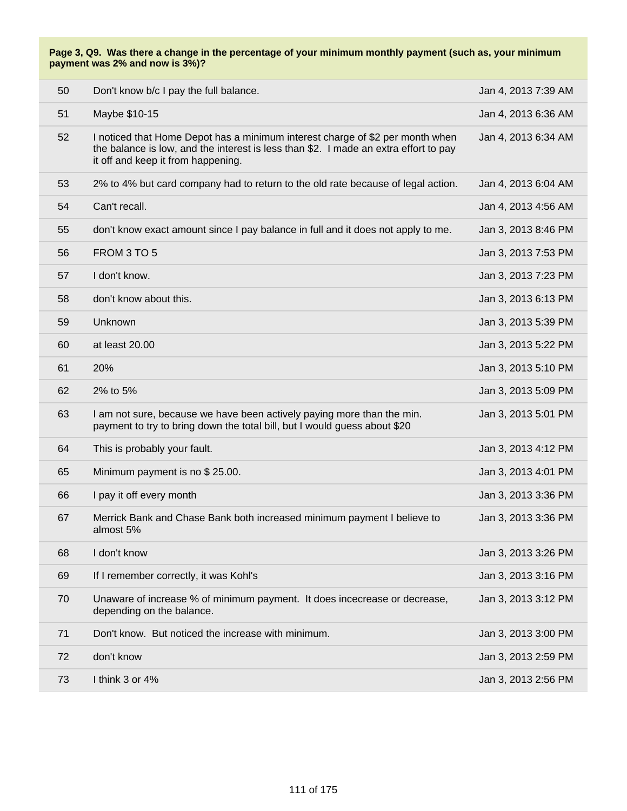| 50 | Don't know b/c I pay the full balance.                                                                                                                                                                      | Jan 4, 2013 7:39 AM |
|----|-------------------------------------------------------------------------------------------------------------------------------------------------------------------------------------------------------------|---------------------|
| 51 | Maybe \$10-15                                                                                                                                                                                               | Jan 4, 2013 6:36 AM |
| 52 | I noticed that Home Depot has a minimum interest charge of \$2 per month when<br>the balance is low, and the interest is less than \$2. I made an extra effort to pay<br>it off and keep it from happening. | Jan 4, 2013 6:34 AM |
| 53 | 2% to 4% but card company had to return to the old rate because of legal action.                                                                                                                            | Jan 4, 2013 6:04 AM |
| 54 | Can't recall.                                                                                                                                                                                               | Jan 4, 2013 4:56 AM |
| 55 | don't know exact amount since I pay balance in full and it does not apply to me.                                                                                                                            | Jan 3, 2013 8:46 PM |
| 56 | FROM 3 TO 5                                                                                                                                                                                                 | Jan 3, 2013 7:53 PM |
| 57 | I don't know.                                                                                                                                                                                               | Jan 3, 2013 7:23 PM |
| 58 | don't know about this.                                                                                                                                                                                      | Jan 3, 2013 6:13 PM |
| 59 | Unknown                                                                                                                                                                                                     | Jan 3, 2013 5:39 PM |
| 60 | at least 20.00                                                                                                                                                                                              | Jan 3, 2013 5:22 PM |
| 61 | 20%                                                                                                                                                                                                         | Jan 3, 2013 5:10 PM |
| 62 | 2% to 5%                                                                                                                                                                                                    | Jan 3, 2013 5:09 PM |
| 63 | I am not sure, because we have been actively paying more than the min.<br>payment to try to bring down the total bill, but I would guess about \$20                                                         | Jan 3, 2013 5:01 PM |
| 64 | This is probably your fault.                                                                                                                                                                                | Jan 3, 2013 4:12 PM |
| 65 | Minimum payment is no \$25.00.                                                                                                                                                                              | Jan 3, 2013 4:01 PM |
| 66 | I pay it off every month                                                                                                                                                                                    | Jan 3, 2013 3:36 PM |
| 67 | Merrick Bank and Chase Bank both increased minimum payment I believe to<br>almost 5%                                                                                                                        | Jan 3, 2013 3:36 PM |
| 68 | I don't know                                                                                                                                                                                                | Jan 3, 2013 3:26 PM |
| 69 | If I remember correctly, it was Kohl's                                                                                                                                                                      | Jan 3, 2013 3:16 PM |
| 70 | Unaware of increase % of minimum payment. It does incecrease or decrease,<br>depending on the balance.                                                                                                      | Jan 3, 2013 3:12 PM |
| 71 | Don't know. But noticed the increase with minimum.                                                                                                                                                          | Jan 3, 2013 3:00 PM |
| 72 | don't know                                                                                                                                                                                                  | Jan 3, 2013 2:59 PM |
| 73 | I think 3 or 4%                                                                                                                                                                                             | Jan 3, 2013 2:56 PM |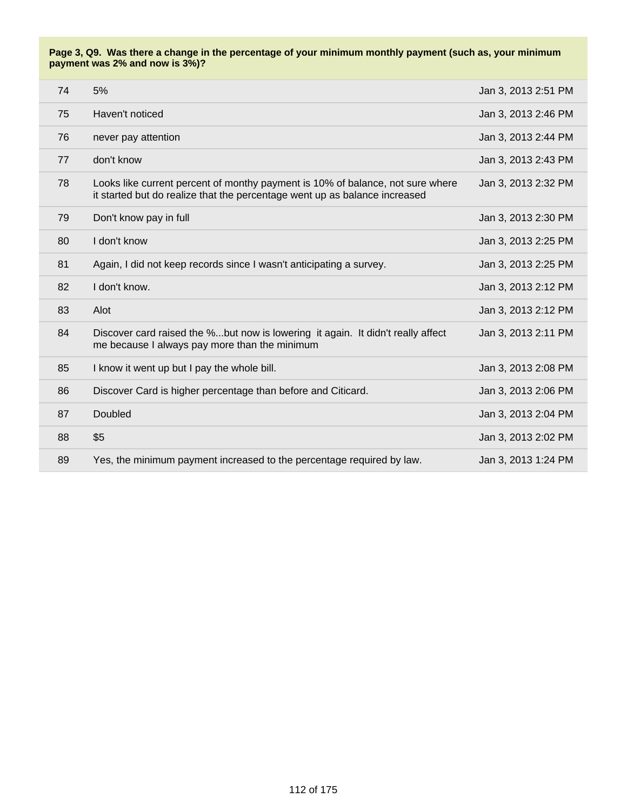|    | 74 | 5%                                                                                                                                                           | Jan 3, 2013 2:51 PM |
|----|----|--------------------------------------------------------------------------------------------------------------------------------------------------------------|---------------------|
|    | 75 | Haven't noticed                                                                                                                                              | Jan 3, 2013 2:46 PM |
| 76 |    | never pay attention                                                                                                                                          | Jan 3, 2013 2:44 PM |
| 77 |    | don't know                                                                                                                                                   | Jan 3, 2013 2:43 PM |
|    | 78 | Looks like current percent of monthy payment is 10% of balance, not sure where<br>it started but do realize that the percentage went up as balance increased | Jan 3, 2013 2:32 PM |
| 79 |    | Don't know pay in full                                                                                                                                       | Jan 3, 2013 2:30 PM |
|    | 80 | I don't know                                                                                                                                                 | Jan 3, 2013 2:25 PM |
| 81 |    | Again, I did not keep records since I wasn't anticipating a survey.                                                                                          | Jan 3, 2013 2:25 PM |
| 82 |    | I don't know.                                                                                                                                                | Jan 3, 2013 2:12 PM |
| 83 |    | Alot                                                                                                                                                         | Jan 3, 2013 2:12 PM |
| 84 |    | Discover card raised the %but now is lowering it again. It didn't really affect<br>me because I always pay more than the minimum                             | Jan 3, 2013 2:11 PM |
| 85 |    | I know it went up but I pay the whole bill.                                                                                                                  | Jan 3, 2013 2:08 PM |
|    | 86 | Discover Card is higher percentage than before and Citicard.                                                                                                 | Jan 3, 2013 2:06 PM |
| 87 |    | Doubled                                                                                                                                                      | Jan 3, 2013 2:04 PM |
|    | 88 | \$5                                                                                                                                                          | Jan 3, 2013 2:02 PM |
| 89 |    | Yes, the minimum payment increased to the percentage required by law.                                                                                        | Jan 3, 2013 1:24 PM |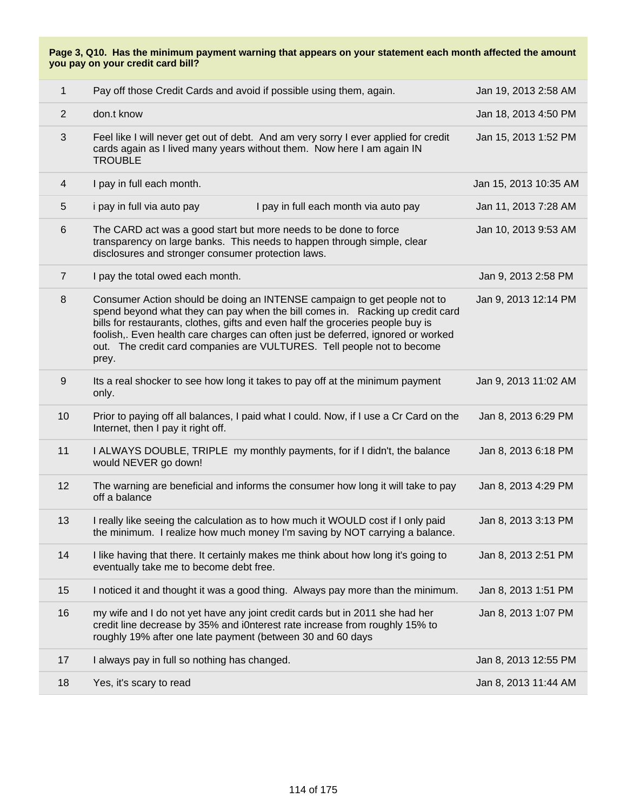| $\mathbf{1}$   | Pay off those Credit Cards and avoid if possible using them, again.                                                                                                                                                                                                                                                                                                                                                 | Jan 19, 2013 2:58 AM  |
|----------------|---------------------------------------------------------------------------------------------------------------------------------------------------------------------------------------------------------------------------------------------------------------------------------------------------------------------------------------------------------------------------------------------------------------------|-----------------------|
| $\overline{2}$ | don.t know                                                                                                                                                                                                                                                                                                                                                                                                          | Jan 18, 2013 4:50 PM  |
| 3              | Feel like I will never get out of debt. And am very sorry I ever applied for credit<br>cards again as I lived many years without them. Now here I am again IN<br><b>TROUBLE</b>                                                                                                                                                                                                                                     | Jan 15, 2013 1:52 PM  |
| 4              | I pay in full each month.                                                                                                                                                                                                                                                                                                                                                                                           | Jan 15, 2013 10:35 AM |
| 5              | i pay in full via auto pay<br>I pay in full each month via auto pay                                                                                                                                                                                                                                                                                                                                                 | Jan 11, 2013 7:28 AM  |
| 6              | The CARD act was a good start but more needs to be done to force<br>transparency on large banks. This needs to happen through simple, clear<br>disclosures and stronger consumer protection laws.                                                                                                                                                                                                                   | Jan 10, 2013 9:53 AM  |
| $\overline{7}$ | I pay the total owed each month.                                                                                                                                                                                                                                                                                                                                                                                    | Jan 9, 2013 2:58 PM   |
| 8              | Consumer Action should be doing an INTENSE campaign to get people not to<br>spend beyond what they can pay when the bill comes in. Racking up credit card<br>bills for restaurants, clothes, gifts and even half the groceries people buy is<br>foolish,. Even health care charges can often just be deferred, ignored or worked<br>out. The credit card companies are VULTURES. Tell people not to become<br>prey. | Jan 9, 2013 12:14 PM  |
| 9              | Its a real shocker to see how long it takes to pay off at the minimum payment<br>only.                                                                                                                                                                                                                                                                                                                              | Jan 9, 2013 11:02 AM  |
| 10             | Prior to paying off all balances, I paid what I could. Now, if I use a Cr Card on the<br>Internet, then I pay it right off.                                                                                                                                                                                                                                                                                         | Jan 8, 2013 6:29 PM   |
| 11             | I ALWAYS DOUBLE, TRIPLE my monthly payments, for if I didn't, the balance<br>would NEVER go down!                                                                                                                                                                                                                                                                                                                   | Jan 8, 2013 6:18 PM   |
| 12             | The warning are beneficial and informs the consumer how long it will take to pay<br>off a balance                                                                                                                                                                                                                                                                                                                   | Jan 8, 2013 4:29 PM   |
| 13             | I really like seeing the calculation as to how much it WOULD cost if I only paid<br>the minimum. I realize how much money I'm saving by NOT carrying a balance.                                                                                                                                                                                                                                                     | Jan 8, 2013 3:13 PM   |
| 14             | I like having that there. It certainly makes me think about how long it's going to<br>eventually take me to become debt free.                                                                                                                                                                                                                                                                                       | Jan 8, 2013 2:51 PM   |
| 15             | I noticed it and thought it was a good thing. Always pay more than the minimum.                                                                                                                                                                                                                                                                                                                                     | Jan 8, 2013 1:51 PM   |
| 16             | my wife and I do not yet have any joint credit cards but in 2011 she had her<br>credit line decrease by 35% and i0nterest rate increase from roughly 15% to<br>roughly 19% after one late payment (between 30 and 60 days                                                                                                                                                                                           | Jan 8, 2013 1:07 PM   |
| 17             | I always pay in full so nothing has changed.                                                                                                                                                                                                                                                                                                                                                                        | Jan 8, 2013 12:55 PM  |
| 18             | Yes, it's scary to read                                                                                                                                                                                                                                                                                                                                                                                             | Jan 8, 2013 11:44 AM  |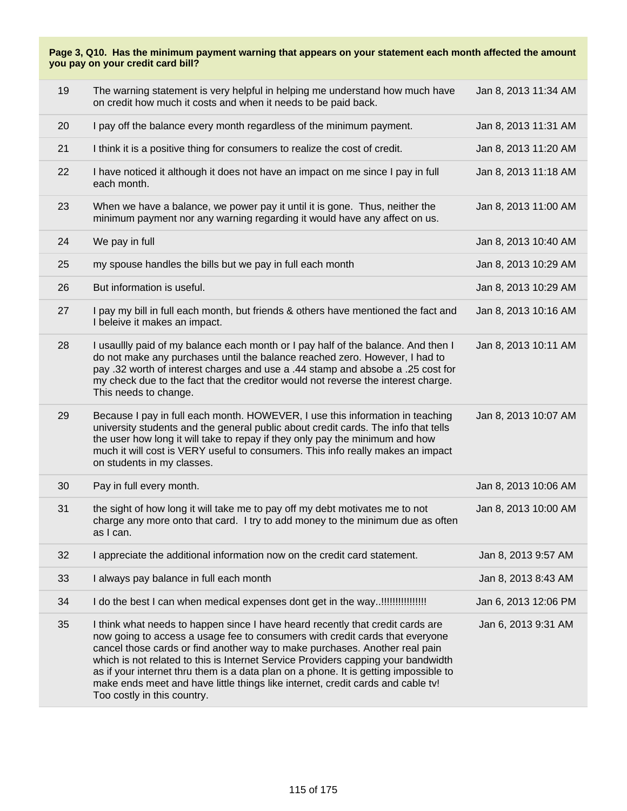| 19 | The warning statement is very helpful in helping me understand how much have<br>on credit how much it costs and when it needs to be paid back.                                                                                                                                                                                                                                                                                                                                                                                               | Jan 8, 2013 11:34 AM |
|----|----------------------------------------------------------------------------------------------------------------------------------------------------------------------------------------------------------------------------------------------------------------------------------------------------------------------------------------------------------------------------------------------------------------------------------------------------------------------------------------------------------------------------------------------|----------------------|
| 20 | I pay off the balance every month regardless of the minimum payment.                                                                                                                                                                                                                                                                                                                                                                                                                                                                         | Jan 8, 2013 11:31 AM |
| 21 | I think it is a positive thing for consumers to realize the cost of credit.                                                                                                                                                                                                                                                                                                                                                                                                                                                                  | Jan 8, 2013 11:20 AM |
| 22 | I have noticed it although it does not have an impact on me since I pay in full<br>each month.                                                                                                                                                                                                                                                                                                                                                                                                                                               | Jan 8, 2013 11:18 AM |
| 23 | When we have a balance, we power pay it until it is gone. Thus, neither the<br>minimum payment nor any warning regarding it would have any affect on us.                                                                                                                                                                                                                                                                                                                                                                                     | Jan 8, 2013 11:00 AM |
| 24 | We pay in full                                                                                                                                                                                                                                                                                                                                                                                                                                                                                                                               | Jan 8, 2013 10:40 AM |
| 25 | my spouse handles the bills but we pay in full each month                                                                                                                                                                                                                                                                                                                                                                                                                                                                                    | Jan 8, 2013 10:29 AM |
| 26 | But information is useful.                                                                                                                                                                                                                                                                                                                                                                                                                                                                                                                   | Jan 8, 2013 10:29 AM |
| 27 | I pay my bill in full each month, but friends & others have mentioned the fact and<br>I beleive it makes an impact.                                                                                                                                                                                                                                                                                                                                                                                                                          | Jan 8, 2013 10:16 AM |
| 28 | I usaullly paid of my balance each month or I pay half of the balance. And then I<br>do not make any purchases until the balance reached zero. However, I had to<br>pay .32 worth of interest charges and use a .44 stamp and absobe a .25 cost for<br>my check due to the fact that the creditor would not reverse the interest charge.<br>This needs to change.                                                                                                                                                                            | Jan 8, 2013 10:11 AM |
| 29 | Because I pay in full each month. HOWEVER, I use this information in teaching<br>university students and the general public about credit cards. The info that tells<br>the user how long it will take to repay if they only pay the minimum and how<br>much it will cost is VERY useful to consumers. This info really makes an impact<br>on students in my classes.                                                                                                                                                                         | Jan 8, 2013 10:07 AM |
| 30 | Pay in full every month.                                                                                                                                                                                                                                                                                                                                                                                                                                                                                                                     | Jan 8, 2013 10:06 AM |
| 31 | the sight of how long it will take me to pay off my debt motivates me to not<br>charge any more onto that card. I try to add money to the minimum due as often<br>as I can.                                                                                                                                                                                                                                                                                                                                                                  | Jan 8, 2013 10:00 AM |
| 32 | I appreciate the additional information now on the credit card statement.                                                                                                                                                                                                                                                                                                                                                                                                                                                                    | Jan 8, 2013 9:57 AM  |
| 33 | I always pay balance in full each month                                                                                                                                                                                                                                                                                                                                                                                                                                                                                                      | Jan 8, 2013 8:43 AM  |
| 34 |                                                                                                                                                                                                                                                                                                                                                                                                                                                                                                                                              | Jan 6, 2013 12:06 PM |
| 35 | I think what needs to happen since I have heard recently that credit cards are<br>now going to access a usage fee to consumers with credit cards that everyone<br>cancel those cards or find another way to make purchases. Another real pain<br>which is not related to this is Internet Service Providers capping your bandwidth<br>as if your internet thru them is a data plan on a phone. It is getting impossible to<br>make ends meet and have little things like internet, credit cards and cable tv!<br>Too costly in this country. | Jan 6, 2013 9:31 AM  |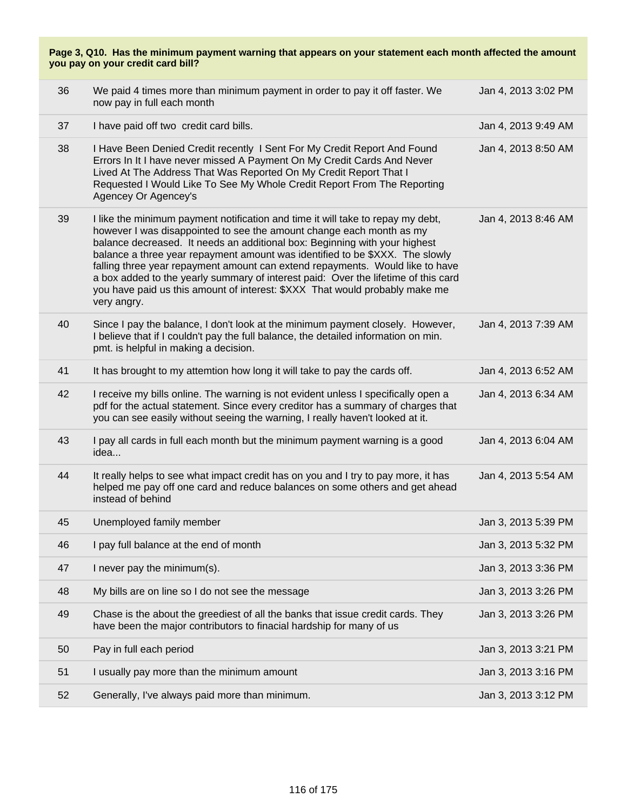| 36 | We paid 4 times more than minimum payment in order to pay it off faster. We<br>now pay in full each month                                                                                                                                                                                                                                                                                                                                                                                                                                                                                  | Jan 4, 2013 3:02 PM |
|----|--------------------------------------------------------------------------------------------------------------------------------------------------------------------------------------------------------------------------------------------------------------------------------------------------------------------------------------------------------------------------------------------------------------------------------------------------------------------------------------------------------------------------------------------------------------------------------------------|---------------------|
| 37 | I have paid off two credit card bills.                                                                                                                                                                                                                                                                                                                                                                                                                                                                                                                                                     | Jan 4, 2013 9:49 AM |
| 38 | I Have Been Denied Credit recently I Sent For My Credit Report And Found<br>Errors In It I have never missed A Payment On My Credit Cards And Never<br>Lived At The Address That Was Reported On My Credit Report That I<br>Requested I Would Like To See My Whole Credit Report From The Reporting<br>Agencey Or Agencey's                                                                                                                                                                                                                                                                | Jan 4, 2013 8:50 AM |
| 39 | I like the minimum payment notification and time it will take to repay my debt,<br>however I was disappointed to see the amount change each month as my<br>balance decreased. It needs an additional box: Beginning with your highest<br>balance a three year repayment amount was identified to be \$XXX. The slowly<br>falling three year repayment amount can extend repayments. Would like to have<br>a box added to the yearly summary of interest paid: Over the lifetime of this card<br>you have paid us this amount of interest: \$XXX That would probably make me<br>very angry. | Jan 4, 2013 8:46 AM |
| 40 | Since I pay the balance, I don't look at the minimum payment closely. However,<br>I believe that if I couldn't pay the full balance, the detailed information on min.<br>pmt. is helpful in making a decision.                                                                                                                                                                                                                                                                                                                                                                             | Jan 4, 2013 7:39 AM |
| 41 | It has brought to my attemtion how long it will take to pay the cards off.                                                                                                                                                                                                                                                                                                                                                                                                                                                                                                                 | Jan 4, 2013 6:52 AM |
| 42 | I receive my bills online. The warning is not evident unless I specifically open a<br>pdf for the actual statement. Since every creditor has a summary of charges that<br>you can see easily without seeing the warning, I really haven't looked at it.                                                                                                                                                                                                                                                                                                                                    | Jan 4, 2013 6:34 AM |
| 43 | I pay all cards in full each month but the minimum payment warning is a good<br>idea                                                                                                                                                                                                                                                                                                                                                                                                                                                                                                       | Jan 4, 2013 6:04 AM |
| 44 | It really helps to see what impact credit has on you and I try to pay more, it has<br>helped me pay off one card and reduce balances on some others and get ahead<br>instead of behind                                                                                                                                                                                                                                                                                                                                                                                                     | Jan 4, 2013 5:54 AM |
| 45 | Unemployed family member                                                                                                                                                                                                                                                                                                                                                                                                                                                                                                                                                                   | Jan 3, 2013 5:39 PM |
| 46 | I pay full balance at the end of month                                                                                                                                                                                                                                                                                                                                                                                                                                                                                                                                                     | Jan 3, 2013 5:32 PM |
| 47 | I never pay the minimum(s).                                                                                                                                                                                                                                                                                                                                                                                                                                                                                                                                                                | Jan 3, 2013 3:36 PM |
| 48 | My bills are on line so I do not see the message                                                                                                                                                                                                                                                                                                                                                                                                                                                                                                                                           | Jan 3, 2013 3:26 PM |
| 49 | Chase is the about the greediest of all the banks that issue credit cards. They<br>have been the major contributors to finacial hardship for many of us                                                                                                                                                                                                                                                                                                                                                                                                                                    | Jan 3, 2013 3:26 PM |
| 50 | Pay in full each period                                                                                                                                                                                                                                                                                                                                                                                                                                                                                                                                                                    | Jan 3, 2013 3:21 PM |
| 51 | I usually pay more than the minimum amount                                                                                                                                                                                                                                                                                                                                                                                                                                                                                                                                                 | Jan 3, 2013 3:16 PM |
| 52 | Generally, I've always paid more than minimum.                                                                                                                                                                                                                                                                                                                                                                                                                                                                                                                                             | Jan 3, 2013 3:12 PM |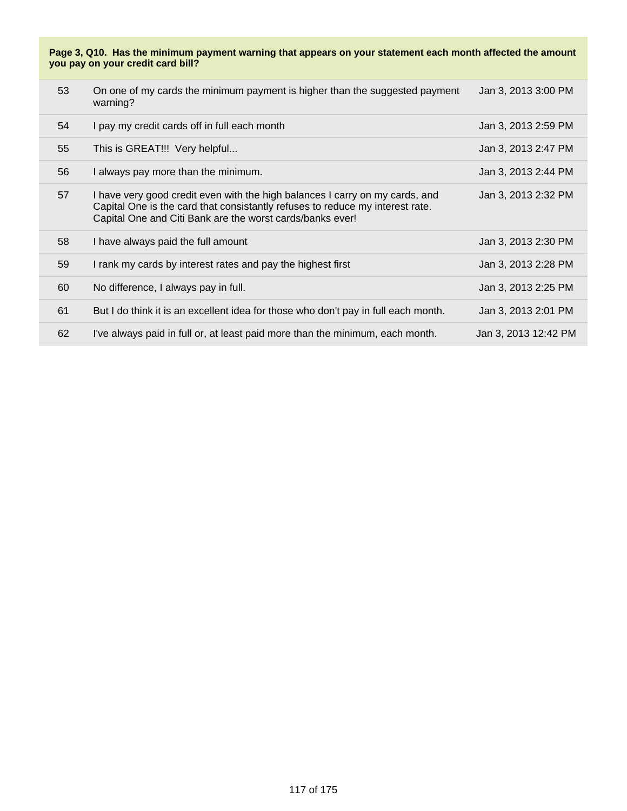| 53 | On one of my cards the minimum payment is higher than the suggested payment<br>warning?                                                                                                                                    | Jan 3, 2013 3:00 PM  |
|----|----------------------------------------------------------------------------------------------------------------------------------------------------------------------------------------------------------------------------|----------------------|
| 54 | I pay my credit cards off in full each month                                                                                                                                                                               | Jan 3, 2013 2:59 PM  |
| 55 | This is GREAT!!! Very helpful                                                                                                                                                                                              | Jan 3, 2013 2:47 PM  |
| 56 | I always pay more than the minimum.                                                                                                                                                                                        | Jan 3, 2013 2:44 PM  |
| 57 | I have very good credit even with the high balances I carry on my cards, and<br>Capital One is the card that consistantly refuses to reduce my interest rate.<br>Capital One and Citi Bank are the worst cards/banks ever! | Jan 3, 2013 2:32 PM  |
| 58 | I have always paid the full amount                                                                                                                                                                                         | Jan 3, 2013 2:30 PM  |
| 59 | I rank my cards by interest rates and pay the highest first                                                                                                                                                                | Jan 3, 2013 2:28 PM  |
| 60 | No difference, I always pay in full.                                                                                                                                                                                       | Jan 3, 2013 2:25 PM  |
| 61 | But I do think it is an excellent idea for those who don't pay in full each month.                                                                                                                                         | Jan 3, 2013 2:01 PM  |
| 62 | I've always paid in full or, at least paid more than the minimum, each month.                                                                                                                                              | Jan 3, 2013 12:42 PM |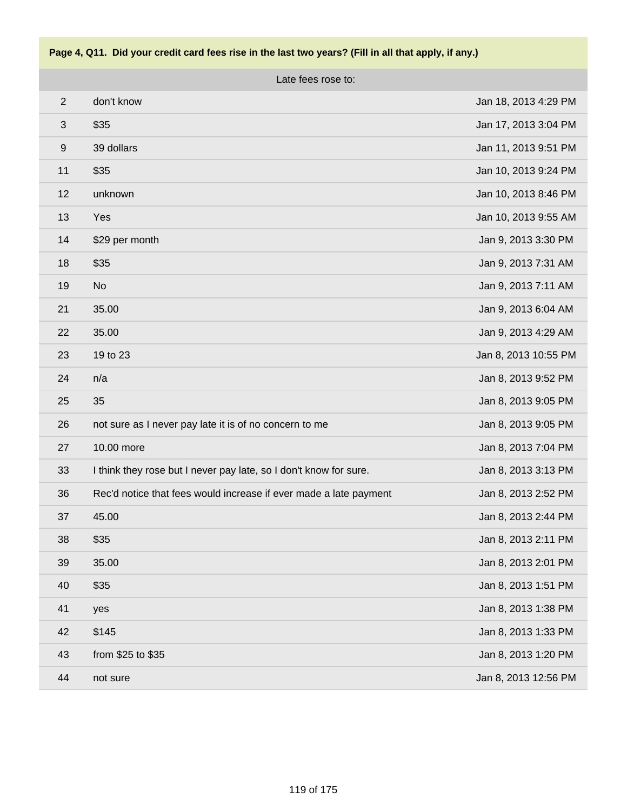

Late fees rose to:

| $\overline{2}$   | don't know                                                        | Jan 18, 2013 4:29 PM |
|------------------|-------------------------------------------------------------------|----------------------|
| 3                | \$35                                                              | Jan 17, 2013 3:04 PM |
| $\boldsymbol{9}$ | 39 dollars                                                        | Jan 11, 2013 9:51 PM |
| 11               | \$35                                                              | Jan 10, 2013 9:24 PM |
| 12               | unknown                                                           | Jan 10, 2013 8:46 PM |
| 13               | Yes                                                               | Jan 10, 2013 9:55 AM |
| 14               | \$29 per month                                                    | Jan 9, 2013 3:30 PM  |
| 18               | \$35                                                              | Jan 9, 2013 7:31 AM  |
| 19               | <b>No</b>                                                         | Jan 9, 2013 7:11 AM  |
| 21               | 35.00                                                             | Jan 9, 2013 6:04 AM  |
| 22               | 35.00                                                             | Jan 9, 2013 4:29 AM  |
| 23               | 19 to 23                                                          | Jan 8, 2013 10:55 PM |
| 24               | n/a                                                               | Jan 8, 2013 9:52 PM  |
| 25               | 35                                                                | Jan 8, 2013 9:05 PM  |
| 26               | not sure as I never pay late it is of no concern to me            | Jan 8, 2013 9:05 PM  |
| 27               | 10.00 more                                                        | Jan 8, 2013 7:04 PM  |
| 33               | I think they rose but I never pay late, so I don't know for sure. | Jan 8, 2013 3:13 PM  |
| 36               | Rec'd notice that fees would increase if ever made a late payment | Jan 8, 2013 2:52 PM  |
| 37               | 45.00                                                             | Jan 8, 2013 2:44 PM  |
| 38               | \$35                                                              | Jan 8, 2013 2:11 PM  |
| 39               | 35.00                                                             | Jan 8, 2013 2:01 PM  |
| 40               | \$35                                                              | Jan 8, 2013 1:51 PM  |
| 41               | yes                                                               | Jan 8, 2013 1:38 PM  |
| 42               | \$145                                                             | Jan 8, 2013 1:33 PM  |
| 43               | from \$25 to \$35                                                 | Jan 8, 2013 1:20 PM  |
| 44               | not sure                                                          | Jan 8, 2013 12:56 PM |
|                  |                                                                   |                      |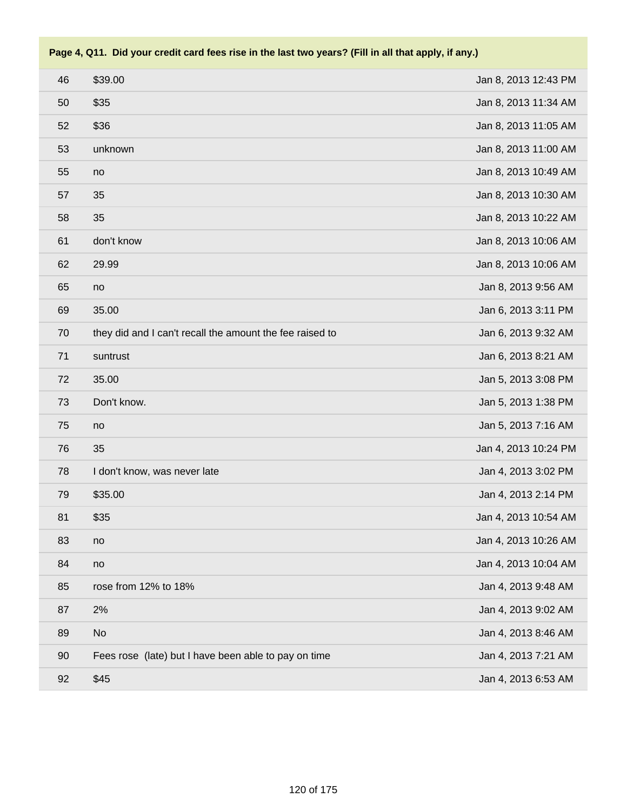| 46 | \$39.00                                                  | Jan 8, 2013 12:43 PM |
|----|----------------------------------------------------------|----------------------|
| 50 | \$35                                                     | Jan 8, 2013 11:34 AM |
| 52 | \$36                                                     | Jan 8, 2013 11:05 AM |
| 53 | unknown                                                  | Jan 8, 2013 11:00 AM |
| 55 | no                                                       | Jan 8, 2013 10:49 AM |
| 57 | 35                                                       | Jan 8, 2013 10:30 AM |
| 58 | 35                                                       | Jan 8, 2013 10:22 AM |
| 61 | don't know                                               | Jan 8, 2013 10:06 AM |
| 62 | 29.99                                                    | Jan 8, 2013 10:06 AM |
| 65 | no                                                       | Jan 8, 2013 9:56 AM  |
| 69 | 35.00                                                    | Jan 6, 2013 3:11 PM  |
| 70 | they did and I can't recall the amount the fee raised to | Jan 6, 2013 9:32 AM  |
| 71 | suntrust                                                 | Jan 6, 2013 8:21 AM  |
| 72 | 35.00                                                    | Jan 5, 2013 3:08 PM  |
| 73 | Don't know.                                              | Jan 5, 2013 1:38 PM  |
| 75 | no                                                       | Jan 5, 2013 7:16 AM  |
| 76 | 35                                                       | Jan 4, 2013 10:24 PM |
| 78 | I don't know, was never late                             | Jan 4, 2013 3:02 PM  |
| 79 | \$35.00                                                  | Jan 4, 2013 2:14 PM  |
| 81 | \$35                                                     | Jan 4, 2013 10:54 AM |
| 83 | no                                                       | Jan 4, 2013 10:26 AM |
| 84 | no                                                       | Jan 4, 2013 10:04 AM |
| 85 | rose from 12% to 18%                                     | Jan 4, 2013 9:48 AM  |
| 87 | 2%                                                       | Jan 4, 2013 9:02 AM  |
| 89 | No                                                       | Jan 4, 2013 8:46 AM  |
| 90 | Fees rose (late) but I have been able to pay on time     | Jan 4, 2013 7:21 AM  |
| 92 | \$45                                                     | Jan 4, 2013 6:53 AM  |
|    |                                                          |                      |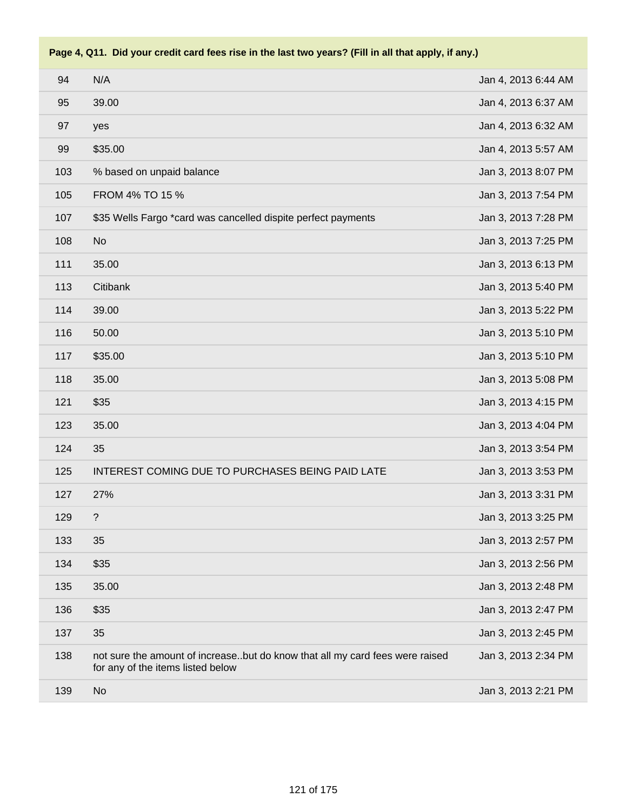| 94  | N/A                                                                                                               | Jan 4, 2013 6:44 AM |
|-----|-------------------------------------------------------------------------------------------------------------------|---------------------|
| 95  | 39.00                                                                                                             | Jan 4, 2013 6:37 AM |
| 97  | yes                                                                                                               | Jan 4, 2013 6:32 AM |
| 99  | \$35.00                                                                                                           | Jan 4, 2013 5:57 AM |
| 103 | % based on unpaid balance                                                                                         | Jan 3, 2013 8:07 PM |
| 105 | FROM 4% TO 15 %                                                                                                   | Jan 3, 2013 7:54 PM |
| 107 | \$35 Wells Fargo *card was cancelled dispite perfect payments                                                     | Jan 3, 2013 7:28 PM |
| 108 | <b>No</b>                                                                                                         | Jan 3, 2013 7:25 PM |
| 111 | 35.00                                                                                                             | Jan 3, 2013 6:13 PM |
| 113 | Citibank                                                                                                          | Jan 3, 2013 5:40 PM |
| 114 | 39.00                                                                                                             | Jan 3, 2013 5:22 PM |
| 116 | 50.00                                                                                                             | Jan 3, 2013 5:10 PM |
| 117 | \$35.00                                                                                                           | Jan 3, 2013 5:10 PM |
| 118 | 35.00                                                                                                             | Jan 3, 2013 5:08 PM |
| 121 | \$35                                                                                                              | Jan 3, 2013 4:15 PM |
| 123 | 35.00                                                                                                             | Jan 3, 2013 4:04 PM |
| 124 | 35                                                                                                                | Jan 3, 2013 3:54 PM |
| 125 | INTEREST COMING DUE TO PURCHASES BEING PAID LATE                                                                  | Jan 3, 2013 3:53 PM |
| 127 | 27%                                                                                                               | Jan 3, 2013 3:31 PM |
| 129 | $\ddot{?}$                                                                                                        | Jan 3, 2013 3:25 PM |
| 133 | 35                                                                                                                | Jan 3, 2013 2:57 PM |
| 134 | \$35                                                                                                              | Jan 3, 2013 2:56 PM |
| 135 | 35.00                                                                                                             | Jan 3, 2013 2:48 PM |
| 136 | \$35                                                                                                              | Jan 3, 2013 2:47 PM |
| 137 | 35                                                                                                                | Jan 3, 2013 2:45 PM |
| 138 | not sure the amount of increasebut do know that all my card fees were raised<br>for any of the items listed below | Jan 3, 2013 2:34 PM |
| 139 | <b>No</b>                                                                                                         | Jan 3, 2013 2:21 PM |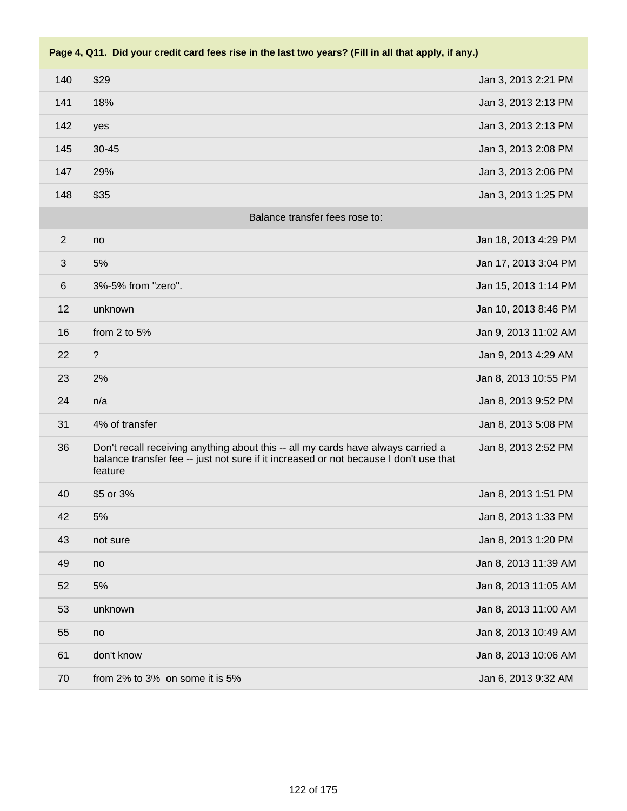| 140          | \$29                                                                                                                                                                                 | Jan 3, 2013 2:21 PM  |
|--------------|--------------------------------------------------------------------------------------------------------------------------------------------------------------------------------------|----------------------|
| 141          | 18%                                                                                                                                                                                  | Jan 3, 2013 2:13 PM  |
| 142          | yes                                                                                                                                                                                  | Jan 3, 2013 2:13 PM  |
| 145          | 30-45                                                                                                                                                                                | Jan 3, 2013 2:08 PM  |
| 147          | 29%                                                                                                                                                                                  | Jan 3, 2013 2:06 PM  |
| 148          | \$35                                                                                                                                                                                 | Jan 3, 2013 1:25 PM  |
|              | Balance transfer fees rose to:                                                                                                                                                       |                      |
| 2            | no                                                                                                                                                                                   | Jan 18, 2013 4:29 PM |
| $\mathbf{3}$ | 5%                                                                                                                                                                                   | Jan 17, 2013 3:04 PM |
| $\,6$        | 3%-5% from "zero".                                                                                                                                                                   | Jan 15, 2013 1:14 PM |
| 12           | unknown                                                                                                                                                                              | Jan 10, 2013 8:46 PM |
| 16           | from 2 to 5%                                                                                                                                                                         | Jan 9, 2013 11:02 AM |
| 22           | $\overline{?}$                                                                                                                                                                       | Jan 9, 2013 4:29 AM  |
| 23           | 2%                                                                                                                                                                                   | Jan 8, 2013 10:55 PM |
| 24           | n/a                                                                                                                                                                                  | Jan 8, 2013 9:52 PM  |
| 31           | 4% of transfer                                                                                                                                                                       | Jan 8, 2013 5:08 PM  |
| 36           | Don't recall receiving anything about this -- all my cards have always carried a<br>balance transfer fee -- just not sure if it increased or not because I don't use that<br>feature | Jan 8, 2013 2:52 PM  |
| 40           | \$5 or 3%                                                                                                                                                                            | Jan 8, 2013 1:51 PM  |
| 42           | 5%                                                                                                                                                                                   | Jan 8, 2013 1:33 PM  |
| 43           | not sure                                                                                                                                                                             | Jan 8, 2013 1:20 PM  |
| 49           | no                                                                                                                                                                                   | Jan 8, 2013 11:39 AM |
| 52           | 5%                                                                                                                                                                                   | Jan 8, 2013 11:05 AM |
| 53           | unknown                                                                                                                                                                              | Jan 8, 2013 11:00 AM |
| 55           | no                                                                                                                                                                                   | Jan 8, 2013 10:49 AM |
| 61           | don't know                                                                                                                                                                           | Jan 8, 2013 10:06 AM |
| 70           | from 2% to 3% on some it is 5%                                                                                                                                                       | Jan 6, 2013 9:32 AM  |
|              |                                                                                                                                                                                      |                      |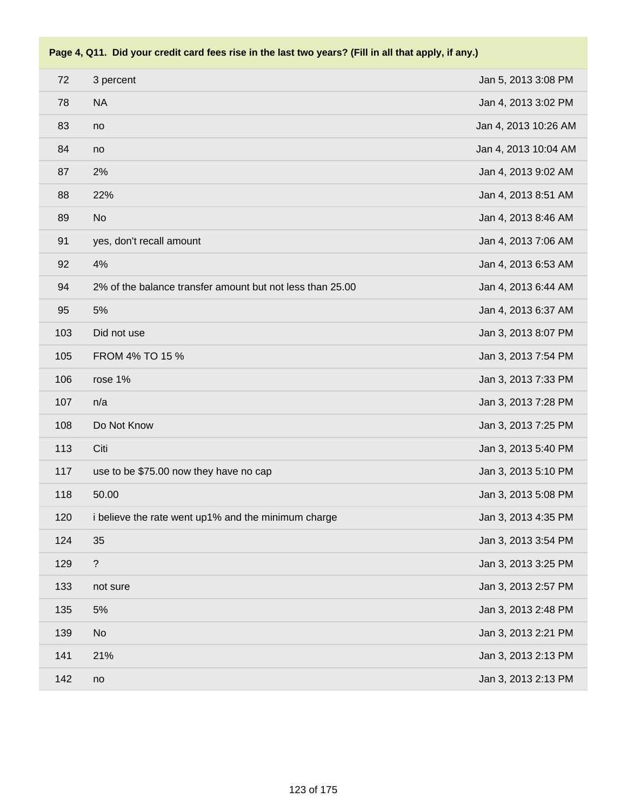| 72  | 3 percent                                                 | Jan 5, 2013 3:08 PM  |
|-----|-----------------------------------------------------------|----------------------|
| 78  | <b>NA</b>                                                 | Jan 4, 2013 3:02 PM  |
| 83  | no                                                        | Jan 4, 2013 10:26 AM |
| 84  | no                                                        | Jan 4, 2013 10:04 AM |
| 87  | 2%                                                        | Jan 4, 2013 9:02 AM  |
| 88  | 22%                                                       | Jan 4, 2013 8:51 AM  |
| 89  | <b>No</b>                                                 | Jan 4, 2013 8:46 AM  |
| 91  | yes, don't recall amount                                  | Jan 4, 2013 7:06 AM  |
| 92  | 4%                                                        | Jan 4, 2013 6:53 AM  |
| 94  | 2% of the balance transfer amount but not less than 25.00 | Jan 4, 2013 6:44 AM  |
| 95  | 5%                                                        | Jan 4, 2013 6:37 AM  |
| 103 | Did not use                                               | Jan 3, 2013 8:07 PM  |
| 105 | FROM 4% TO 15 %                                           | Jan 3, 2013 7:54 PM  |
| 106 | rose 1%                                                   | Jan 3, 2013 7:33 PM  |
| 107 | n/a                                                       | Jan 3, 2013 7:28 PM  |
| 108 | Do Not Know                                               | Jan 3, 2013 7:25 PM  |
| 113 | Citi                                                      | Jan 3, 2013 5:40 PM  |
| 117 | use to be \$75.00 now they have no cap                    | Jan 3, 2013 5:10 PM  |
| 118 | 50.00                                                     | Jan 3, 2013 5:08 PM  |
| 120 | i believe the rate went up1% and the minimum charge       | Jan 3, 2013 4:35 PM  |
| 124 | 35                                                        | Jan 3, 2013 3:54 PM  |
| 129 | $\overline{\mathcal{E}}$                                  | Jan 3, 2013 3:25 PM  |
| 133 | not sure                                                  | Jan 3, 2013 2:57 PM  |
| 135 | 5%                                                        | Jan 3, 2013 2:48 PM  |
| 139 | No                                                        | Jan 3, 2013 2:21 PM  |
| 141 | 21%                                                       | Jan 3, 2013 2:13 PM  |
| 142 | no                                                        | Jan 3, 2013 2:13 PM  |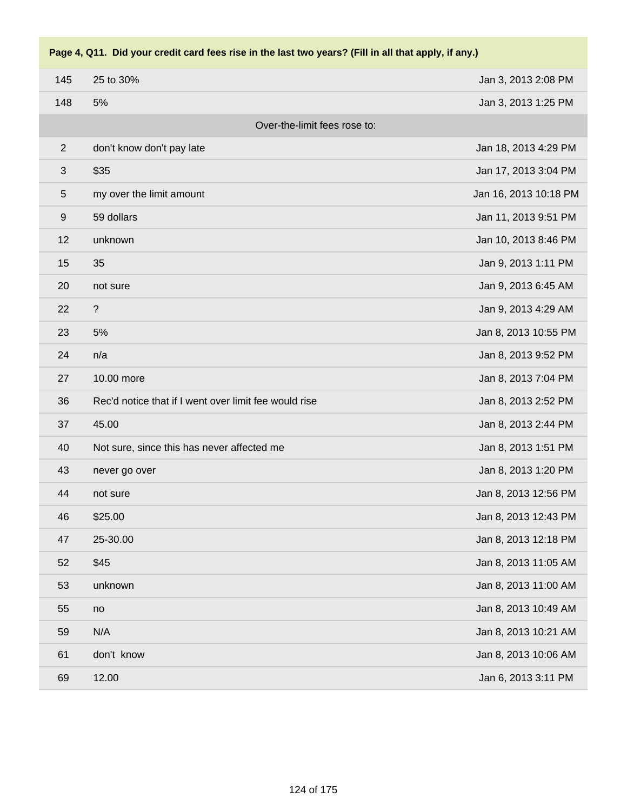| 145        | 25 to 30%                                             | Jan 3, 2013 2:08 PM   |
|------------|-------------------------------------------------------|-----------------------|
| 148        | 5%                                                    | Jan 3, 2013 1:25 PM   |
|            | Over-the-limit fees rose to:                          |                       |
| $\sqrt{2}$ | don't know don't pay late                             | Jan 18, 2013 4:29 PM  |
| $\sqrt{3}$ | \$35                                                  | Jan 17, 2013 3:04 PM  |
| $\sqrt{5}$ | my over the limit amount                              | Jan 16, 2013 10:18 PM |
| 9          | 59 dollars                                            | Jan 11, 2013 9:51 PM  |
| 12         | unknown                                               | Jan 10, 2013 8:46 PM  |
| 15         | 35                                                    | Jan 9, 2013 1:11 PM   |
| 20         | not sure                                              | Jan 9, 2013 6:45 AM   |
| 22         | $\ddot{?}$                                            | Jan 9, 2013 4:29 AM   |
| 23         | 5%                                                    | Jan 8, 2013 10:55 PM  |
| 24         | n/a                                                   | Jan 8, 2013 9:52 PM   |
| 27         | 10.00 more                                            | Jan 8, 2013 7:04 PM   |
| 36         | Rec'd notice that if I went over limit fee would rise | Jan 8, 2013 2:52 PM   |
| 37         | 45.00                                                 | Jan 8, 2013 2:44 PM   |
| 40         | Not sure, since this has never affected me            | Jan 8, 2013 1:51 PM   |
| 43         | never go over                                         | Jan 8, 2013 1:20 PM   |
| 44         | not sure                                              | Jan 8, 2013 12:56 PM  |
| 46         | \$25.00                                               | Jan 8, 2013 12:43 PM  |
| 47         | 25-30.00                                              | Jan 8, 2013 12:18 PM  |
| 52         | \$45                                                  | Jan 8, 2013 11:05 AM  |
| 53         | unknown                                               | Jan 8, 2013 11:00 AM  |
| 55         | no                                                    | Jan 8, 2013 10:49 AM  |
| 59         | N/A                                                   | Jan 8, 2013 10:21 AM  |
| 61         | don't know                                            | Jan 8, 2013 10:06 AM  |
| 69         | 12.00                                                 | Jan 6, 2013 3:11 PM   |
|            |                                                       |                       |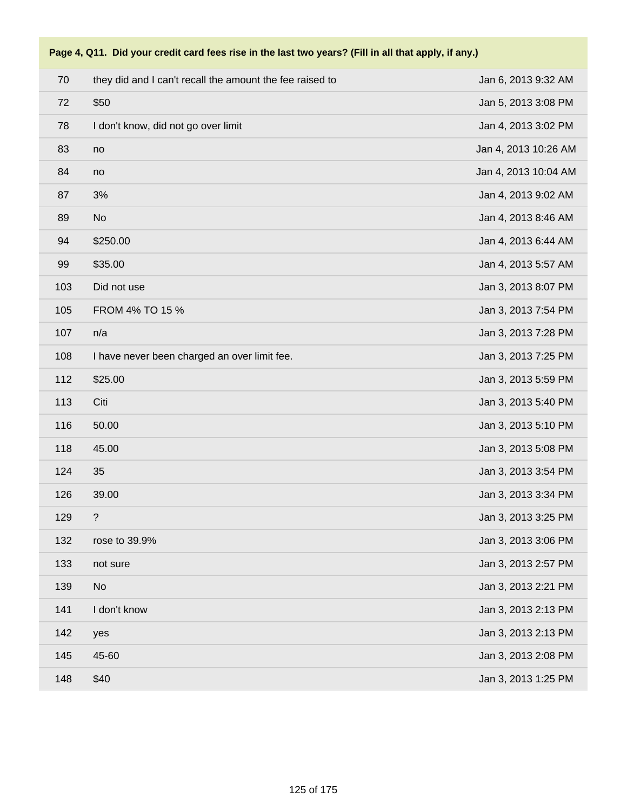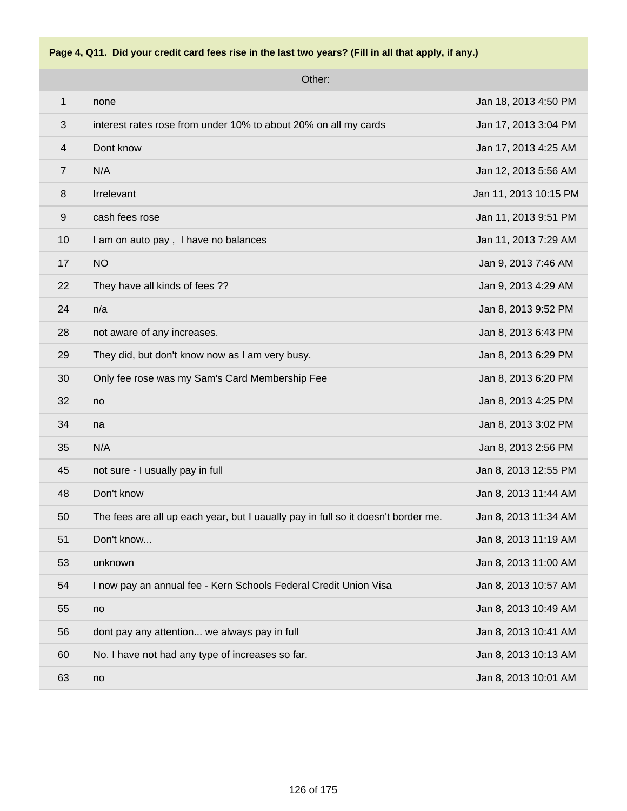

Other:

| 1              | none                                                                              | Jan 18, 2013 4:50 PM  |
|----------------|-----------------------------------------------------------------------------------|-----------------------|
| 3              | interest rates rose from under 10% to about 20% on all my cards                   | Jan 17, 2013 3:04 PM  |
| $\overline{4}$ | Dont know                                                                         | Jan 17, 2013 4:25 AM  |
| $\overline{7}$ | N/A                                                                               | Jan 12, 2013 5:56 AM  |
| 8              | Irrelevant                                                                        | Jan 11, 2013 10:15 PM |
| $9\,$          | cash fees rose                                                                    | Jan 11, 2013 9:51 PM  |
| 10             | I am on auto pay, I have no balances                                              | Jan 11, 2013 7:29 AM  |
| 17             | <b>NO</b>                                                                         | Jan 9, 2013 7:46 AM   |
| 22             | They have all kinds of fees ??                                                    | Jan 9, 2013 4:29 AM   |
| 24             | n/a                                                                               | Jan 8, 2013 9:52 PM   |
| 28             | not aware of any increases.                                                       | Jan 8, 2013 6:43 PM   |
| 29             | They did, but don't know now as I am very busy.                                   | Jan 8, 2013 6:29 PM   |
| 30             | Only fee rose was my Sam's Card Membership Fee                                    | Jan 8, 2013 6:20 PM   |
| 32             | no                                                                                | Jan 8, 2013 4:25 PM   |
| 34             | na                                                                                | Jan 8, 2013 3:02 PM   |
| 35             | N/A                                                                               | Jan 8, 2013 2:56 PM   |
| 45             | not sure - I usually pay in full                                                  | Jan 8, 2013 12:55 PM  |
| 48             | Don't know                                                                        | Jan 8, 2013 11:44 AM  |
| 50             | The fees are all up each year, but I uaually pay in full so it doesn't border me. | Jan 8, 2013 11:34 AM  |
| 51             | Don't know                                                                        | Jan 8, 2013 11:19 AM  |
| 53             | unknown                                                                           | Jan 8, 2013 11:00 AM  |
| 54             | I now pay an annual fee - Kern Schools Federal Credit Union Visa                  | Jan 8, 2013 10:57 AM  |
| 55             | no                                                                                | Jan 8, 2013 10:49 AM  |
| 56             | dont pay any attention we always pay in full                                      | Jan 8, 2013 10:41 AM  |
| 60             | No. I have not had any type of increases so far.                                  | Jan 8, 2013 10:13 AM  |
| 63             | no                                                                                | Jan 8, 2013 10:01 AM  |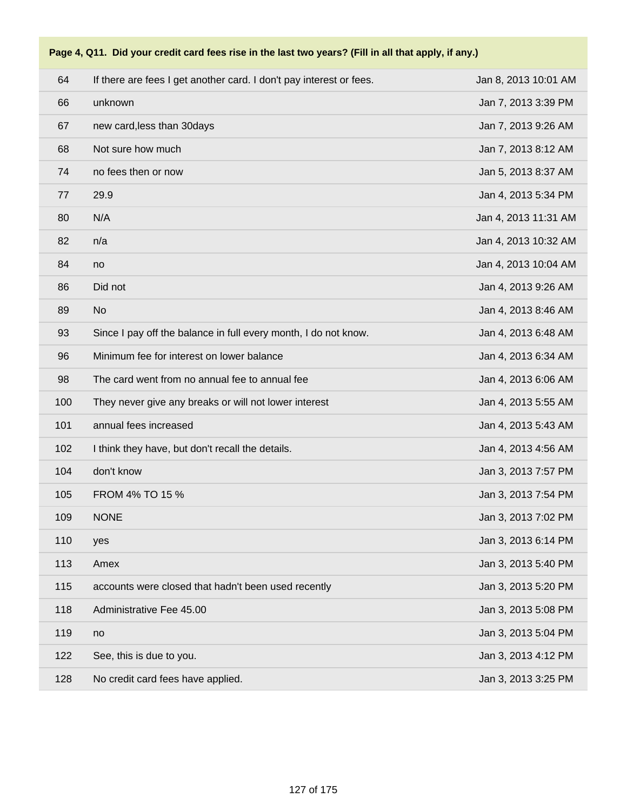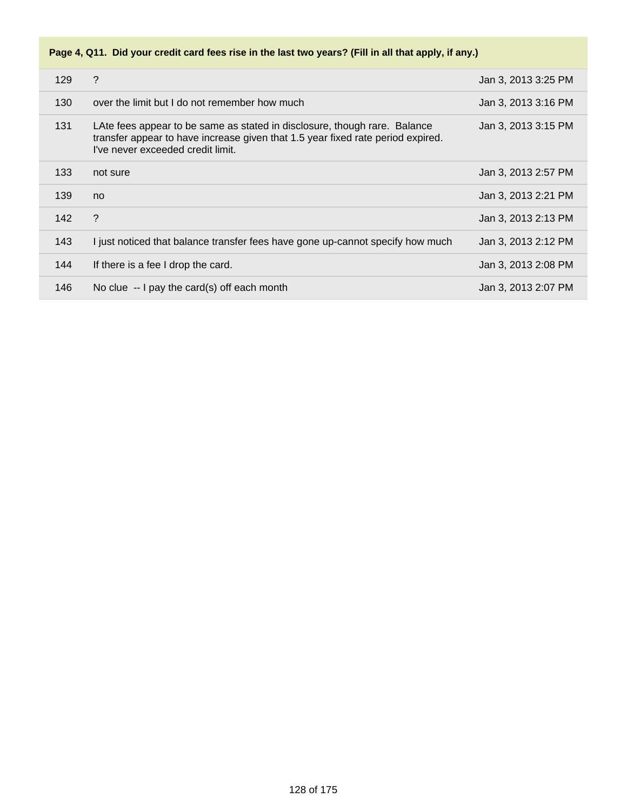| 129 | $\gamma$                                                                                                                                                                                          | Jan 3, 2013 3:25 PM |
|-----|---------------------------------------------------------------------------------------------------------------------------------------------------------------------------------------------------|---------------------|
| 130 | over the limit but I do not remember how much                                                                                                                                                     | Jan 3, 2013 3:16 PM |
| 131 | LAte fees appear to be same as stated in disclosure, though rare. Balance<br>transfer appear to have increase given that 1.5 year fixed rate period expired.<br>I've never exceeded credit limit. | Jan 3, 2013 3:15 PM |
| 133 | not sure                                                                                                                                                                                          | Jan 3, 2013 2:57 PM |
| 139 | no                                                                                                                                                                                                | Jan 3, 2013 2:21 PM |
| 142 | ?                                                                                                                                                                                                 | Jan 3, 2013 2:13 PM |
| 143 | I just noticed that balance transfer fees have gone up-cannot specify how much                                                                                                                    | Jan 3, 2013 2:12 PM |
| 144 | If there is a fee I drop the card.                                                                                                                                                                | Jan 3, 2013 2:08 PM |
| 146 | No clue $-$ I pay the card(s) off each month                                                                                                                                                      | Jan 3, 2013 2:07 PM |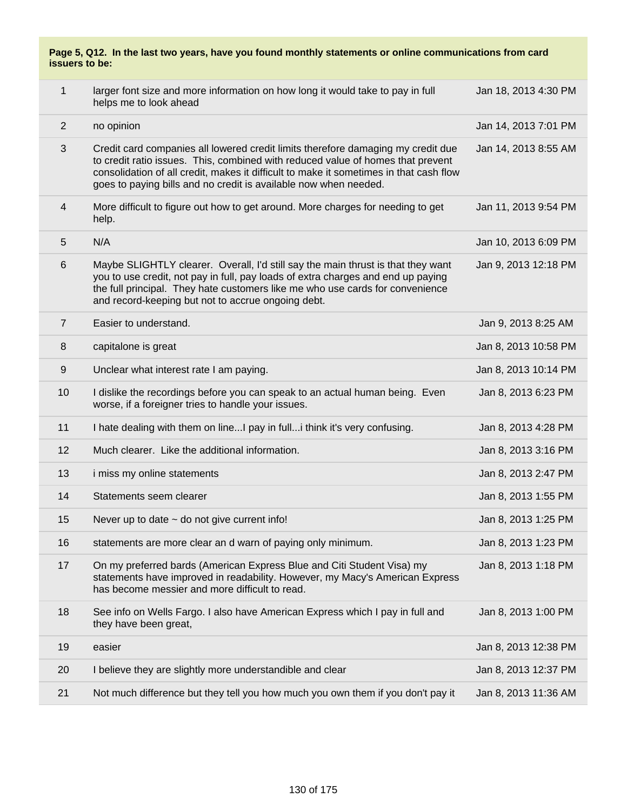| Page 5, Q12. In the last two years, have you found monthly statements or online communications from card<br>issuers to be: |                                                                                                                                                                                                                                                                                                                                   |                      |  |
|----------------------------------------------------------------------------------------------------------------------------|-----------------------------------------------------------------------------------------------------------------------------------------------------------------------------------------------------------------------------------------------------------------------------------------------------------------------------------|----------------------|--|
| $\mathbf{1}$                                                                                                               | larger font size and more information on how long it would take to pay in full<br>helps me to look ahead                                                                                                                                                                                                                          | Jan 18, 2013 4:30 PM |  |
| $\overline{2}$                                                                                                             | no opinion                                                                                                                                                                                                                                                                                                                        | Jan 14, 2013 7:01 PM |  |
| 3                                                                                                                          | Credit card companies all lowered credit limits therefore damaging my credit due<br>to credit ratio issues. This, combined with reduced value of homes that prevent<br>consolidation of all credit, makes it difficult to make it sometimes in that cash flow<br>goes to paying bills and no credit is available now when needed. | Jan 14, 2013 8:55 AM |  |
| 4                                                                                                                          | More difficult to figure out how to get around. More charges for needing to get<br>help.                                                                                                                                                                                                                                          | Jan 11, 2013 9:54 PM |  |
| 5                                                                                                                          | N/A                                                                                                                                                                                                                                                                                                                               | Jan 10, 2013 6:09 PM |  |
| 6                                                                                                                          | Maybe SLIGHTLY clearer. Overall, I'd still say the main thrust is that they want<br>you to use credit, not pay in full, pay loads of extra charges and end up paying<br>the full principal. They hate customers like me who use cards for convenience<br>and record-keeping but not to accrue ongoing debt.                       | Jan 9, 2013 12:18 PM |  |
| $\overline{7}$                                                                                                             | Easier to understand.                                                                                                                                                                                                                                                                                                             | Jan 9, 2013 8:25 AM  |  |
| 8                                                                                                                          | capitalone is great                                                                                                                                                                                                                                                                                                               | Jan 8, 2013 10:58 PM |  |
| 9                                                                                                                          | Unclear what interest rate I am paying.                                                                                                                                                                                                                                                                                           | Jan 8, 2013 10:14 PM |  |
| 10                                                                                                                         | I dislike the recordings before you can speak to an actual human being. Even<br>worse, if a foreigner tries to handle your issues.                                                                                                                                                                                                | Jan 8, 2013 6:23 PM  |  |
| 11                                                                                                                         | I hate dealing with them on line I pay in full i think it's very confusing.                                                                                                                                                                                                                                                       | Jan 8, 2013 4:28 PM  |  |
| 12                                                                                                                         | Much clearer. Like the additional information.                                                                                                                                                                                                                                                                                    | Jan 8, 2013 3:16 PM  |  |
| 13                                                                                                                         | i miss my online statements                                                                                                                                                                                                                                                                                                       | Jan 8, 2013 2:47 PM  |  |
| 14                                                                                                                         | Statements seem clearer                                                                                                                                                                                                                                                                                                           | Jan 8, 2013 1:55 PM  |  |
| 15                                                                                                                         | Never up to date $\sim$ do not give current info!                                                                                                                                                                                                                                                                                 | Jan 8, 2013 1:25 PM  |  |
| 16                                                                                                                         | statements are more clear an d warn of paying only minimum.                                                                                                                                                                                                                                                                       | Jan 8, 2013 1:23 PM  |  |
| 17                                                                                                                         | On my preferred bards (American Express Blue and Citi Student Visa) my<br>statements have improved in readability. However, my Macy's American Express<br>has become messier and more difficult to read.                                                                                                                          | Jan 8, 2013 1:18 PM  |  |
| 18                                                                                                                         | See info on Wells Fargo. I also have American Express which I pay in full and<br>they have been great,                                                                                                                                                                                                                            | Jan 8, 2013 1:00 PM  |  |
| 19                                                                                                                         | easier                                                                                                                                                                                                                                                                                                                            | Jan 8, 2013 12:38 PM |  |
| 20                                                                                                                         | I believe they are slightly more understandible and clear                                                                                                                                                                                                                                                                         | Jan 8, 2013 12:37 PM |  |
| 21                                                                                                                         | Not much difference but they tell you how much you own them if you don't pay it                                                                                                                                                                                                                                                   | Jan 8, 2013 11:36 AM |  |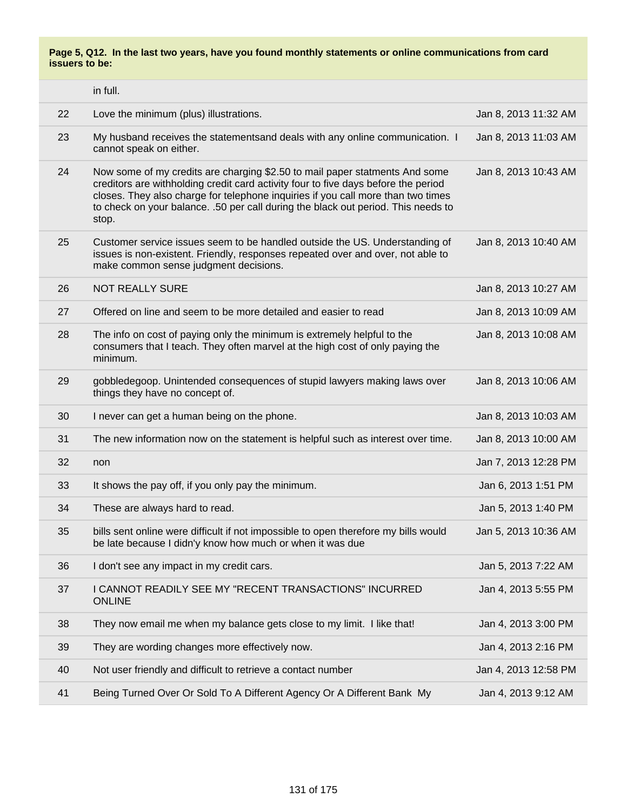**Page 5, Q12. In the last two years, have you found monthly statements or online communications from card issuers to be:**

|    | in full.                                                                                                                                                                                                                                                                                                                                            |                      |
|----|-----------------------------------------------------------------------------------------------------------------------------------------------------------------------------------------------------------------------------------------------------------------------------------------------------------------------------------------------------|----------------------|
| 22 | Love the minimum (plus) illustrations.                                                                                                                                                                                                                                                                                                              | Jan 8, 2013 11:32 AM |
| 23 | My husband receives the statementsand deals with any online communication. I<br>cannot speak on either.                                                                                                                                                                                                                                             | Jan 8, 2013 11:03 AM |
| 24 | Now some of my credits are charging \$2.50 to mail paper statments And some<br>creditors are withholding credit card activity four to five days before the period<br>closes. They also charge for telephone inquiries if you call more than two times<br>to check on your balance. .50 per call during the black out period. This needs to<br>stop. | Jan 8, 2013 10:43 AM |
| 25 | Customer service issues seem to be handled outside the US. Understanding of<br>issues is non-existent. Friendly, responses repeated over and over, not able to<br>make common sense judgment decisions.                                                                                                                                             | Jan 8, 2013 10:40 AM |
| 26 | <b>NOT REALLY SURE</b>                                                                                                                                                                                                                                                                                                                              | Jan 8, 2013 10:27 AM |
| 27 | Offered on line and seem to be more detailed and easier to read                                                                                                                                                                                                                                                                                     | Jan 8, 2013 10:09 AM |
| 28 | The info on cost of paying only the minimum is extremely helpful to the<br>consumers that I teach. They often marvel at the high cost of only paying the<br>minimum.                                                                                                                                                                                | Jan 8, 2013 10:08 AM |
| 29 | gobbledegoop. Unintended consequences of stupid lawyers making laws over<br>things they have no concept of.                                                                                                                                                                                                                                         | Jan 8, 2013 10:06 AM |
| 30 | I never can get a human being on the phone.                                                                                                                                                                                                                                                                                                         | Jan 8, 2013 10:03 AM |
| 31 | The new information now on the statement is helpful such as interest over time.                                                                                                                                                                                                                                                                     | Jan 8, 2013 10:00 AM |
| 32 | non                                                                                                                                                                                                                                                                                                                                                 | Jan 7, 2013 12:28 PM |
| 33 | It shows the pay off, if you only pay the minimum.                                                                                                                                                                                                                                                                                                  | Jan 6, 2013 1:51 PM  |
| 34 | These are always hard to read.                                                                                                                                                                                                                                                                                                                      | Jan 5, 2013 1:40 PM  |
| 35 | bills sent online were difficult if not impossible to open therefore my bills would<br>be late because I didn'y know how much or when it was due                                                                                                                                                                                                    | Jan 5, 2013 10:36 AM |
| 36 | I don't see any impact in my credit cars.                                                                                                                                                                                                                                                                                                           | Jan 5, 2013 7:22 AM  |
| 37 | I CANNOT READILY SEE MY "RECENT TRANSACTIONS" INCURRED<br><b>ONLINE</b>                                                                                                                                                                                                                                                                             | Jan 4, 2013 5:55 PM  |
| 38 | They now email me when my balance gets close to my limit. I like that!                                                                                                                                                                                                                                                                              | Jan 4, 2013 3:00 PM  |
| 39 | They are wording changes more effectively now.                                                                                                                                                                                                                                                                                                      | Jan 4, 2013 2:16 PM  |
| 40 | Not user friendly and difficult to retrieve a contact number                                                                                                                                                                                                                                                                                        | Jan 4, 2013 12:58 PM |
| 41 | Being Turned Over Or Sold To A Different Agency Or A Different Bank My                                                                                                                                                                                                                                                                              | Jan 4, 2013 9:12 AM  |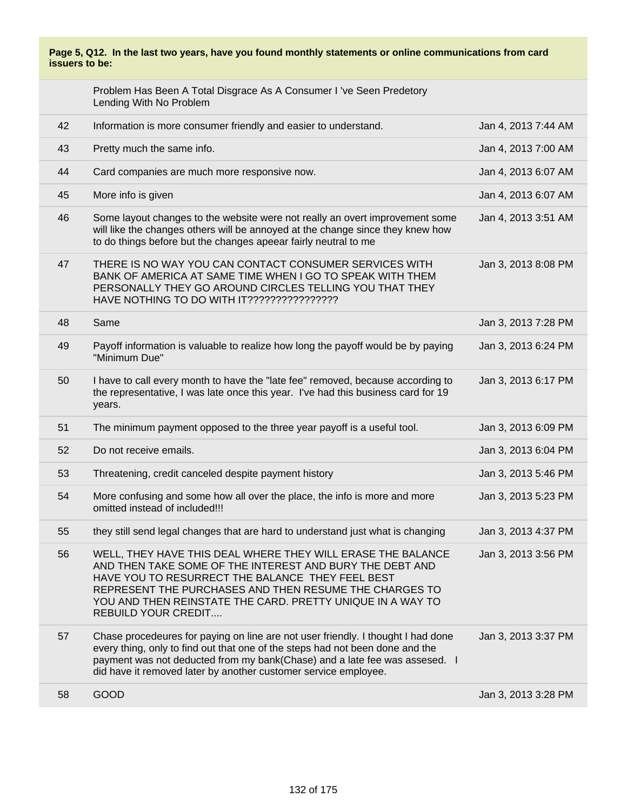### **Page 5, Q12. In the last two years, have you found monthly statements or online communications from card issuers to be:**

|    | Problem Has Been A Total Disgrace As A Consumer I 've Seen Predetory<br>Lending With No Problem                                                                                                                                                                                                                                   |                     |
|----|-----------------------------------------------------------------------------------------------------------------------------------------------------------------------------------------------------------------------------------------------------------------------------------------------------------------------------------|---------------------|
| 42 | Information is more consumer friendly and easier to understand.                                                                                                                                                                                                                                                                   | Jan 4, 2013 7:44 AM |
| 43 | Pretty much the same info.                                                                                                                                                                                                                                                                                                        | Jan 4, 2013 7:00 AM |
| 44 | Card companies are much more responsive now.                                                                                                                                                                                                                                                                                      | Jan 4, 2013 6:07 AM |
| 45 | More info is given                                                                                                                                                                                                                                                                                                                | Jan 4, 2013 6:07 AM |
| 46 | Some layout changes to the website were not really an overt improvement some<br>will like the changes others will be annoyed at the change since they knew how<br>to do things before but the changes apeear fairly neutral to me                                                                                                 | Jan 4, 2013 3:51 AM |
| 47 | THERE IS NO WAY YOU CAN CONTACT CONSUMER SERVICES WITH<br>BANK OF AMERICA AT SAME TIME WHEN I GO TO SPEAK WITH THEM<br>PERSONALLY THEY GO AROUND CIRCLES TELLING YOU THAT THEY<br>HAVE NOTHING TO DO WITH IT?????????????????                                                                                                     | Jan 3, 2013 8:08 PM |
| 48 | Same                                                                                                                                                                                                                                                                                                                              | Jan 3, 2013 7:28 PM |
| 49 | Payoff information is valuable to realize how long the payoff would be by paying<br>"Minimum Due"                                                                                                                                                                                                                                 | Jan 3, 2013 6:24 PM |
| 50 | I have to call every month to have the "late fee" removed, because according to<br>the representative, I was late once this year. I've had this business card for 19<br>years.                                                                                                                                                    | Jan 3, 2013 6:17 PM |
| 51 | The minimum payment opposed to the three year payoff is a useful tool.                                                                                                                                                                                                                                                            | Jan 3, 2013 6:09 PM |
| 52 | Do not receive emails.                                                                                                                                                                                                                                                                                                            | Jan 3, 2013 6:04 PM |
| 53 | Threatening, credit canceled despite payment history                                                                                                                                                                                                                                                                              | Jan 3, 2013 5:46 PM |
| 54 | More confusing and some how all over the place, the info is more and more<br>omitted instead of included!!!                                                                                                                                                                                                                       | Jan 3, 2013 5:23 PM |
| 55 | they still send legal changes that are hard to understand just what is changing                                                                                                                                                                                                                                                   | Jan 3, 2013 4:37 PM |
| 56 | WELL, THEY HAVE THIS DEAL WHERE THEY WILL ERASE THE BALANCE<br>AND THEN TAKE SOME OF THE INTEREST AND BURY THE DEBT AND<br>HAVE YOU TO RESURRECT THE BALANCE THEY FEEL BEST<br>REPRESENT THE PURCHASES AND THEN RESUME THE CHARGES TO<br>YOU AND THEN REINSTATE THE CARD. PRETTY UNIQUE IN A WAY TO<br><b>REBUILD YOUR CREDIT</b> | Jan 3, 2013 3:56 PM |
| 57 | Chase procedeures for paying on line are not user friendly. I thought I had done<br>every thing, only to find out that one of the steps had not been done and the<br>payment was not deducted from my bank(Chase) and a late fee was assesed. I<br>did have it removed later by another customer service employee.                | Jan 3, 2013 3:37 PM |
| 58 | <b>GOOD</b>                                                                                                                                                                                                                                                                                                                       | Jan 3, 2013 3:28 PM |
|    |                                                                                                                                                                                                                                                                                                                                   |                     |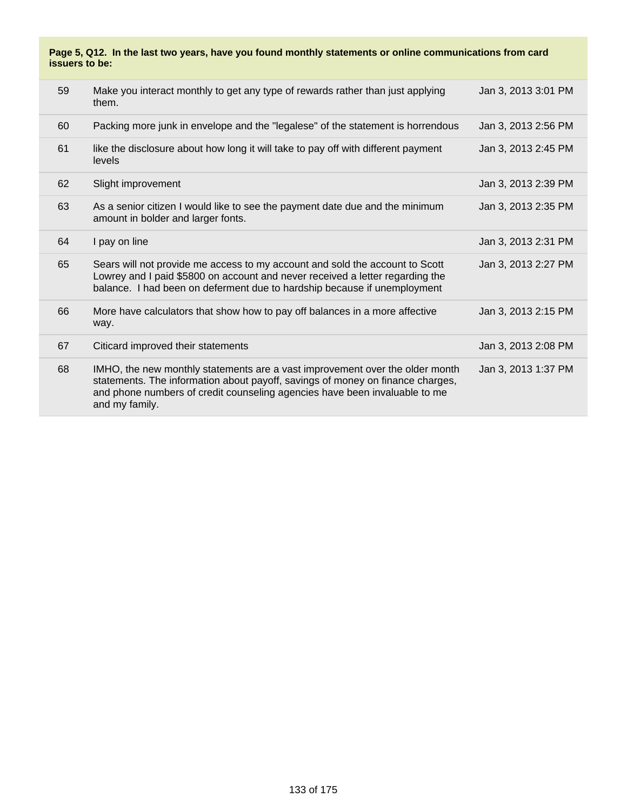### **Page 5, Q12. In the last two years, have you found monthly statements or online communications from card issuers to be:**

| 59 | Make you interact monthly to get any type of rewards rather than just applying<br>them.                                                                                                                                                                        | Jan 3, 2013 3:01 PM |
|----|----------------------------------------------------------------------------------------------------------------------------------------------------------------------------------------------------------------------------------------------------------------|---------------------|
| 60 | Packing more junk in envelope and the "legalese" of the statement is horrendous                                                                                                                                                                                | Jan 3, 2013 2:56 PM |
| 61 | like the disclosure about how long it will take to pay off with different payment<br>levels                                                                                                                                                                    | Jan 3, 2013 2:45 PM |
| 62 | Slight improvement                                                                                                                                                                                                                                             | Jan 3, 2013 2:39 PM |
| 63 | As a senior citizen I would like to see the payment date due and the minimum<br>amount in bolder and larger fonts.                                                                                                                                             | Jan 3, 2013 2:35 PM |
| 64 | I pay on line                                                                                                                                                                                                                                                  | Jan 3, 2013 2:31 PM |
| 65 | Sears will not provide me access to my account and sold the account to Scott<br>Lowrey and I paid \$5800 on account and never received a letter regarding the<br>balance. I had been on deferment due to hardship because if unemployment                      | Jan 3, 2013 2:27 PM |
| 66 | More have calculators that show how to pay off balances in a more affective<br>way.                                                                                                                                                                            | Jan 3, 2013 2:15 PM |
| 67 | Citicard improved their statements                                                                                                                                                                                                                             | Jan 3, 2013 2:08 PM |
| 68 | IMHO, the new monthly statements are a vast improvement over the older month<br>statements. The information about payoff, savings of money on finance charges,<br>and phone numbers of credit counseling agencies have been invaluable to me<br>and my family. | Jan 3, 2013 1:37 PM |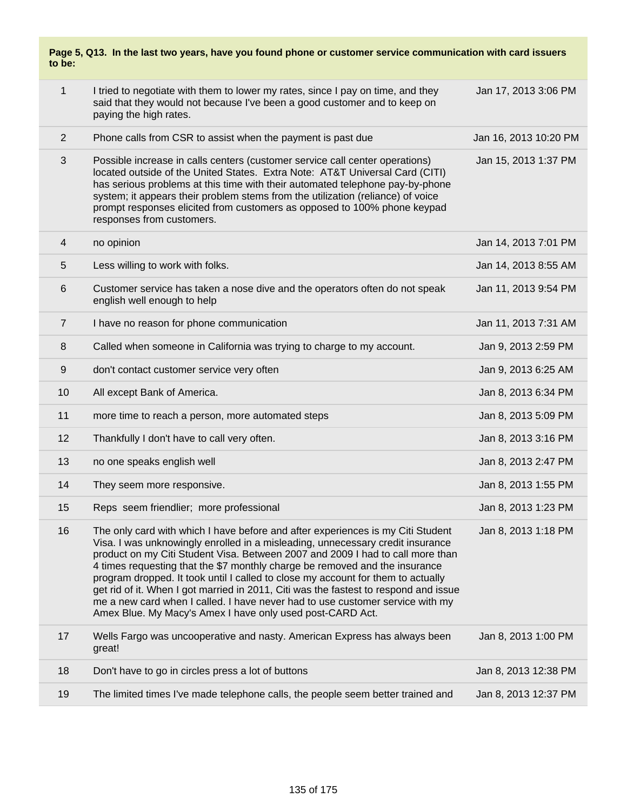### **Page 5, Q13. In the last two years, have you found phone or customer service communication with card issuers to be:**

| $\mathbf{1}$   | I tried to negotiate with them to lower my rates, since I pay on time, and they<br>said that they would not because I've been a good customer and to keep on<br>paying the high rates.                                                                                                                                                                                                                                                                                                                                                                                                                                                                       | Jan 17, 2013 3:06 PM  |
|----------------|--------------------------------------------------------------------------------------------------------------------------------------------------------------------------------------------------------------------------------------------------------------------------------------------------------------------------------------------------------------------------------------------------------------------------------------------------------------------------------------------------------------------------------------------------------------------------------------------------------------------------------------------------------------|-----------------------|
| $\overline{2}$ | Phone calls from CSR to assist when the payment is past due                                                                                                                                                                                                                                                                                                                                                                                                                                                                                                                                                                                                  | Jan 16, 2013 10:20 PM |
| 3              | Possible increase in calls centers (customer service call center operations)<br>located outside of the United States. Extra Note: AT&T Universal Card (CITI)<br>has serious problems at this time with their automated telephone pay-by-phone<br>system; it appears their problem stems from the utilization (reliance) of voice<br>prompt responses elicited from customers as opposed to 100% phone keypad<br>responses from customers.                                                                                                                                                                                                                    | Jan 15, 2013 1:37 PM  |
| 4              | no opinion                                                                                                                                                                                                                                                                                                                                                                                                                                                                                                                                                                                                                                                   | Jan 14, 2013 7:01 PM  |
| 5              | Less willing to work with folks.                                                                                                                                                                                                                                                                                                                                                                                                                                                                                                                                                                                                                             | Jan 14, 2013 8:55 AM  |
| 6              | Customer service has taken a nose dive and the operators often do not speak<br>english well enough to help                                                                                                                                                                                                                                                                                                                                                                                                                                                                                                                                                   | Jan 11, 2013 9:54 PM  |
| $\overline{7}$ | I have no reason for phone communication                                                                                                                                                                                                                                                                                                                                                                                                                                                                                                                                                                                                                     | Jan 11, 2013 7:31 AM  |
| 8              | Called when someone in California was trying to charge to my account.                                                                                                                                                                                                                                                                                                                                                                                                                                                                                                                                                                                        | Jan 9, 2013 2:59 PM   |
| 9              | don't contact customer service very often                                                                                                                                                                                                                                                                                                                                                                                                                                                                                                                                                                                                                    | Jan 9, 2013 6:25 AM   |
| 10             | All except Bank of America.                                                                                                                                                                                                                                                                                                                                                                                                                                                                                                                                                                                                                                  | Jan 8, 2013 6:34 PM   |
| 11             | more time to reach a person, more automated steps                                                                                                                                                                                                                                                                                                                                                                                                                                                                                                                                                                                                            | Jan 8, 2013 5:09 PM   |
| 12             | Thankfully I don't have to call very often.                                                                                                                                                                                                                                                                                                                                                                                                                                                                                                                                                                                                                  | Jan 8, 2013 3:16 PM   |
| 13             | no one speaks english well                                                                                                                                                                                                                                                                                                                                                                                                                                                                                                                                                                                                                                   | Jan 8, 2013 2:47 PM   |
| 14             | They seem more responsive.                                                                                                                                                                                                                                                                                                                                                                                                                                                                                                                                                                                                                                   | Jan 8, 2013 1:55 PM   |
| 15             | Reps seem friendlier; more professional                                                                                                                                                                                                                                                                                                                                                                                                                                                                                                                                                                                                                      | Jan 8, 2013 1:23 PM   |
| 16             | The only card with which I have before and after experiences is my Citi Student<br>Visa. I was unknowingly enrolled in a misleading, unnecessary credit insurance<br>product on my Citi Student Visa. Between 2007 and 2009 I had to call more than<br>4 times requesting that the \$7 monthly charge be removed and the insurance<br>program dropped. It took until I called to close my account for them to actually<br>get rid of it. When I got married in 2011, Citi was the fastest to respond and issue<br>me a new card when I called. I have never had to use customer service with my<br>Amex Blue. My Macy's Amex I have only used post-CARD Act. | Jan 8. 2013 1:18 PM   |
| 17             | Wells Fargo was uncooperative and nasty. American Express has always been<br>great!                                                                                                                                                                                                                                                                                                                                                                                                                                                                                                                                                                          | Jan 8, 2013 1:00 PM   |
| 18             | Don't have to go in circles press a lot of buttons                                                                                                                                                                                                                                                                                                                                                                                                                                                                                                                                                                                                           | Jan 8, 2013 12:38 PM  |
| 19             | The limited times I've made telephone calls, the people seem better trained and                                                                                                                                                                                                                                                                                                                                                                                                                                                                                                                                                                              | Jan 8, 2013 12:37 PM  |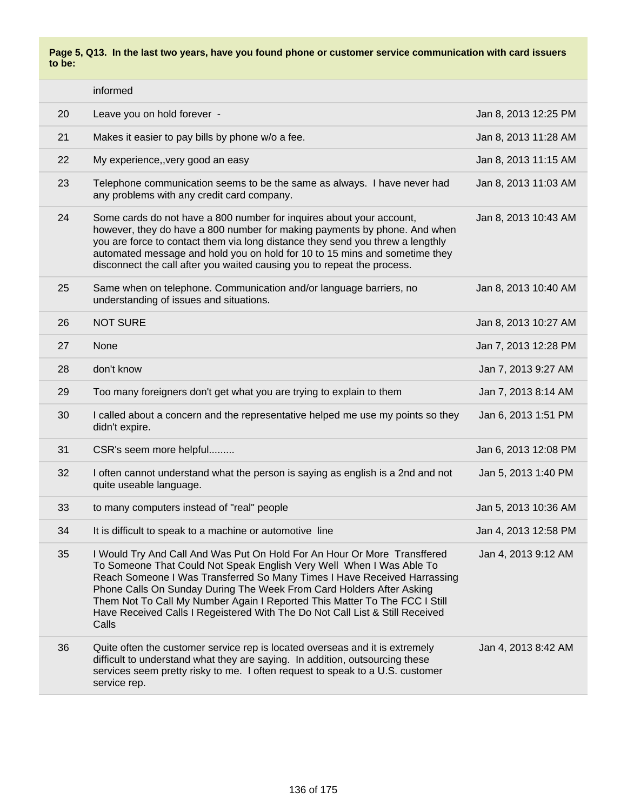**Page 5, Q13. In the last two years, have you found phone or customer service communication with card issuers to be:**

|    | informed                                                                                                                                                                                                                                                                                                                                                                                                                                                                    |                      |
|----|-----------------------------------------------------------------------------------------------------------------------------------------------------------------------------------------------------------------------------------------------------------------------------------------------------------------------------------------------------------------------------------------------------------------------------------------------------------------------------|----------------------|
| 20 | Leave you on hold forever -                                                                                                                                                                                                                                                                                                                                                                                                                                                 | Jan 8, 2013 12:25 PM |
| 21 | Makes it easier to pay bills by phone w/o a fee.                                                                                                                                                                                                                                                                                                                                                                                                                            | Jan 8, 2013 11:28 AM |
| 22 | My experience,, very good an easy                                                                                                                                                                                                                                                                                                                                                                                                                                           | Jan 8, 2013 11:15 AM |
| 23 | Telephone communication seems to be the same as always. I have never had<br>any problems with any credit card company.                                                                                                                                                                                                                                                                                                                                                      | Jan 8, 2013 11:03 AM |
| 24 | Some cards do not have a 800 number for inquires about your account,<br>however, they do have a 800 number for making payments by phone. And when<br>you are force to contact them via long distance they send you threw a lengthly<br>automated message and hold you on hold for 10 to 15 mins and sometime they<br>disconnect the call after you waited causing you to repeat the process.                                                                                | Jan 8, 2013 10:43 AM |
| 25 | Same when on telephone. Communication and/or language barriers, no<br>understanding of issues and situations.                                                                                                                                                                                                                                                                                                                                                               | Jan 8, 2013 10:40 AM |
| 26 | <b>NOT SURE</b>                                                                                                                                                                                                                                                                                                                                                                                                                                                             | Jan 8, 2013 10:27 AM |
| 27 | None                                                                                                                                                                                                                                                                                                                                                                                                                                                                        | Jan 7, 2013 12:28 PM |
| 28 | don't know                                                                                                                                                                                                                                                                                                                                                                                                                                                                  | Jan 7, 2013 9:27 AM  |
| 29 | Too many foreigners don't get what you are trying to explain to them                                                                                                                                                                                                                                                                                                                                                                                                        | Jan 7, 2013 8:14 AM  |
| 30 | I called about a concern and the representative helped me use my points so they<br>didn't expire.                                                                                                                                                                                                                                                                                                                                                                           | Jan 6, 2013 1:51 PM  |
| 31 | CSR's seem more helpful                                                                                                                                                                                                                                                                                                                                                                                                                                                     | Jan 6, 2013 12:08 PM |
| 32 | I often cannot understand what the person is saying as english is a 2nd and not<br>quite useable language.                                                                                                                                                                                                                                                                                                                                                                  | Jan 5, 2013 1:40 PM  |
| 33 | to many computers instead of "real" people                                                                                                                                                                                                                                                                                                                                                                                                                                  | Jan 5, 2013 10:36 AM |
| 34 | It is difficult to speak to a machine or automotive line                                                                                                                                                                                                                                                                                                                                                                                                                    | Jan 4, 2013 12:58 PM |
| 35 | I Would Try And Call And Was Put On Hold For An Hour Or More Transffered<br>To Someone That Could Not Speak English Very Well When I Was Able To<br>Reach Someone I Was Transferred So Many Times I Have Received Harrassing<br>Phone Calls On Sunday During The Week From Card Holders After Asking<br>Them Not To Call My Number Again I Reported This Matter To The FCC I Still<br>Have Received Calls I Regeistered With The Do Not Call List & Still Received<br>Calls | Jan 4, 2013 9:12 AM  |
| 36 | Quite often the customer service rep is located overseas and it is extremely<br>difficult to understand what they are saying. In addition, outsourcing these<br>services seem pretty risky to me. I often request to speak to a U.S. customer<br>service rep.                                                                                                                                                                                                               | Jan 4, 2013 8:42 AM  |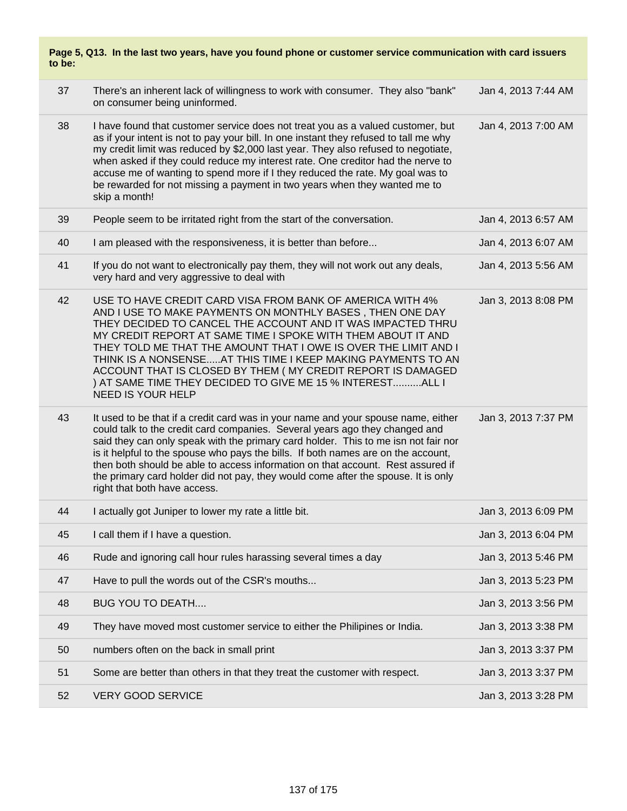|        | Page 5, Q13. In the last two years, have you found phone or customer service communication with card issuers |  |  |
|--------|--------------------------------------------------------------------------------------------------------------|--|--|
| to be: |                                                                                                              |  |  |

| 37 | There's an inherent lack of willingness to work with consumer. They also "bank"<br>on consumer being uninformed.                                                                                                                                                                                                                                                                                                                                                                                                                                    | Jan 4, 2013 7:44 AM |
|----|-----------------------------------------------------------------------------------------------------------------------------------------------------------------------------------------------------------------------------------------------------------------------------------------------------------------------------------------------------------------------------------------------------------------------------------------------------------------------------------------------------------------------------------------------------|---------------------|
| 38 | I have found that customer service does not treat you as a valued customer, but<br>as if your intent is not to pay your bill. In one instant they refused to tall me why<br>my credit limit was reduced by \$2,000 last year. They also refused to negotiate,<br>when asked if they could reduce my interest rate. One creditor had the nerve to<br>accuse me of wanting to spend more if I they reduced the rate. My goal was to<br>be rewarded for not missing a payment in two years when they wanted me to<br>skip a month!                     | Jan 4, 2013 7:00 AM |
| 39 | People seem to be irritated right from the start of the conversation.                                                                                                                                                                                                                                                                                                                                                                                                                                                                               | Jan 4, 2013 6:57 AM |
| 40 | I am pleased with the responsiveness, it is better than before                                                                                                                                                                                                                                                                                                                                                                                                                                                                                      | Jan 4, 2013 6:07 AM |
| 41 | If you do not want to electronically pay them, they will not work out any deals,<br>very hard and very aggressive to deal with                                                                                                                                                                                                                                                                                                                                                                                                                      | Jan 4, 2013 5:56 AM |
| 42 | USE TO HAVE CREDIT CARD VISA FROM BANK OF AMERICA WITH 4%<br>AND I USE TO MAKE PAYMENTS ON MONTHLY BASES, THEN ONE DAY<br>THEY DECIDED TO CANCEL THE ACCOUNT AND IT WAS IMPACTED THRU<br>MY CREDIT REPORT AT SAME TIME I SPOKE WITH THEM ABOUT IT AND<br>THEY TOLD ME THAT THE AMOUNT THAT I OWE IS OVER THE LIMIT AND I<br>THINK IS A NONSENSEAT THIS TIME I KEEP MAKING PAYMENTS TO AN<br>ACCOUNT THAT IS CLOSED BY THEM ( MY CREDIT REPORT IS DAMAGED<br>) AT SAME TIME THEY DECIDED TO GIVE ME 15 % INTERESTALL I<br>NEED IS YOUR HELP          | Jan 3, 2013 8:08 PM |
| 43 | It used to be that if a credit card was in your name and your spouse name, either<br>could talk to the credit card companies. Several years ago they changed and<br>said they can only speak with the primary card holder. This to me isn not fair nor<br>is it helpful to the spouse who pays the bills. If both names are on the account,<br>then both should be able to access information on that account. Rest assured if<br>the primary card holder did not pay, they would come after the spouse. It is only<br>right that both have access. | Jan 3, 2013 7:37 PM |
| 44 | I actually got Juniper to lower my rate a little bit.                                                                                                                                                                                                                                                                                                                                                                                                                                                                                               | Jan 3, 2013 6:09 PM |
| 45 | I call them if I have a question.                                                                                                                                                                                                                                                                                                                                                                                                                                                                                                                   | Jan 3, 2013 6:04 PM |
| 46 | Rude and ignoring call hour rules harassing several times a day                                                                                                                                                                                                                                                                                                                                                                                                                                                                                     | Jan 3, 2013 5:46 PM |
| 47 | Have to pull the words out of the CSR's mouths                                                                                                                                                                                                                                                                                                                                                                                                                                                                                                      | Jan 3, 2013 5:23 PM |
| 48 | <b>BUG YOU TO DEATH</b>                                                                                                                                                                                                                                                                                                                                                                                                                                                                                                                             | Jan 3, 2013 3:56 PM |
| 49 | They have moved most customer service to either the Philipines or India.                                                                                                                                                                                                                                                                                                                                                                                                                                                                            | Jan 3, 2013 3:38 PM |
| 50 | numbers often on the back in small print                                                                                                                                                                                                                                                                                                                                                                                                                                                                                                            | Jan 3, 2013 3:37 PM |
| 51 | Some are better than others in that they treat the customer with respect.                                                                                                                                                                                                                                                                                                                                                                                                                                                                           | Jan 3, 2013 3:37 PM |
| 52 | <b>VERY GOOD SERVICE</b>                                                                                                                                                                                                                                                                                                                                                                                                                                                                                                                            | Jan 3, 2013 3:28 PM |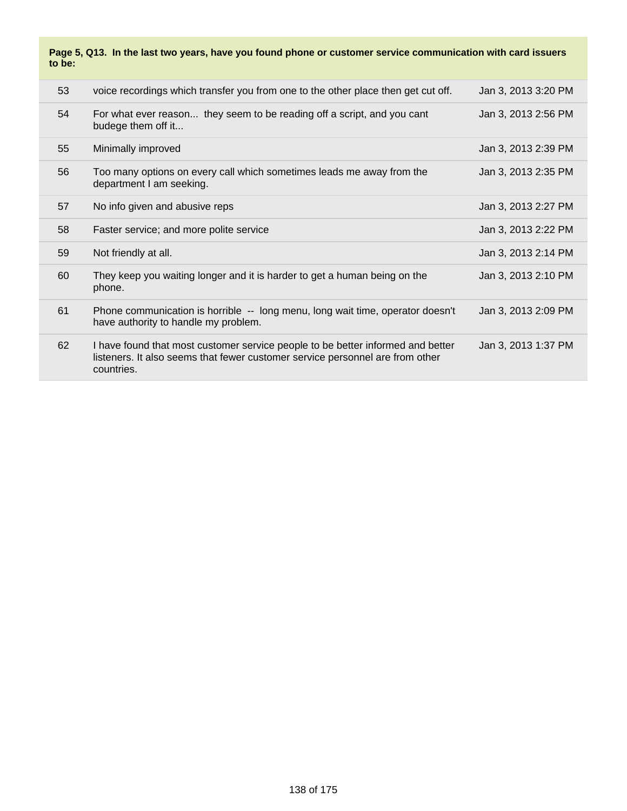### **Page 5, Q13. In the last two years, have you found phone or customer service communication with card issuers to be:**

| 53 | voice recordings which transfer you from one to the other place then get cut off.                                                                                              | Jan 3, 2013 3:20 PM |
|----|--------------------------------------------------------------------------------------------------------------------------------------------------------------------------------|---------------------|
| 54 | For what ever reason they seem to be reading off a script, and you cant<br>budege them off it                                                                                  | Jan 3, 2013 2:56 PM |
| 55 | Minimally improved                                                                                                                                                             | Jan 3, 2013 2:39 PM |
| 56 | Too many options on every call which sometimes leads me away from the<br>department I am seeking.                                                                              | Jan 3, 2013 2:35 PM |
| 57 | No info given and abusive reps                                                                                                                                                 | Jan 3, 2013 2:27 PM |
| 58 | Faster service; and more polite service                                                                                                                                        | Jan 3, 2013 2:22 PM |
| 59 | Not friendly at all.                                                                                                                                                           | Jan 3, 2013 2:14 PM |
| 60 | They keep you waiting longer and it is harder to get a human being on the<br>phone.                                                                                            | Jan 3, 2013 2:10 PM |
| 61 | Phone communication is horrible -- long menu, long wait time, operator doesn't<br>have authority to handle my problem.                                                         | Jan 3, 2013 2:09 PM |
| 62 | I have found that most customer service people to be better informed and better<br>listeners. It also seems that fewer customer service personnel are from other<br>countries. | Jan 3, 2013 1:37 PM |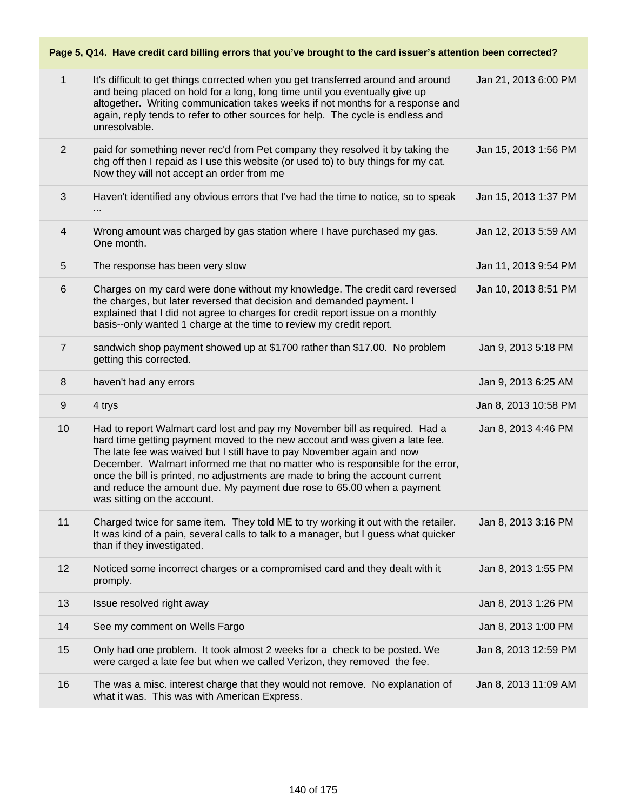# **Page 5, Q14. Have credit card billing errors that you've brought to the card issuer's attention been corrected?**

| 1              | It's difficult to get things corrected when you get transferred around and around<br>and being placed on hold for a long, long time until you eventually give up<br>altogether. Writing communication takes weeks if not months for a response and<br>again, reply tends to refer to other sources for help. The cycle is endless and<br>unresolvable.                                                                                                                                                            | Jan 21, 2013 6:00 PM |
|----------------|-------------------------------------------------------------------------------------------------------------------------------------------------------------------------------------------------------------------------------------------------------------------------------------------------------------------------------------------------------------------------------------------------------------------------------------------------------------------------------------------------------------------|----------------------|
| $\overline{2}$ | paid for something never rec'd from Pet company they resolved it by taking the<br>chg off then I repaid as I use this website (or used to) to buy things for my cat.<br>Now they will not accept an order from me                                                                                                                                                                                                                                                                                                 | Jan 15, 2013 1:56 PM |
| 3              | Haven't identified any obvious errors that I've had the time to notice, so to speak                                                                                                                                                                                                                                                                                                                                                                                                                               | Jan 15, 2013 1:37 PM |
| $\overline{4}$ | Wrong amount was charged by gas station where I have purchased my gas.<br>One month.                                                                                                                                                                                                                                                                                                                                                                                                                              | Jan 12, 2013 5:59 AM |
| 5              | The response has been very slow                                                                                                                                                                                                                                                                                                                                                                                                                                                                                   | Jan 11, 2013 9:54 PM |
| 6              | Charges on my card were done without my knowledge. The credit card reversed<br>the charges, but later reversed that decision and demanded payment. I<br>explained that I did not agree to charges for credit report issue on a monthly<br>basis--only wanted 1 charge at the time to review my credit report.                                                                                                                                                                                                     | Jan 10, 2013 8:51 PM |
| $\overline{7}$ | sandwich shop payment showed up at \$1700 rather than \$17.00. No problem<br>getting this corrected.                                                                                                                                                                                                                                                                                                                                                                                                              | Jan 9, 2013 5:18 PM  |
| 8              | haven't had any errors                                                                                                                                                                                                                                                                                                                                                                                                                                                                                            | Jan 9, 2013 6:25 AM  |
| $9\,$          | 4 trys                                                                                                                                                                                                                                                                                                                                                                                                                                                                                                            | Jan 8, 2013 10:58 PM |
| 10             | Had to report Walmart card lost and pay my November bill as required. Had a<br>hard time getting payment moved to the new accout and was given a late fee.<br>The late fee was waived but I still have to pay November again and now<br>December. Walmart informed me that no matter who is responsible for the error,<br>once the bill is printed, no adjustments are made to bring the account current<br>and reduce the amount due. My payment due rose to 65.00 when a payment<br>was sitting on the account. | Jan 8, 2013 4:46 PM  |
| 11             | Charged twice for same item. They told ME to try working it out with the retailer.<br>It was kind of a pain, several calls to talk to a manager, but I guess what quicker<br>than if they investigated.                                                                                                                                                                                                                                                                                                           | Jan 8, 2013 3:16 PM  |
| 12             | Noticed some incorrect charges or a compromised card and they dealt with it<br>promply.                                                                                                                                                                                                                                                                                                                                                                                                                           | Jan 8, 2013 1:55 PM  |
| 13             | Issue resolved right away                                                                                                                                                                                                                                                                                                                                                                                                                                                                                         | Jan 8, 2013 1:26 PM  |
| 14             | See my comment on Wells Fargo                                                                                                                                                                                                                                                                                                                                                                                                                                                                                     | Jan 8, 2013 1:00 PM  |
| 15             | Only had one problem. It took almost 2 weeks for a check to be posted. We<br>were carged a late fee but when we called Verizon, they removed the fee.                                                                                                                                                                                                                                                                                                                                                             | Jan 8, 2013 12:59 PM |
| 16             | The was a misc. interest charge that they would not remove. No explanation of<br>what it was. This was with American Express.                                                                                                                                                                                                                                                                                                                                                                                     | Jan 8, 2013 11:09 AM |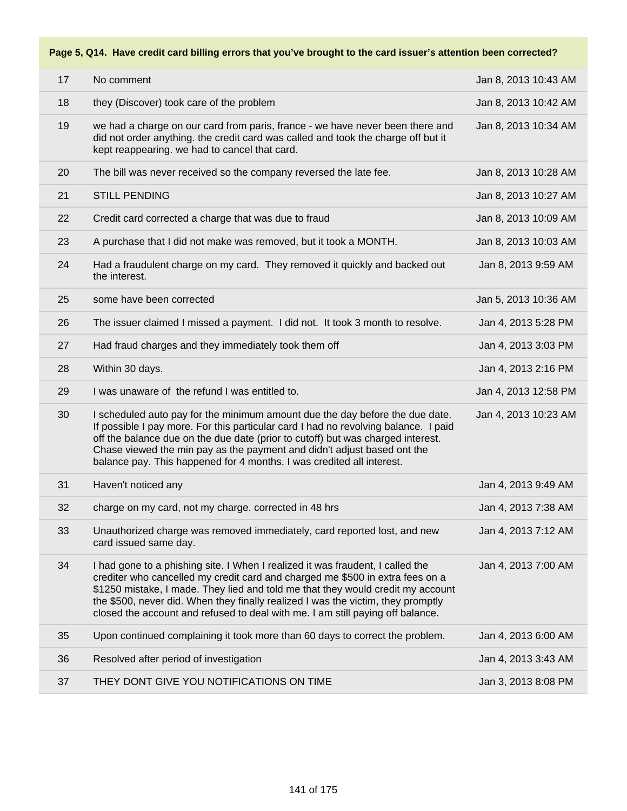## **Page 5, Q14. Have credit card billing errors that you've brought to the card issuer's attention been corrected?**

| 17 | No comment                                                                                                                                                                                                                                                                                                                                                                                                 | Jan 8, 2013 10:43 AM |
|----|------------------------------------------------------------------------------------------------------------------------------------------------------------------------------------------------------------------------------------------------------------------------------------------------------------------------------------------------------------------------------------------------------------|----------------------|
| 18 | they (Discover) took care of the problem                                                                                                                                                                                                                                                                                                                                                                   | Jan 8, 2013 10:42 AM |
| 19 | we had a charge on our card from paris, france - we have never been there and<br>did not order anything. the credit card was called and took the charge off but it<br>kept reappearing. we had to cancel that card.                                                                                                                                                                                        | Jan 8, 2013 10:34 AM |
| 20 | The bill was never received so the company reversed the late fee.                                                                                                                                                                                                                                                                                                                                          | Jan 8, 2013 10:28 AM |
| 21 | <b>STILL PENDING</b>                                                                                                                                                                                                                                                                                                                                                                                       | Jan 8, 2013 10:27 AM |
| 22 | Credit card corrected a charge that was due to fraud                                                                                                                                                                                                                                                                                                                                                       | Jan 8, 2013 10:09 AM |
| 23 | A purchase that I did not make was removed, but it took a MONTH.                                                                                                                                                                                                                                                                                                                                           | Jan 8, 2013 10:03 AM |
| 24 | Had a fraudulent charge on my card. They removed it quickly and backed out<br>the interest.                                                                                                                                                                                                                                                                                                                | Jan 8, 2013 9:59 AM  |
| 25 | some have been corrected                                                                                                                                                                                                                                                                                                                                                                                   | Jan 5, 2013 10:36 AM |
| 26 | The issuer claimed I missed a payment. I did not. It took 3 month to resolve.                                                                                                                                                                                                                                                                                                                              | Jan 4, 2013 5:28 PM  |
| 27 | Had fraud charges and they immediately took them off                                                                                                                                                                                                                                                                                                                                                       | Jan 4, 2013 3:03 PM  |
| 28 | Within 30 days.                                                                                                                                                                                                                                                                                                                                                                                            | Jan 4, 2013 2:16 PM  |
| 29 | I was unaware of the refund I was entitled to.                                                                                                                                                                                                                                                                                                                                                             | Jan 4, 2013 12:58 PM |
| 30 | I scheduled auto pay for the minimum amount due the day before the due date.<br>If possible I pay more. For this particular card I had no revolving balance. I paid<br>off the balance due on the due date (prior to cutoff) but was charged interest.<br>Chase viewed the min pay as the payment and didn't adjust based ont the<br>balance pay. This happened for 4 months. I was credited all interest. | Jan 4, 2013 10:23 AM |
| 31 | Haven't noticed any                                                                                                                                                                                                                                                                                                                                                                                        | Jan 4, 2013 9:49 AM  |
| 32 | charge on my card, not my charge. corrected in 48 hrs                                                                                                                                                                                                                                                                                                                                                      | Jan 4, 2013 7:38 AM  |
| 33 | Unauthorized charge was removed immediately, card reported lost, and new<br>card issued same day.                                                                                                                                                                                                                                                                                                          | Jan 4, 2013 7:12 AM  |
| 34 | I had gone to a phishing site. I When I realized it was fraudent, I called the                                                                                                                                                                                                                                                                                                                             | Jan 4, 2013 7:00 AM  |
|    | crediter who cancelled my credit card and charged me \$500 in extra fees on a<br>\$1250 mistake, I made. They lied and told me that they would credit my account<br>the \$500, never did. When they finally realized I was the victim, they promptly<br>closed the account and refused to deal with me. I am still paying off balance.                                                                     |                      |
| 35 | Upon continued complaining it took more than 60 days to correct the problem.                                                                                                                                                                                                                                                                                                                               | Jan 4, 2013 6:00 AM  |
| 36 | Resolved after period of investigation                                                                                                                                                                                                                                                                                                                                                                     | Jan 4, 2013 3:43 AM  |
| 37 | THEY DONT GIVE YOU NOTIFICATIONS ON TIME                                                                                                                                                                                                                                                                                                                                                                   | Jan 3, 2013 8:08 PM  |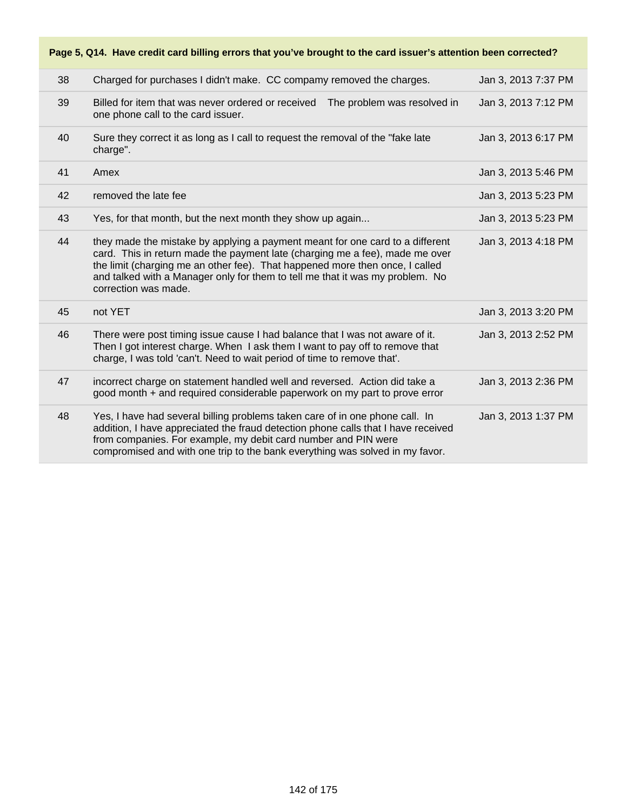38 Charged for purchases I didn't make. CC compamy removed the charges. Jan 3, 2013 7:37 PM 39 Billed for item that was never ordered or received The problem was resolved in one phone call to the card issuer. Jan 3, 2013 7:12 PM 40 Sure they correct it as long as I call to request the removal of the "fake late charge". Jan 3, 2013 6:17 PM Amex Jan 3, 2013 5:46 PM A removed the late fee A removed the late fee A removed the late fee A removed the late fee A removed the late fee 43 Yes, for that month, but the next month they show up again... Jan 3, 2013 5:23 PM 44 they made the mistake by applying a payment meant for one card to a different card. This in return made the payment late (charging me a fee), made me over the limit (charging me an other fee). That happened more then once, I called and talked with a Manager only for them to tell me that it was my problem. No correction was made. Jan 3, 2013 4:18 PM 45 not YET Jan 3, 2013 3:20 PM 46 There were post timing issue cause I had balance that I was not aware of it. Then I got interest charge. When I ask them I want to pay off to remove that charge, I was told 'can't. Need to wait period of time to remove that'. Jan 3, 2013 2:52 PM 47 incorrect charge on statement handled well and reversed. Action did take a good month + and required considerable paperwork on my part to prove error Jan 3, 2013 2:36 PM 48 Yes, I have had several billing problems taken care of in one phone call. In addition, I have appreciated the fraud detection phone calls that I have received from companies. For example, my debit card number and PIN were compromised and with one trip to the bank everything was solved in my favor. Jan 3, 2013 1:37 PM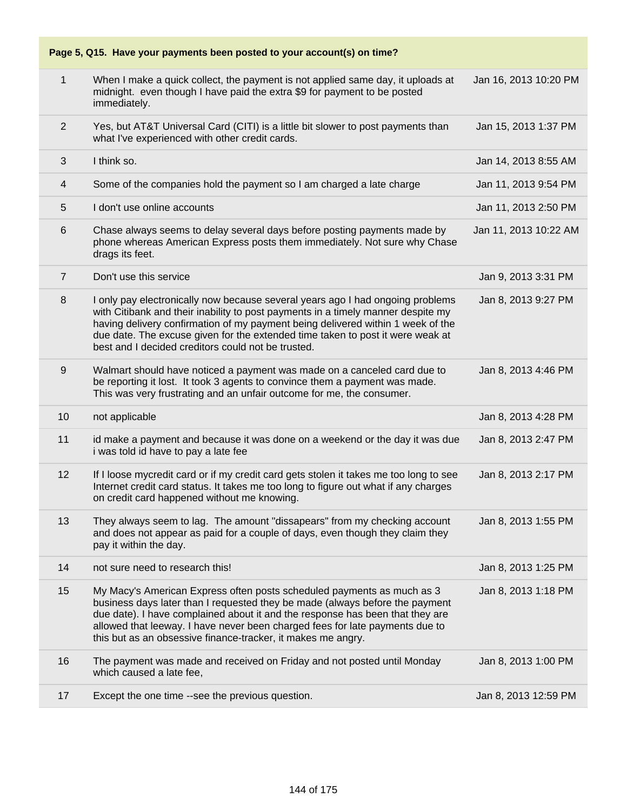

| 1              | When I make a quick collect, the payment is not applied same day, it uploads at<br>midnight. even though I have paid the extra \$9 for payment to be posted<br>immediately.                                                                                                                                                                                                                   | Jan 16, 2013 10:20 PM |
|----------------|-----------------------------------------------------------------------------------------------------------------------------------------------------------------------------------------------------------------------------------------------------------------------------------------------------------------------------------------------------------------------------------------------|-----------------------|
| $\overline{2}$ | Yes, but AT&T Universal Card (CITI) is a little bit slower to post payments than<br>what I've experienced with other credit cards.                                                                                                                                                                                                                                                            | Jan 15, 2013 1:37 PM  |
| 3              | I think so.                                                                                                                                                                                                                                                                                                                                                                                   | Jan 14, 2013 8:55 AM  |
| 4              | Some of the companies hold the payment so I am charged a late charge                                                                                                                                                                                                                                                                                                                          | Jan 11, 2013 9:54 PM  |
| $\overline{5}$ | I don't use online accounts                                                                                                                                                                                                                                                                                                                                                                   | Jan 11, 2013 2:50 PM  |
| $6\,$          | Chase always seems to delay several days before posting payments made by<br>phone whereas American Express posts them immediately. Not sure why Chase<br>drags its feet.                                                                                                                                                                                                                      | Jan 11, 2013 10:22 AM |
| $\overline{7}$ | Don't use this service                                                                                                                                                                                                                                                                                                                                                                        | Jan 9, 2013 3:31 PM   |
| 8              | I only pay electronically now because several years ago I had ongoing problems<br>with Citibank and their inability to post payments in a timely manner despite my<br>having delivery confirmation of my payment being delivered within 1 week of the<br>due date. The excuse given for the extended time taken to post it were weak at<br>best and I decided creditors could not be trusted. | Jan 8, 2013 9:27 PM   |
| 9              | Walmart should have noticed a payment was made on a canceled card due to<br>be reporting it lost. It took 3 agents to convince them a payment was made.<br>This was very frustrating and an unfair outcome for me, the consumer.                                                                                                                                                              | Jan 8, 2013 4:46 PM   |
| 10             | not applicable                                                                                                                                                                                                                                                                                                                                                                                | Jan 8, 2013 4:28 PM   |
| 11             | id make a payment and because it was done on a weekend or the day it was due<br>i was told id have to pay a late fee                                                                                                                                                                                                                                                                          | Jan 8, 2013 2:47 PM   |
| 12             | If I loose mycredit card or if my credit card gets stolen it takes me too long to see<br>Internet credit card status. It takes me too long to figure out what if any charges<br>on credit card happened without me knowing.                                                                                                                                                                   | Jan 8, 2013 2:17 PM   |
| 13             | They always seem to lag. The amount "dissapears" from my checking account<br>and does not appear as paid for a couple of days, even though they claim they<br>pay it within the day.                                                                                                                                                                                                          | Jan 8, 2013 1:55 PM   |
| 14             | not sure need to research this!                                                                                                                                                                                                                                                                                                                                                               | Jan 8, 2013 1:25 PM   |
| 15             | My Macy's American Express often posts scheduled payments as much as 3<br>business days later than I requested they be made (always before the payment<br>due date). I have complained about it and the response has been that they are<br>allowed that leeway. I have never been charged fees for late payments due to<br>this but as an obsessive finance-tracker, it makes me angry.       | Jan 8, 2013 1:18 PM   |
| 16             | The payment was made and received on Friday and not posted until Monday<br>which caused a late fee,                                                                                                                                                                                                                                                                                           | Jan 8, 2013 1:00 PM   |
| 17             | Except the one time --see the previous question.                                                                                                                                                                                                                                                                                                                                              | Jan 8, 2013 12:59 PM  |
|                |                                                                                                                                                                                                                                                                                                                                                                                               |                       |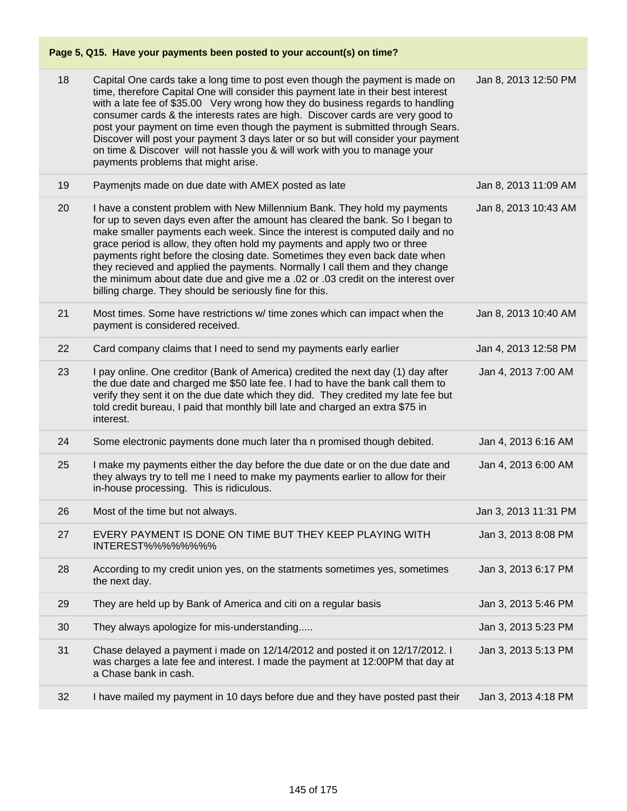# **Page 5, Q15. Have your payments been posted to your account(s) on time?**

| 18 | Capital One cards take a long time to post even though the payment is made on<br>time, therefore Capital One will consider this payment late in their best interest<br>with a late fee of \$35.00 Very wrong how they do business regards to handling<br>consumer cards & the interests rates are high. Discover cards are very good to<br>post your payment on time even though the payment is submitted through Sears.<br>Discover will post your payment 3 days later or so but will consider your payment<br>on time & Discover will not hassle you & will work with you to manage your<br>payments problems that might arise.   | Jan 8, 2013 12:50 PM |
|----|--------------------------------------------------------------------------------------------------------------------------------------------------------------------------------------------------------------------------------------------------------------------------------------------------------------------------------------------------------------------------------------------------------------------------------------------------------------------------------------------------------------------------------------------------------------------------------------------------------------------------------------|----------------------|
| 19 | Paymenjts made on due date with AMEX posted as late                                                                                                                                                                                                                                                                                                                                                                                                                                                                                                                                                                                  | Jan 8, 2013 11:09 AM |
| 20 | I have a constent problem with New Millennium Bank. They hold my payments<br>for up to seven days even after the amount has cleared the bank. So I began to<br>make smaller payments each week. Since the interest is computed daily and no<br>grace period is allow, they often hold my payments and apply two or three<br>payments right before the closing date. Sometimes they even back date when<br>they recieved and applied the payments. Normally I call them and they change<br>the minimum about date due and give me a .02 or .03 credit on the interest over<br>billing charge. They should be seriously fine for this. | Jan 8, 2013 10:43 AM |
| 21 | Most times. Some have restrictions w/ time zones which can impact when the<br>payment is considered received.                                                                                                                                                                                                                                                                                                                                                                                                                                                                                                                        | Jan 8, 2013 10:40 AM |
| 22 | Card company claims that I need to send my payments early earlier                                                                                                                                                                                                                                                                                                                                                                                                                                                                                                                                                                    | Jan 4, 2013 12:58 PM |
| 23 | I pay online. One creditor (Bank of America) credited the next day (1) day after<br>the due date and charged me \$50 late fee. I had to have the bank call them to<br>verify they sent it on the due date which they did. They credited my late fee but<br>told credit bureau, I paid that monthly bill late and charged an extra \$75 in<br>interest.                                                                                                                                                                                                                                                                               | Jan 4, 2013 7:00 AM  |
| 24 | Some electronic payments done much later tha n promised though debited.                                                                                                                                                                                                                                                                                                                                                                                                                                                                                                                                                              | Jan 4, 2013 6:16 AM  |
| 25 | I make my payments either the day before the due date or on the due date and<br>they always try to tell me I need to make my payments earlier to allow for their<br>in-house processing. This is ridiculous.                                                                                                                                                                                                                                                                                                                                                                                                                         | Jan 4, 2013 6:00 AM  |
| 26 | Most of the time but not always.                                                                                                                                                                                                                                                                                                                                                                                                                                                                                                                                                                                                     | Jan 3, 2013 11:31 PM |
| 27 | EVERY PAYMENT IS DONE ON TIME BUT THEY KEEP PLAYING WITH<br>INTEREST%%%%%%%%                                                                                                                                                                                                                                                                                                                                                                                                                                                                                                                                                         | Jan 3, 2013 8:08 PM  |
| 28 | According to my credit union yes, on the statments sometimes yes, sometimes<br>the next day.                                                                                                                                                                                                                                                                                                                                                                                                                                                                                                                                         | Jan 3, 2013 6:17 PM  |
| 29 | They are held up by Bank of America and citi on a regular basis                                                                                                                                                                                                                                                                                                                                                                                                                                                                                                                                                                      | Jan 3, 2013 5:46 PM  |
| 30 | They always apologize for mis-understanding                                                                                                                                                                                                                                                                                                                                                                                                                                                                                                                                                                                          | Jan 3, 2013 5:23 PM  |
| 31 | Chase delayed a payment i made on 12/14/2012 and posted it on 12/17/2012. I<br>was charges a late fee and interest. I made the payment at 12:00PM that day at<br>a Chase bank in cash.                                                                                                                                                                                                                                                                                                                                                                                                                                               | Jan 3, 2013 5:13 PM  |
| 32 | I have mailed my payment in 10 days before due and they have posted past their                                                                                                                                                                                                                                                                                                                                                                                                                                                                                                                                                       | Jan 3, 2013 4:18 PM  |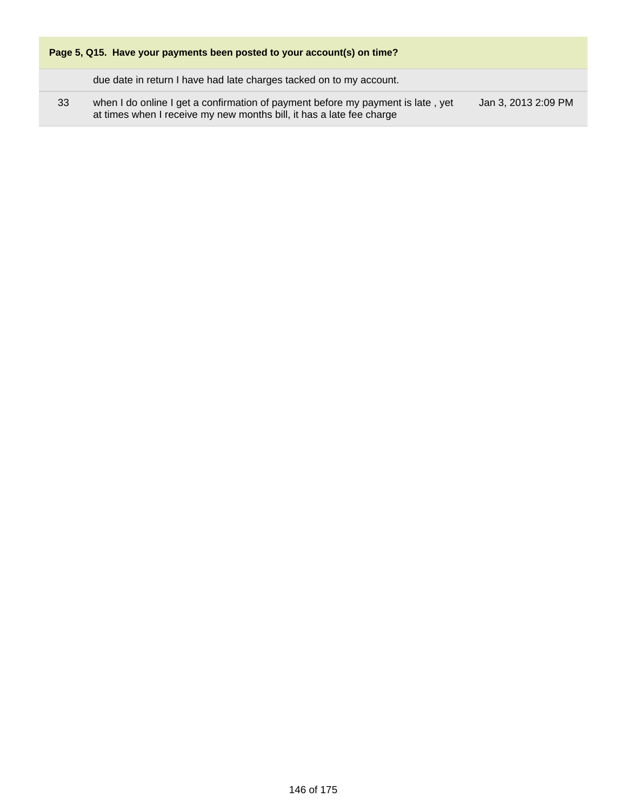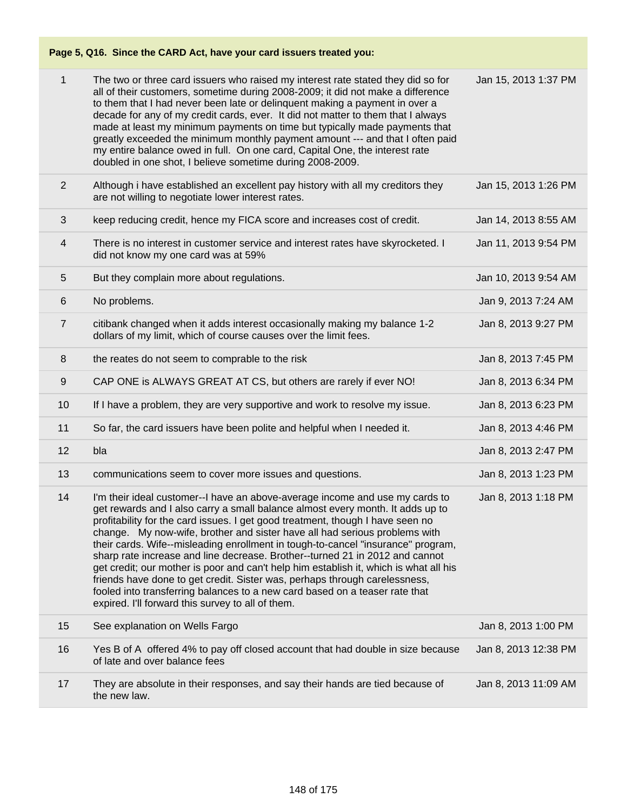# **Page 5, Q16. Since the CARD Act, have your card issuers treated you:**

| 1              | The two or three card issuers who raised my interest rate stated they did so for<br>all of their customers, sometime during 2008-2009; it did not make a difference<br>to them that I had never been late or delinquent making a payment in over a<br>decade for any of my credit cards, ever. It did not matter to them that I always<br>made at least my minimum payments on time but typically made payments that<br>greatly exceeded the minimum monthly payment amount --- and that I often paid<br>my entire balance owed in full. On one card, Capital One, the interest rate<br>doubled in one shot, I believe sometime during 2008-2009.                                                                                                                                                             | Jan 15, 2013 1:37 PM |
|----------------|---------------------------------------------------------------------------------------------------------------------------------------------------------------------------------------------------------------------------------------------------------------------------------------------------------------------------------------------------------------------------------------------------------------------------------------------------------------------------------------------------------------------------------------------------------------------------------------------------------------------------------------------------------------------------------------------------------------------------------------------------------------------------------------------------------------|----------------------|
| $\overline{2}$ | Although i have established an excellent pay history with all my creditors they<br>are not willing to negotiate lower interest rates.                                                                                                                                                                                                                                                                                                                                                                                                                                                                                                                                                                                                                                                                         | Jan 15, 2013 1:26 PM |
| 3              | keep reducing credit, hence my FICA score and increases cost of credit.                                                                                                                                                                                                                                                                                                                                                                                                                                                                                                                                                                                                                                                                                                                                       | Jan 14, 2013 8:55 AM |
| 4              | There is no interest in customer service and interest rates have skyrocketed. I<br>did not know my one card was at 59%                                                                                                                                                                                                                                                                                                                                                                                                                                                                                                                                                                                                                                                                                        | Jan 11, 2013 9:54 PM |
| 5              | But they complain more about regulations.                                                                                                                                                                                                                                                                                                                                                                                                                                                                                                                                                                                                                                                                                                                                                                     | Jan 10, 2013 9:54 AM |
| 6              | No problems.                                                                                                                                                                                                                                                                                                                                                                                                                                                                                                                                                                                                                                                                                                                                                                                                  | Jan 9, 2013 7:24 AM  |
| $\overline{7}$ | citibank changed when it adds interest occasionally making my balance 1-2<br>dollars of my limit, which of course causes over the limit fees.                                                                                                                                                                                                                                                                                                                                                                                                                                                                                                                                                                                                                                                                 | Jan 8, 2013 9:27 PM  |
| 8              | the reates do not seem to comprable to the risk                                                                                                                                                                                                                                                                                                                                                                                                                                                                                                                                                                                                                                                                                                                                                               | Jan 8, 2013 7:45 PM  |
| 9              | CAP ONE is ALWAYS GREAT AT CS, but others are rarely if ever NO!                                                                                                                                                                                                                                                                                                                                                                                                                                                                                                                                                                                                                                                                                                                                              | Jan 8, 2013 6:34 PM  |
| 10             | If I have a problem, they are very supportive and work to resolve my issue.                                                                                                                                                                                                                                                                                                                                                                                                                                                                                                                                                                                                                                                                                                                                   | Jan 8, 2013 6:23 PM  |
| 11             | So far, the card issuers have been polite and helpful when I needed it.                                                                                                                                                                                                                                                                                                                                                                                                                                                                                                                                                                                                                                                                                                                                       | Jan 8, 2013 4:46 PM  |
| 12             | bla                                                                                                                                                                                                                                                                                                                                                                                                                                                                                                                                                                                                                                                                                                                                                                                                           | Jan 8, 2013 2:47 PM  |
| 13             | communications seem to cover more issues and questions.                                                                                                                                                                                                                                                                                                                                                                                                                                                                                                                                                                                                                                                                                                                                                       | Jan 8, 2013 1:23 PM  |
| 14             | I'm their ideal customer--I have an above-average income and use my cards to<br>get rewards and I also carry a small balance almost every month. It adds up to<br>profitability for the card issues. I get good treatment, though I have seen no<br>change. My now-wife, brother and sister have all had serious problems with<br>their cards. Wife--misleading enrollment in tough-to-cancel "insurance" program,<br>sharp rate increase and line decrease. Brother--turned 21 in 2012 and cannot<br>get credit; our mother is poor and can't help him establish it, which is what all his<br>friends have done to get credit. Sister was, perhaps through carelessness,<br>fooled into transferring balances to a new card based on a teaser rate that<br>expired. I'll forward this survey to all of them. | Jan 8, 2013 1:18 PM  |
| 15             | See explanation on Wells Fargo                                                                                                                                                                                                                                                                                                                                                                                                                                                                                                                                                                                                                                                                                                                                                                                | Jan 8, 2013 1:00 PM  |
| 16             | Yes B of A offered 4% to pay off closed account that had double in size because<br>of late and over balance fees                                                                                                                                                                                                                                                                                                                                                                                                                                                                                                                                                                                                                                                                                              | Jan 8, 2013 12:38 PM |
| 17             | They are absolute in their responses, and say their hands are tied because of<br>the new law.                                                                                                                                                                                                                                                                                                                                                                                                                                                                                                                                                                                                                                                                                                                 | Jan 8, 2013 11:09 AM |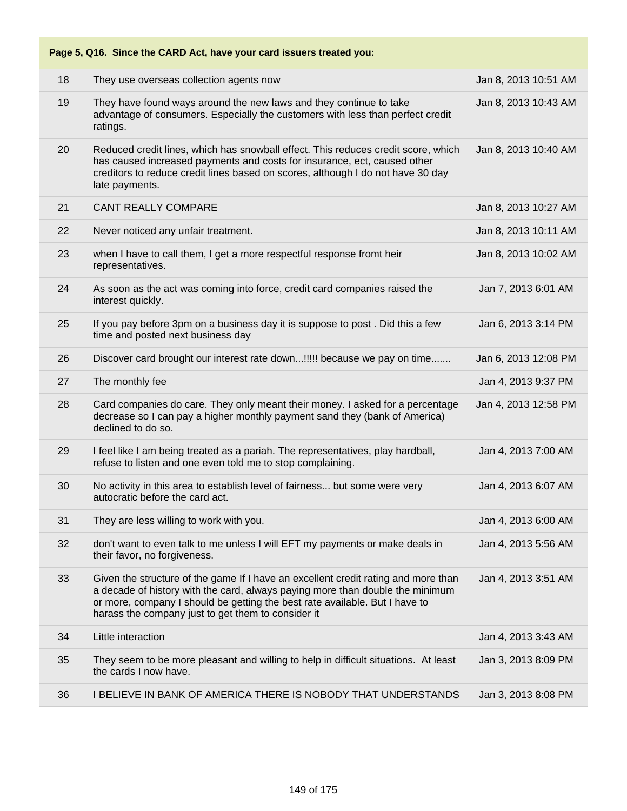|    | Page 5, Q16. Since the CARD Act, have your card issuers treated you:                                                                                                                                                                                                                                     |                      |
|----|----------------------------------------------------------------------------------------------------------------------------------------------------------------------------------------------------------------------------------------------------------------------------------------------------------|----------------------|
| 18 | They use overseas collection agents now                                                                                                                                                                                                                                                                  | Jan 8, 2013 10:51 AM |
| 19 | They have found ways around the new laws and they continue to take<br>advantage of consumers. Especially the customers with less than perfect credit<br>ratings.                                                                                                                                         | Jan 8, 2013 10:43 AM |
| 20 | Reduced credit lines, which has snowball effect. This reduces credit score, which<br>has caused increased payments and costs for insurance, ect, caused other<br>creditors to reduce credit lines based on scores, although I do not have 30 day<br>late payments.                                       | Jan 8, 2013 10:40 AM |
| 21 | <b>CANT REALLY COMPARE</b>                                                                                                                                                                                                                                                                               | Jan 8, 2013 10:27 AM |
| 22 | Never noticed any unfair treatment.                                                                                                                                                                                                                                                                      | Jan 8, 2013 10:11 AM |
| 23 | when I have to call them, I get a more respectful response fromt heir<br>representatives.                                                                                                                                                                                                                | Jan 8, 2013 10:02 AM |
| 24 | As soon as the act was coming into force, credit card companies raised the<br>interest quickly.                                                                                                                                                                                                          | Jan 7, 2013 6:01 AM  |
| 25 | If you pay before 3pm on a business day it is suppose to post. Did this a few<br>time and posted next business day                                                                                                                                                                                       | Jan 6, 2013 3:14 PM  |
| 26 | Discover card brought our interest rate down!!!!! because we pay on time                                                                                                                                                                                                                                 | Jan 6, 2013 12:08 PM |
| 27 | The monthly fee                                                                                                                                                                                                                                                                                          | Jan 4, 2013 9:37 PM  |
| 28 | Card companies do care. They only meant their money. I asked for a percentage<br>decrease so I can pay a higher monthly payment sand they (bank of America)<br>declined to do so.                                                                                                                        | Jan 4, 2013 12:58 PM |
| 29 | I feel like I am being treated as a pariah. The representatives, play hardball,<br>refuse to listen and one even told me to stop complaining.                                                                                                                                                            | Jan 4, 2013 7:00 AM  |
| 30 | No activity in this area to establish level of fairness but some were very<br>autocratic before the card act.                                                                                                                                                                                            | Jan 4, 2013 6:07 AM  |
| 31 | They are less willing to work with you.                                                                                                                                                                                                                                                                  | Jan 4, 2013 6:00 AM  |
| 32 | don't want to even talk to me unless I will EFT my payments or make deals in<br>their favor, no forgiveness.                                                                                                                                                                                             | Jan 4, 2013 5:56 AM  |
| 33 | Given the structure of the game If I have an excellent credit rating and more than<br>a decade of history with the card, always paying more than double the minimum<br>or more, company I should be getting the best rate available. But I have to<br>harass the company just to get them to consider it | Jan 4, 2013 3:51 AM  |
| 34 | Little interaction                                                                                                                                                                                                                                                                                       | Jan 4, 2013 3:43 AM  |
| 35 | They seem to be more pleasant and willing to help in difficult situations. At least<br>the cards I now have.                                                                                                                                                                                             | Jan 3, 2013 8:09 PM  |
| 36 | I BELIEVE IN BANK OF AMERICA THERE IS NOBODY THAT UNDERSTANDS                                                                                                                                                                                                                                            | Jan 3, 2013 8:08 PM  |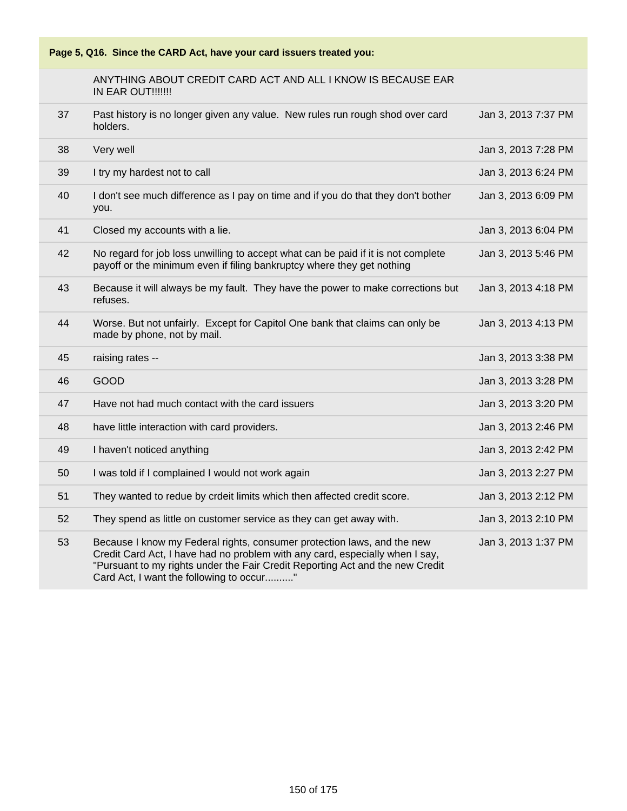

## ANYTHING ABOUT CREDIT CARD ACT AND ALL I KNOW IS BECAUSE EAR IN EAR OUT!!!!!!!

| 37 | Past history is no longer given any value. New rules run rough shod over card<br>holders.                                                                   | Jan 3, 2013 7:37 PM |
|----|-------------------------------------------------------------------------------------------------------------------------------------------------------------|---------------------|
| 38 | Very well                                                                                                                                                   | Jan 3, 2013 7:28 PM |
| 39 | I try my hardest not to call                                                                                                                                | Jan 3, 2013 6:24 PM |
| 40 | I don't see much difference as I pay on time and if you do that they don't bother<br>you.                                                                   | Jan 3, 2013 6:09 PM |
| 41 | Closed my accounts with a lie.                                                                                                                              | Jan 3, 2013 6:04 PM |
| 42 | No regard for job loss unwilling to accept what can be paid if it is not complete<br>payoff or the minimum even if filing bankruptcy where they get nothing | Jan 3, 2013 5:46 PM |
| 43 | Because it will always be my fault. They have the power to make corrections but<br>refuses.                                                                 | Jan 3, 2013 4:18 PM |
| 44 | Worse. But not unfairly. Except for Capitol One bank that claims can only be<br>made by phone, not by mail.                                                 | Jan 3, 2013 4:13 PM |
| 45 | raising rates --                                                                                                                                            | Jan 3, 2013 3:38 PM |
|    |                                                                                                                                                             |                     |
| 46 | <b>GOOD</b>                                                                                                                                                 | Jan 3, 2013 3:28 PM |
| 47 | Have not had much contact with the card issuers                                                                                                             | Jan 3, 2013 3:20 PM |
| 48 | have little interaction with card providers.                                                                                                                | Jan 3, 2013 2:46 PM |
| 49 | I haven't noticed anything                                                                                                                                  | Jan 3, 2013 2:42 PM |
| 50 | I was told if I complained I would not work again                                                                                                           | Jan 3, 2013 2:27 PM |
| 51 | They wanted to redue by crdeit limits which then affected credit score.                                                                                     | Jan 3, 2013 2:12 PM |
| 52 | They spend as little on customer service as they can get away with.                                                                                         | Jan 3, 2013 2:10 PM |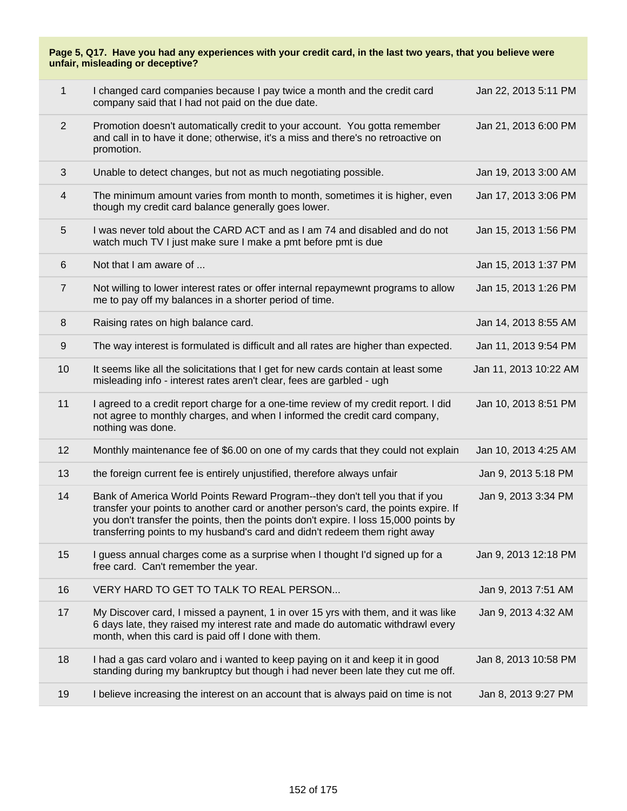| 1              | I changed card companies because I pay twice a month and the credit card<br>company said that I had not paid on the due date.                                                                                                                                                                                                              | Jan 22, 2013 5:11 PM  |
|----------------|--------------------------------------------------------------------------------------------------------------------------------------------------------------------------------------------------------------------------------------------------------------------------------------------------------------------------------------------|-----------------------|
| $\overline{2}$ | Promotion doesn't automatically credit to your account. You gotta remember<br>and call in to have it done; otherwise, it's a miss and there's no retroactive on<br>promotion.                                                                                                                                                              | Jan 21, 2013 6:00 PM  |
| 3              | Unable to detect changes, but not as much negotiating possible.                                                                                                                                                                                                                                                                            | Jan 19, 2013 3:00 AM  |
| 4              | The minimum amount varies from month to month, sometimes it is higher, even<br>though my credit card balance generally goes lower.                                                                                                                                                                                                         | Jan 17, 2013 3:06 PM  |
| 5              | I was never told about the CARD ACT and as I am 74 and disabled and do not<br>watch much TV I just make sure I make a pmt before pmt is due                                                                                                                                                                                                | Jan 15, 2013 1:56 PM  |
| 6              | Not that I am aware of                                                                                                                                                                                                                                                                                                                     | Jan 15, 2013 1:37 PM  |
| $\overline{7}$ | Not willing to lower interest rates or offer internal repaymewnt programs to allow<br>me to pay off my balances in a shorter period of time.                                                                                                                                                                                               | Jan 15, 2013 1:26 PM  |
| 8              | Raising rates on high balance card.                                                                                                                                                                                                                                                                                                        | Jan 14, 2013 8:55 AM  |
| 9              | The way interest is formulated is difficult and all rates are higher than expected.                                                                                                                                                                                                                                                        | Jan 11, 2013 9:54 PM  |
| 10             | It seems like all the solicitations that I get for new cards contain at least some<br>misleading info - interest rates aren't clear, fees are garbled - ugh                                                                                                                                                                                | Jan 11, 2013 10:22 AM |
| 11             | I agreed to a credit report charge for a one-time review of my credit report. I did<br>not agree to monthly charges, and when I informed the credit card company,<br>nothing was done.                                                                                                                                                     | Jan 10, 2013 8:51 PM  |
| 12             | Monthly maintenance fee of \$6.00 on one of my cards that they could not explain                                                                                                                                                                                                                                                           | Jan 10, 2013 4:25 AM  |
| 13             | the foreign current fee is entirely unjustified, therefore always unfair                                                                                                                                                                                                                                                                   | Jan 9, 2013 5:18 PM   |
| 14             | Bank of America World Points Reward Program--they don't tell you that if you<br>transfer your points to another card or another person's card, the points expire. If<br>you don't transfer the points, then the points don't expire. I loss 15,000 points by<br>transferring points to my husband's card and didn't redeem them right away | Jan 9, 2013 3:34 PM   |
| 15             | I guess annual charges come as a surprise when I thought I'd signed up for a<br>free card. Can't remember the year.                                                                                                                                                                                                                        | Jan 9, 2013 12:18 PM  |
| 16             | VERY HARD TO GET TO TALK TO REAL PERSON                                                                                                                                                                                                                                                                                                    | Jan 9, 2013 7:51 AM   |
| 17             | My Discover card, I missed a paynent, 1 in over 15 yrs with them, and it was like<br>6 days late, they raised my interest rate and made do automatic withdrawl every<br>month, when this card is paid off I done with them.                                                                                                                | Jan 9, 2013 4:32 AM   |
| 18             | I had a gas card volaro and i wanted to keep paying on it and keep it in good<br>standing during my bankruptcy but though i had never been late they cut me off.                                                                                                                                                                           | Jan 8, 2013 10:58 PM  |
| 19             | I believe increasing the interest on an account that is always paid on time is not                                                                                                                                                                                                                                                         | Jan 8, 2013 9:27 PM   |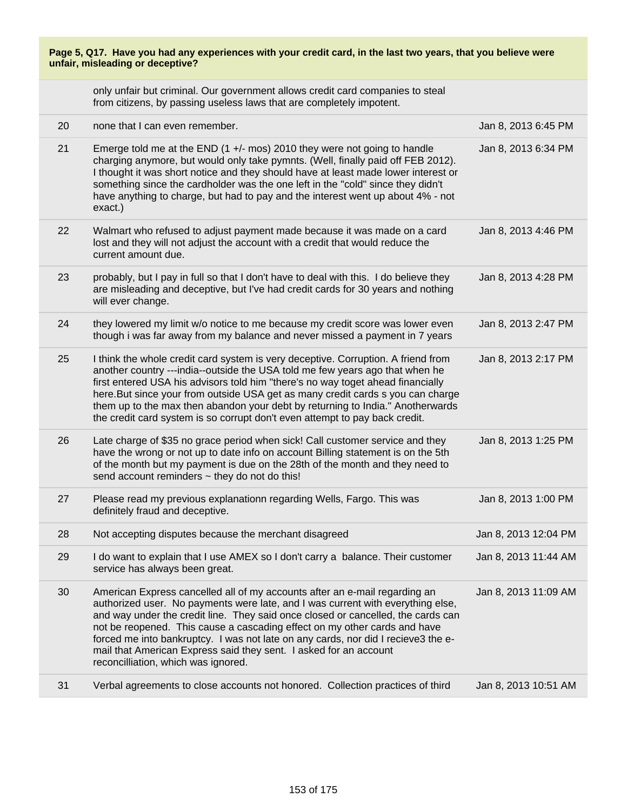only unfair but criminal. Our government allows credit card companies to steal from citizens, by passing useless laws that are completely impotent.

| 20 | none that I can even remember.                                                                                                                                                                                                                                                                                                                                                                                                                                                                                                  | Jan 8, 2013 6:45 PM  |
|----|---------------------------------------------------------------------------------------------------------------------------------------------------------------------------------------------------------------------------------------------------------------------------------------------------------------------------------------------------------------------------------------------------------------------------------------------------------------------------------------------------------------------------------|----------------------|
| 21 | Emerge told me at the END $(1 +/-$ mos) 2010 they were not going to handle<br>charging anymore, but would only take pymnts. (Well, finally paid off FEB 2012).<br>I thought it was short notice and they should have at least made lower interest or<br>something since the cardholder was the one left in the "cold" since they didn't<br>have anything to charge, but had to pay and the interest went up about 4% - not<br>exact.)                                                                                           | Jan 8, 2013 6:34 PM  |
| 22 | Walmart who refused to adjust payment made because it was made on a card<br>lost and they will not adjust the account with a credit that would reduce the<br>current amount due.                                                                                                                                                                                                                                                                                                                                                | Jan 8, 2013 4:46 PM  |
| 23 | probably, but I pay in full so that I don't have to deal with this. I do believe they<br>are misleading and deceptive, but I've had credit cards for 30 years and nothing<br>will ever change.                                                                                                                                                                                                                                                                                                                                  | Jan 8, 2013 4:28 PM  |
| 24 | they lowered my limit w/o notice to me because my credit score was lower even<br>though i was far away from my balance and never missed a payment in 7 years                                                                                                                                                                                                                                                                                                                                                                    | Jan 8, 2013 2:47 PM  |
| 25 | I think the whole credit card system is very deceptive. Corruption. A friend from<br>another country ---india--outside the USA told me few years ago that when he<br>first entered USA his advisors told him "there's no way toget ahead financially<br>here. But since your from outside USA get as many credit cards s you can charge<br>them up to the max then abandon your debt by returning to India." Anotherwards<br>the credit card system is so corrupt don't even attempt to pay back credit.                        | Jan 8, 2013 2:17 PM  |
| 26 | Late charge of \$35 no grace period when sick! Call customer service and they<br>have the wrong or not up to date info on account Billing statement is on the 5th<br>of the month but my payment is due on the 28th of the month and they need to<br>send account reminders ~ they do not do this!                                                                                                                                                                                                                              | Jan 8, 2013 1:25 PM  |
| 27 | Please read my previous explanationn regarding Wells, Fargo. This was<br>definitely fraud and deceptive.                                                                                                                                                                                                                                                                                                                                                                                                                        | Jan 8, 2013 1:00 PM  |
| 28 | Not accepting disputes because the merchant disagreed                                                                                                                                                                                                                                                                                                                                                                                                                                                                           | Jan 8, 2013 12:04 PM |
| 29 | I do want to explain that I use AMEX so I don't carry a balance. Their customer<br>service has always been great.                                                                                                                                                                                                                                                                                                                                                                                                               | Jan 8, 2013 11:44 AM |
| 30 | American Express cancelled all of my accounts after an e-mail regarding an<br>authorized user. No payments were late, and I was current with everything else,<br>and way under the credit line. They said once closed or cancelled, the cards can<br>not be reopened. This cause a cascading effect on my other cards and have<br>forced me into bankruptcy. I was not late on any cards, nor did I recieve3 the e-<br>mail that American Express said they sent. I asked for an account<br>reconcilliation, which was ignored. | Jan 8, 2013 11:09 AM |
| 31 | Verbal agreements to close accounts not honored. Collection practices of third                                                                                                                                                                                                                                                                                                                                                                                                                                                  | Jan 8, 2013 10:51 AM |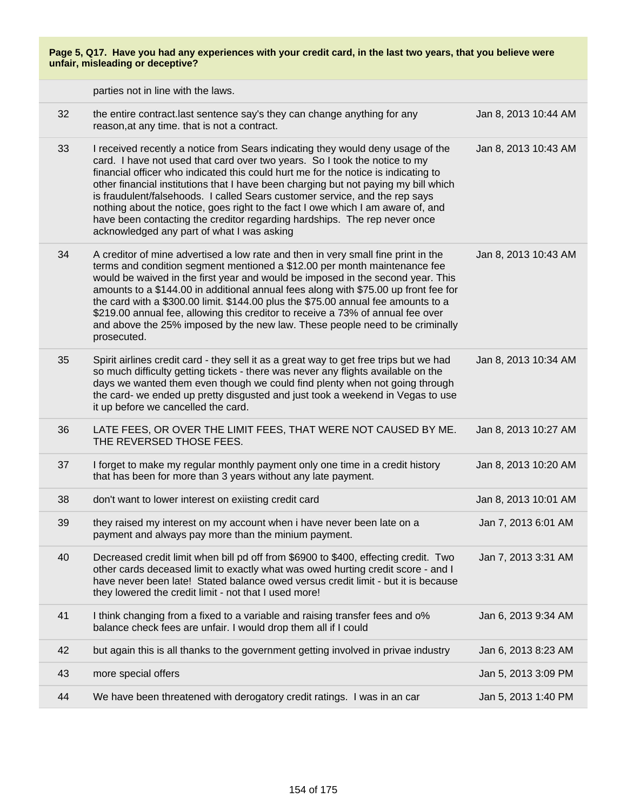|    | parties not in line with the laws.                                                                                                                                                                                                                                                                                                                                                                                                                                                                                                                                                                                                      |                      |
|----|-----------------------------------------------------------------------------------------------------------------------------------------------------------------------------------------------------------------------------------------------------------------------------------------------------------------------------------------------------------------------------------------------------------------------------------------------------------------------------------------------------------------------------------------------------------------------------------------------------------------------------------------|----------------------|
| 32 | the entire contract.last sentence say's they can change anything for any<br>reason, at any time. that is not a contract.                                                                                                                                                                                                                                                                                                                                                                                                                                                                                                                | Jan 8, 2013 10:44 AM |
| 33 | I received recently a notice from Sears indicating they would deny usage of the<br>card. I have not used that card over two years. So I took the notice to my<br>financial officer who indicated this could hurt me for the notice is indicating to<br>other financial institutions that I have been charging but not paying my bill which<br>is fraudulent/falsehoods. I called Sears customer service, and the rep says<br>nothing about the notice, goes right to the fact I owe which I am aware of, and<br>have been contacting the creditor regarding hardships. The rep never once<br>acknowledged any part of what I was asking | Jan 8, 2013 10:43 AM |
| 34 | A creditor of mine advertised a low rate and then in very small fine print in the<br>terms and condition segment mentioned a \$12.00 per month maintenance fee<br>would be waived in the first year and would be imposed in the second year. This<br>amounts to a \$144.00 in additional annual fees along with \$75.00 up front fee for<br>the card with a \$300.00 limit. \$144.00 plus the \$75.00 annual fee amounts to a<br>\$219.00 annual fee, allowing this creditor to receive a 73% of annual fee over<br>and above the 25% imposed by the new law. These people need to be criminally<br>prosecuted.                         | Jan 8, 2013 10:43 AM |
| 35 | Spirit airlines credit card - they sell it as a great way to get free trips but we had<br>so much difficulty getting tickets - there was never any flights available on the<br>days we wanted them even though we could find plenty when not going through<br>the card- we ended up pretty disgusted and just took a weekend in Vegas to use<br>it up before we cancelled the card.                                                                                                                                                                                                                                                     | Jan 8, 2013 10:34 AM |
| 36 | LATE FEES, OR OVER THE LIMIT FEES, THAT WERE NOT CAUSED BY ME.<br>THE REVERSED THOSE FEES.                                                                                                                                                                                                                                                                                                                                                                                                                                                                                                                                              | Jan 8, 2013 10:27 AM |
| 37 | I forget to make my regular monthly payment only one time in a credit history<br>that has been for more than 3 years without any late payment.                                                                                                                                                                                                                                                                                                                                                                                                                                                                                          | Jan 8, 2013 10:20 AM |
| 38 | don't want to lower interest on exiisting credit card                                                                                                                                                                                                                                                                                                                                                                                                                                                                                                                                                                                   | Jan 8, 2013 10:01 AM |
| 39 | they raised my interest on my account when i have never been late on a<br>payment and always pay more than the minium payment.                                                                                                                                                                                                                                                                                                                                                                                                                                                                                                          | Jan 7, 2013 6:01 AM  |
| 40 | Decreased credit limit when bill pd off from \$6900 to \$400, effecting credit. Two<br>other cards deceased limit to exactly what was owed hurting credit score - and I<br>have never been late! Stated balance owed versus credit limit - but it is because<br>they lowered the credit limit - not that I used more!                                                                                                                                                                                                                                                                                                                   | Jan 7, 2013 3:31 AM  |
| 41 | I think changing from a fixed to a variable and raising transfer fees and o%<br>balance check fees are unfair. I would drop them all if I could                                                                                                                                                                                                                                                                                                                                                                                                                                                                                         | Jan 6, 2013 9:34 AM  |
| 42 | but again this is all thanks to the government getting involved in privae industry                                                                                                                                                                                                                                                                                                                                                                                                                                                                                                                                                      | Jan 6, 2013 8:23 AM  |
| 43 | more special offers                                                                                                                                                                                                                                                                                                                                                                                                                                                                                                                                                                                                                     | Jan 5, 2013 3:09 PM  |
| 44 | We have been threatened with derogatory credit ratings. I was in an car                                                                                                                                                                                                                                                                                                                                                                                                                                                                                                                                                                 | Jan 5, 2013 1:40 PM  |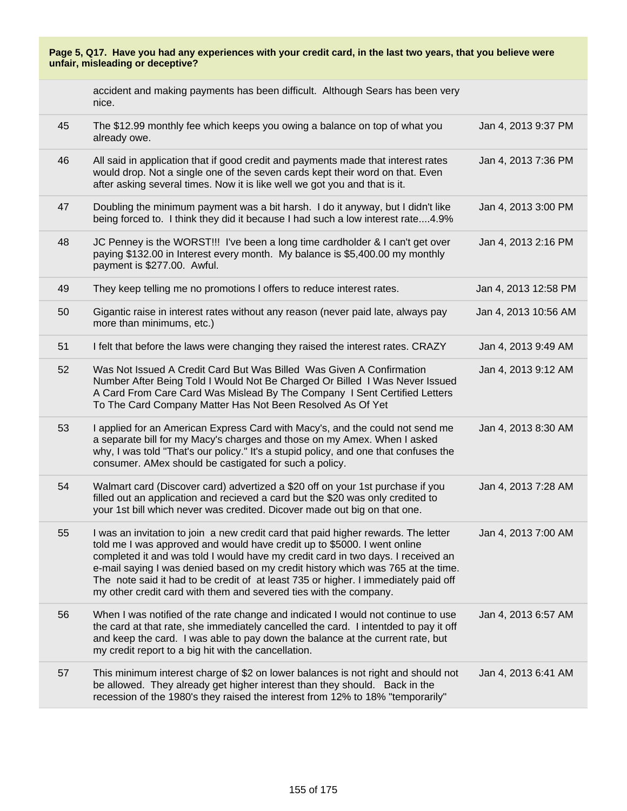|    | accident and making payments has been difficult. Although Sears has been very<br>nice.                                                                                                                                                                                                                                                                                                                                                                                                             |                      |
|----|----------------------------------------------------------------------------------------------------------------------------------------------------------------------------------------------------------------------------------------------------------------------------------------------------------------------------------------------------------------------------------------------------------------------------------------------------------------------------------------------------|----------------------|
| 45 | The \$12.99 monthly fee which keeps you owing a balance on top of what you<br>already owe.                                                                                                                                                                                                                                                                                                                                                                                                         | Jan 4, 2013 9:37 PM  |
| 46 | All said in application that if good credit and payments made that interest rates<br>would drop. Not a single one of the seven cards kept their word on that. Even<br>after asking several times. Now it is like well we got you and that is it.                                                                                                                                                                                                                                                   | Jan 4, 2013 7:36 PM  |
| 47 | Doubling the minimum payment was a bit harsh. I do it anyway, but I didn't like<br>being forced to. I think they did it because I had such a low interest rate4.9%                                                                                                                                                                                                                                                                                                                                 | Jan 4, 2013 3:00 PM  |
| 48 | JC Penney is the WORST!!! I've been a long time cardholder & I can't get over<br>paying \$132.00 in Interest every month. My balance is \$5,400.00 my monthly<br>payment is \$277.00. Awful.                                                                                                                                                                                                                                                                                                       | Jan 4, 2013 2:16 PM  |
| 49 | They keep telling me no promotions I offers to reduce interest rates.                                                                                                                                                                                                                                                                                                                                                                                                                              | Jan 4, 2013 12:58 PM |
| 50 | Gigantic raise in interest rates without any reason (never paid late, always pay<br>more than minimums, etc.)                                                                                                                                                                                                                                                                                                                                                                                      | Jan 4, 2013 10:56 AM |
| 51 | I felt that before the laws were changing they raised the interest rates. CRAZY                                                                                                                                                                                                                                                                                                                                                                                                                    | Jan 4, 2013 9:49 AM  |
| 52 | Was Not Issued A Credit Card But Was Billed Was Given A Confirmation<br>Number After Being Told I Would Not Be Charged Or Billed I Was Never Issued<br>A Card From Care Card Was Mislead By The Company I Sent Certified Letters<br>To The Card Company Matter Has Not Been Resolved As Of Yet                                                                                                                                                                                                     | Jan 4, 2013 9:12 AM  |
| 53 | I applied for an American Express Card with Macy's, and the could not send me<br>a separate bill for my Macy's charges and those on my Amex. When I asked<br>why, I was told "That's our policy." It's a stupid policy, and one that confuses the<br>consumer. AMex should be castigated for such a policy.                                                                                                                                                                                        | Jan 4, 2013 8:30 AM  |
| 54 | Walmart card (Discover card) advertized a \$20 off on your 1st purchase if you<br>filled out an application and recieved a card but the \$20 was only credited to<br>your 1st bill which never was credited. Dicover made out big on that one.                                                                                                                                                                                                                                                     | Jan 4, 2013 7:28 AM  |
| 55 | I was an invitation to join a new credit card that paid higher rewards. The letter<br>told me I was approved and would have credit up to \$5000. I went online<br>completed it and was told I would have my credit card in two days. I received an<br>e-mail saying I was denied based on my credit history which was 765 at the time.<br>The note said it had to be credit of at least 735 or higher. I immediately paid off<br>my other credit card with them and severed ties with the company. | Jan 4, 2013 7:00 AM  |
| 56 | When I was notified of the rate change and indicated I would not continue to use<br>the card at that rate, she immediately cancelled the card. I intentded to pay it off<br>and keep the card. I was able to pay down the balance at the current rate, but<br>my credit report to a big hit with the cancellation.                                                                                                                                                                                 | Jan 4, 2013 6:57 AM  |
| 57 | This minimum interest charge of \$2 on lower balances is not right and should not<br>be allowed. They already get higher interest than they should. Back in the<br>recession of the 1980's they raised the interest from 12% to 18% "temporarily"                                                                                                                                                                                                                                                  | Jan 4, 2013 6:41 AM  |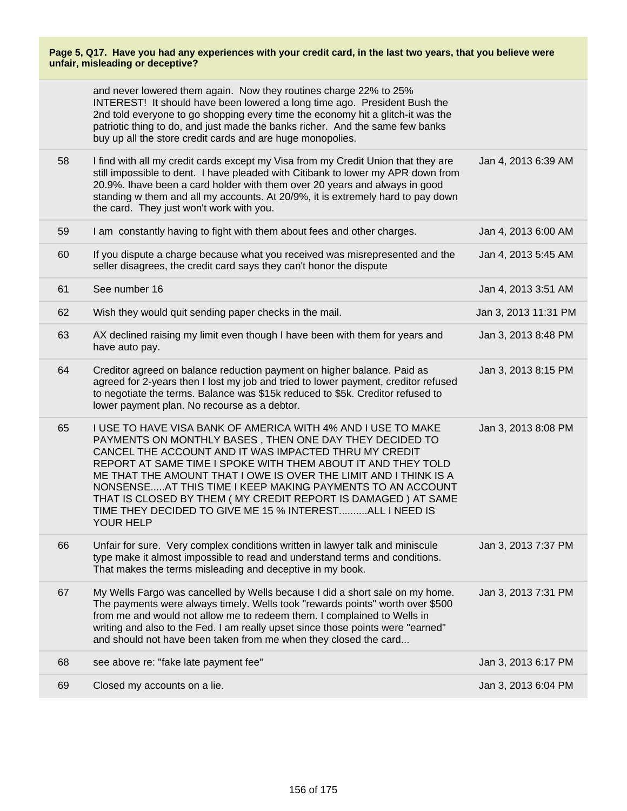|    | and never lowered them again. Now they routines charge 22% to 25%<br>INTEREST! It should have been lowered a long time ago. President Bush the<br>2nd told everyone to go shopping every time the economy hit a glitch-it was the<br>patriotic thing to do, and just made the banks richer. And the same few banks<br>buy up all the store credit cards and are huge monopolies.                                                                                                                                          |                      |
|----|---------------------------------------------------------------------------------------------------------------------------------------------------------------------------------------------------------------------------------------------------------------------------------------------------------------------------------------------------------------------------------------------------------------------------------------------------------------------------------------------------------------------------|----------------------|
| 58 | I find with all my credit cards except my Visa from my Credit Union that they are<br>still impossible to dent. I have pleaded with Citibank to lower my APR down from<br>20.9%. Ihave been a card holder with them over 20 years and always in good<br>standing w them and all my accounts. At 20/9%, it is extremely hard to pay down<br>the card. They just won't work with you.                                                                                                                                        | Jan 4, 2013 6:39 AM  |
| 59 | I am constantly having to fight with them about fees and other charges.                                                                                                                                                                                                                                                                                                                                                                                                                                                   | Jan 4, 2013 6:00 AM  |
| 60 | If you dispute a charge because what you received was misrepresented and the<br>seller disagrees, the credit card says they can't honor the dispute                                                                                                                                                                                                                                                                                                                                                                       | Jan 4, 2013 5:45 AM  |
| 61 | See number 16                                                                                                                                                                                                                                                                                                                                                                                                                                                                                                             | Jan 4, 2013 3:51 AM  |
| 62 | Wish they would quit sending paper checks in the mail.                                                                                                                                                                                                                                                                                                                                                                                                                                                                    | Jan 3, 2013 11:31 PM |
| 63 | AX declined raising my limit even though I have been with them for years and<br>have auto pay.                                                                                                                                                                                                                                                                                                                                                                                                                            | Jan 3, 2013 8:48 PM  |
| 64 | Creditor agreed on balance reduction payment on higher balance. Paid as<br>agreed for 2-years then I lost my job and tried to lower payment, creditor refused<br>to negotiate the terms. Balance was \$15k reduced to \$5k. Creditor refused to<br>lower payment plan. No recourse as a debtor.                                                                                                                                                                                                                           | Jan 3, 2013 8:15 PM  |
| 65 | I USE TO HAVE VISA BANK OF AMERICA WITH 4% AND I USE TO MAKE<br>PAYMENTS ON MONTHLY BASES, THEN ONE DAY THEY DECIDED TO<br>CANCEL THE ACCOUNT AND IT WAS IMPACTED THRU MY CREDIT<br>REPORT AT SAME TIME I SPOKE WITH THEM ABOUT IT AND THEY TOLD<br>ME THAT THE AMOUNT THAT I OWE IS OVER THE LIMIT AND I THINK IS A<br>NONSENSEAT THIS TIME I KEEP MAKING PAYMENTS TO AN ACCOUNT<br>THAT IS CLOSED BY THEM (MY CREDIT REPORT IS DAMAGED) AT SAME<br>TIME THEY DECIDED TO GIVE ME 15 % INTERESTALL I NEED IS<br>YOUR HELP | Jan 3, 2013 8:08 PM  |
| 66 | Unfair for sure. Very complex conditions written in lawyer talk and miniscule<br>type make it almost impossible to read and understand terms and conditions.<br>That makes the terms misleading and deceptive in my book.                                                                                                                                                                                                                                                                                                 | Jan 3, 2013 7:37 PM  |
| 67 | My Wells Fargo was cancelled by Wells because I did a short sale on my home.<br>The payments were always timely. Wells took "rewards points" worth over \$500<br>from me and would not allow me to redeem them. I complained to Wells in<br>writing and also to the Fed. I am really upset since those points were "earned"<br>and should not have been taken from me when they closed the card                                                                                                                           | Jan 3, 2013 7:31 PM  |
| 68 | see above re: "fake late payment fee"                                                                                                                                                                                                                                                                                                                                                                                                                                                                                     | Jan 3, 2013 6:17 PM  |
| 69 | Closed my accounts on a lie.                                                                                                                                                                                                                                                                                                                                                                                                                                                                                              | Jan 3, 2013 6:04 PM  |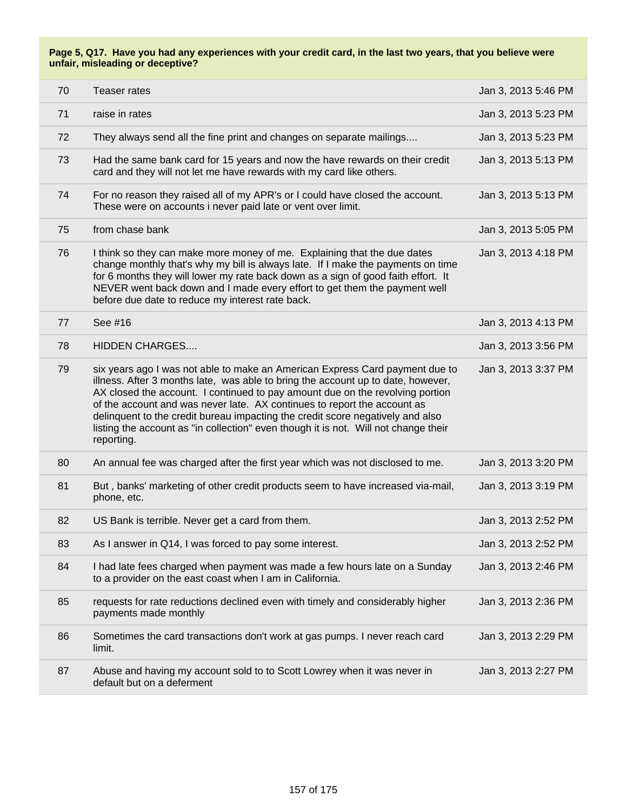| 70 | Teaser rates                                                                                                                                                                                                                                                                                                                                                                                                                                                                                                         | Jan 3, 2013 5:46 PM |
|----|----------------------------------------------------------------------------------------------------------------------------------------------------------------------------------------------------------------------------------------------------------------------------------------------------------------------------------------------------------------------------------------------------------------------------------------------------------------------------------------------------------------------|---------------------|
| 71 | raise in rates                                                                                                                                                                                                                                                                                                                                                                                                                                                                                                       | Jan 3, 2013 5:23 PM |
| 72 | They always send all the fine print and changes on separate mailings                                                                                                                                                                                                                                                                                                                                                                                                                                                 | Jan 3, 2013 5:23 PM |
| 73 | Had the same bank card for 15 years and now the have rewards on their credit<br>card and they will not let me have rewards with my card like others.                                                                                                                                                                                                                                                                                                                                                                 | Jan 3, 2013 5:13 PM |
| 74 | For no reason they raised all of my APR's or I could have closed the account.<br>These were on accounts i never paid late or vent over limit.                                                                                                                                                                                                                                                                                                                                                                        | Jan 3, 2013 5:13 PM |
| 75 | from chase bank                                                                                                                                                                                                                                                                                                                                                                                                                                                                                                      | Jan 3, 2013 5:05 PM |
| 76 | I think so they can make more money of me. Explaining that the due dates<br>change monthly that's why my bill is always late. If I make the payments on time<br>for 6 months they will lower my rate back down as a sign of good faith effort. It<br>NEVER went back down and I made every effort to get them the payment well<br>before due date to reduce my interest rate back.                                                                                                                                   | Jan 3, 2013 4:18 PM |
| 77 | See #16                                                                                                                                                                                                                                                                                                                                                                                                                                                                                                              | Jan 3, 2013 4:13 PM |
| 78 | <b>HIDDEN CHARGES</b>                                                                                                                                                                                                                                                                                                                                                                                                                                                                                                | Jan 3, 2013 3:56 PM |
| 79 | six years ago I was not able to make an American Express Card payment due to<br>illness. After 3 months late, was able to bring the account up to date, however,<br>AX closed the account. I continued to pay amount due on the revolving portion<br>of the account and was never late. AX continues to report the account as<br>delinquent to the credit bureau impacting the credit score negatively and also<br>listing the account as "in collection" even though it is not. Will not change their<br>reporting. | Jan 3, 2013 3:37 PM |
| 80 | An annual fee was charged after the first year which was not disclosed to me.                                                                                                                                                                                                                                                                                                                                                                                                                                        | Jan 3, 2013 3:20 PM |
| 81 | But, banks' marketing of other credit products seem to have increased via-mail,<br>phone, etc.                                                                                                                                                                                                                                                                                                                                                                                                                       | Jan 3, 2013 3:19 PM |
| 82 | US Bank is terrible. Never get a card from them.                                                                                                                                                                                                                                                                                                                                                                                                                                                                     | Jan 3, 2013 2:52 PM |
| 83 | As I answer in Q14, I was forced to pay some interest.                                                                                                                                                                                                                                                                                                                                                                                                                                                               | Jan 3, 2013 2:52 PM |
| 84 | I had late fees charged when payment was made a few hours late on a Sunday<br>to a provider on the east coast when I am in California.                                                                                                                                                                                                                                                                                                                                                                               | Jan 3, 2013 2:46 PM |
| 85 | requests for rate reductions declined even with timely and considerably higher<br>payments made monthly                                                                                                                                                                                                                                                                                                                                                                                                              | Jan 3, 2013 2:36 PM |
| 86 | Sometimes the card transactions don't work at gas pumps. I never reach card<br>limit.                                                                                                                                                                                                                                                                                                                                                                                                                                | Jan 3, 2013 2:29 PM |
| 87 | Abuse and having my account sold to to Scott Lowrey when it was never in<br>default but on a deferment                                                                                                                                                                                                                                                                                                                                                                                                               | Jan 3, 2013 2:27 PM |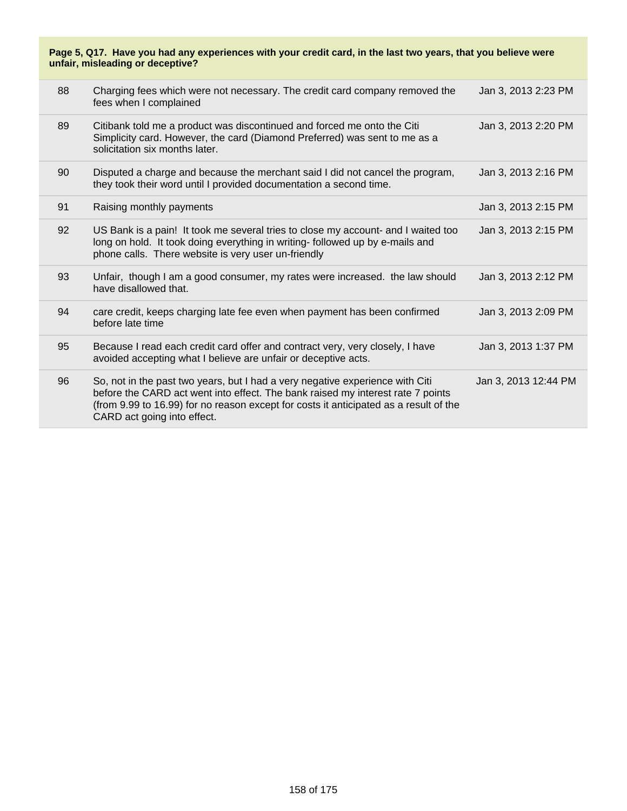| 88 | Charging fees which were not necessary. The credit card company removed the<br>fees when I complained                                                                                                                                                                                    | Jan 3, 2013 2:23 PM  |
|----|------------------------------------------------------------------------------------------------------------------------------------------------------------------------------------------------------------------------------------------------------------------------------------------|----------------------|
| 89 | Citibank told me a product was discontinued and forced me onto the Citi<br>Simplicity card. However, the card (Diamond Preferred) was sent to me as a<br>solicitation six months later.                                                                                                  | Jan 3, 2013 2:20 PM  |
| 90 | Disputed a charge and because the merchant said I did not cancel the program,<br>they took their word until I provided documentation a second time.                                                                                                                                      | Jan 3, 2013 2:16 PM  |
| 91 | Raising monthly payments                                                                                                                                                                                                                                                                 | Jan 3, 2013 2:15 PM  |
| 92 | US Bank is a pain! It took me several tries to close my account- and I waited too<br>long on hold. It took doing everything in writing- followed up by e-mails and<br>phone calls. There website is very user un-friendly                                                                | Jan 3, 2013 2:15 PM  |
| 93 | Unfair, though I am a good consumer, my rates were increased. the law should<br>have disallowed that.                                                                                                                                                                                    | Jan 3, 2013 2:12 PM  |
| 94 | care credit, keeps charging late fee even when payment has been confirmed<br>before late time                                                                                                                                                                                            | Jan 3, 2013 2:09 PM  |
| 95 | Because I read each credit card offer and contract very, very closely, I have<br>avoided accepting what I believe are unfair or deceptive acts.                                                                                                                                          | Jan 3, 2013 1:37 PM  |
| 96 | So, not in the past two years, but I had a very negative experience with Citi<br>before the CARD act went into effect. The bank raised my interest rate 7 points<br>(from 9.99 to 16.99) for no reason except for costs it anticipated as a result of the<br>CARD act going into effect. | Jan 3, 2013 12:44 PM |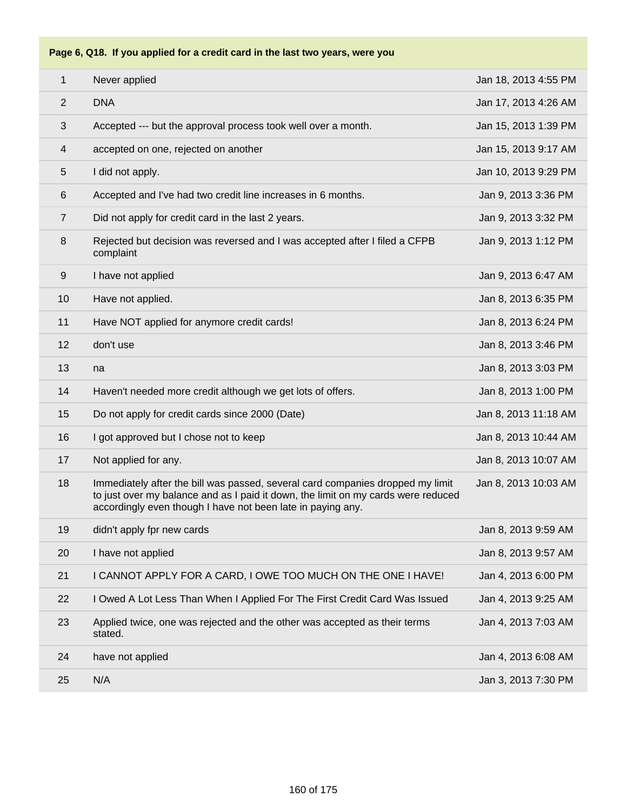

#### **Page 6, Q18. If you applied for a credit card in the last two years, were you**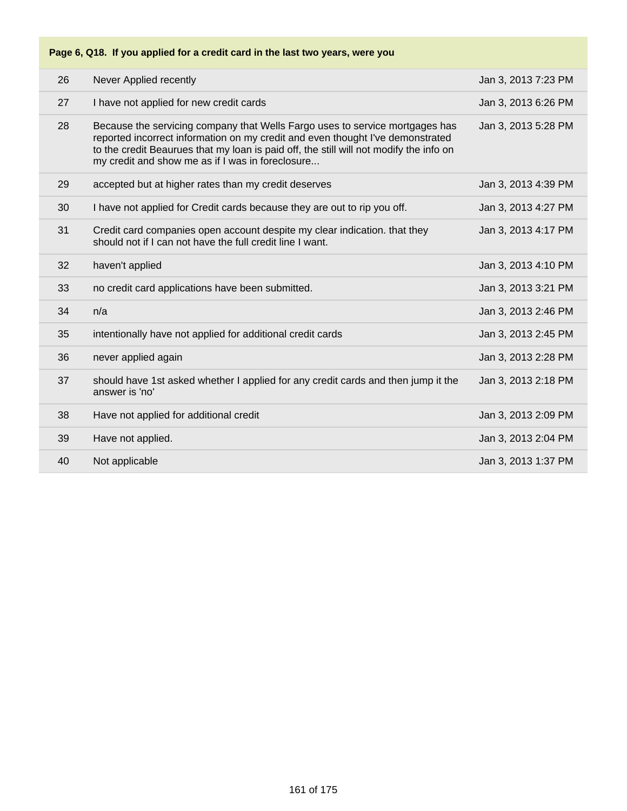# **Page 6, Q18. If you applied for a credit card in the last two years, were you**

| 26 | Never Applied recently                                                                                                                                                                                                                                                                                       | Jan 3, 2013 7:23 PM |
|----|--------------------------------------------------------------------------------------------------------------------------------------------------------------------------------------------------------------------------------------------------------------------------------------------------------------|---------------------|
| 27 | I have not applied for new credit cards                                                                                                                                                                                                                                                                      | Jan 3, 2013 6:26 PM |
| 28 | Because the servicing company that Wells Fargo uses to service mortgages has<br>reported incorrect information on my credit and even thought I've demonstrated<br>to the credit Beaurues that my loan is paid off, the still will not modify the info on<br>my credit and show me as if I was in foreclosure | Jan 3, 2013 5:28 PM |
| 29 | accepted but at higher rates than my credit deserves                                                                                                                                                                                                                                                         | Jan 3, 2013 4:39 PM |
| 30 | I have not applied for Credit cards because they are out to rip you off.                                                                                                                                                                                                                                     | Jan 3, 2013 4:27 PM |
| 31 | Credit card companies open account despite my clear indication. that they<br>should not if I can not have the full credit line I want.                                                                                                                                                                       | Jan 3, 2013 4:17 PM |
| 32 | haven't applied                                                                                                                                                                                                                                                                                              | Jan 3, 2013 4:10 PM |
| 33 | no credit card applications have been submitted.                                                                                                                                                                                                                                                             | Jan 3, 2013 3:21 PM |
| 34 | n/a                                                                                                                                                                                                                                                                                                          | Jan 3, 2013 2:46 PM |
| 35 | intentionally have not applied for additional credit cards                                                                                                                                                                                                                                                   | Jan 3, 2013 2:45 PM |
| 36 | never applied again                                                                                                                                                                                                                                                                                          | Jan 3, 2013 2:28 PM |
| 37 | should have 1st asked whether I applied for any credit cards and then jump it the<br>answer is 'no'                                                                                                                                                                                                          | Jan 3, 2013 2:18 PM |
| 38 | Have not applied for additional credit                                                                                                                                                                                                                                                                       | Jan 3, 2013 2:09 PM |
| 39 | Have not applied.                                                                                                                                                                                                                                                                                            | Jan 3, 2013 2:04 PM |
| 40 | Not applicable                                                                                                                                                                                                                                                                                               | Jan 3, 2013 1:37 PM |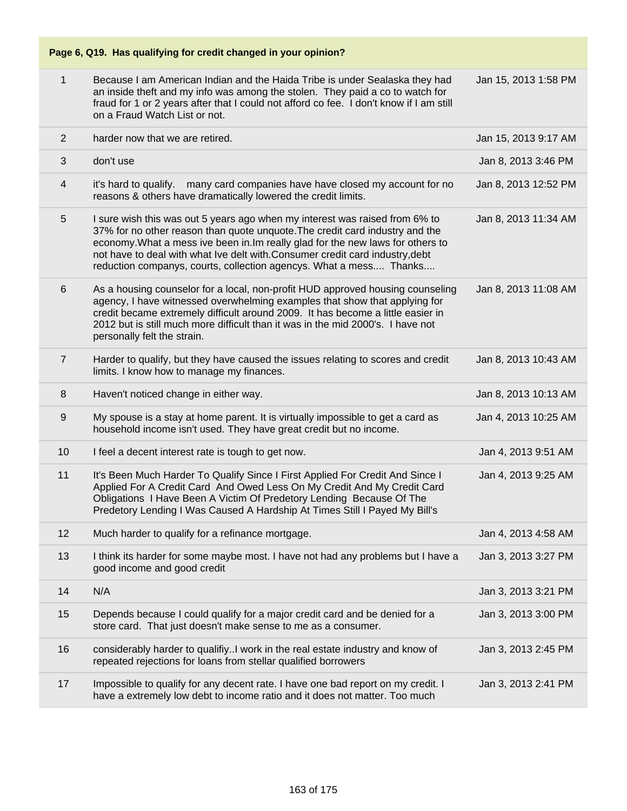## **Page 6, Q19. Has qualifying for credit changed in your opinion?**

| $\mathbf{1}$   |                                                                                                                                                                                                                                                                                                                                                                                                       |                      |
|----------------|-------------------------------------------------------------------------------------------------------------------------------------------------------------------------------------------------------------------------------------------------------------------------------------------------------------------------------------------------------------------------------------------------------|----------------------|
|                | Because I am American Indian and the Haida Tribe is under Sealaska they had<br>an inside theft and my info was among the stolen. They paid a co to watch for<br>fraud for 1 or 2 years after that I could not afford co fee. I don't know if I am still<br>on a Fraud Watch List or not.                                                                                                              | Jan 15, 2013 1:58 PM |
| $\overline{2}$ | harder now that we are retired.                                                                                                                                                                                                                                                                                                                                                                       | Jan 15, 2013 9:17 AM |
| 3              | don't use                                                                                                                                                                                                                                                                                                                                                                                             | Jan 8, 2013 3:46 PM  |
| 4              | many card companies have have closed my account for no<br>it's hard to qualify.<br>reasons & others have dramatically lowered the credit limits.                                                                                                                                                                                                                                                      | Jan 8, 2013 12:52 PM |
| 5              | I sure wish this was out 5 years ago when my interest was raised from 6% to<br>37% for no other reason than quote unquote. The credit card industry and the<br>economy. What a mess ive been in. Im really glad for the new laws for others to<br>not have to deal with what Ive delt with. Consumer credit card industry, debt<br>reduction companys, courts, collection agencys. What a mess Thanks | Jan 8, 2013 11:34 AM |
| 6              | As a housing counselor for a local, non-profit HUD approved housing counseling<br>agency, I have witnessed overwhelming examples that show that applying for<br>credit became extremely difficult around 2009. It has become a little easier in<br>2012 but is still much more difficult than it was in the mid 2000's. I have not<br>personally felt the strain.                                     | Jan 8, 2013 11:08 AM |
| $\overline{7}$ | Harder to qualify, but they have caused the issues relating to scores and credit<br>limits. I know how to manage my finances.                                                                                                                                                                                                                                                                         | Jan 8, 2013 10:43 AM |
| 8              | Haven't noticed change in either way.                                                                                                                                                                                                                                                                                                                                                                 | Jan 8, 2013 10:13 AM |
| 9              | My spouse is a stay at home parent. It is virtually impossible to get a card as<br>household income isn't used. They have great credit but no income.                                                                                                                                                                                                                                                 | Jan 4, 2013 10:25 AM |
| 10             | I feel a decent interest rate is tough to get now.                                                                                                                                                                                                                                                                                                                                                    |                      |
|                |                                                                                                                                                                                                                                                                                                                                                                                                       | Jan 4, 2013 9:51 AM  |
| 11             | It's Been Much Harder To Qualify Since I First Applied For Credit And Since I<br>Applied For A Credit Card And Owed Less On My Credit And My Credit Card<br>Obligations I Have Been A Victim Of Predetory Lending Because Of The<br>Predetory Lending I Was Caused A Hardship At Times Still I Payed My Bill's                                                                                        | Jan 4, 2013 9:25 AM  |
| 12             | Much harder to qualify for a refinance mortgage.                                                                                                                                                                                                                                                                                                                                                      | Jan 4, 2013 4:58 AM  |
| 13             | I think its harder for some maybe most. I have not had any problems but I have a<br>good income and good credit                                                                                                                                                                                                                                                                                       | Jan 3, 2013 3:27 PM  |
| 14             | N/A                                                                                                                                                                                                                                                                                                                                                                                                   | Jan 3, 2013 3:21 PM  |
| 15             | Depends because I could qualify for a major credit card and be denied for a<br>store card. That just doesn't make sense to me as a consumer.                                                                                                                                                                                                                                                          | Jan 3, 2013 3:00 PM  |
| 16             | considerably harder to qualifiyI work in the real estate industry and know of<br>repeated rejections for loans from stellar qualified borrowers                                                                                                                                                                                                                                                       | Jan 3, 2013 2:45 PM  |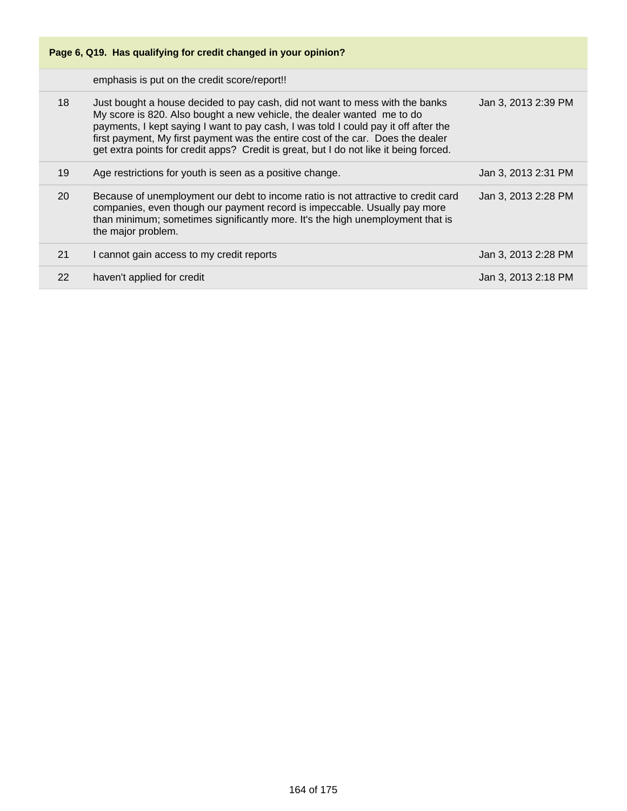| Page 6, Q19. Has qualifying for credit changed in your opinion? |                                                                                                                                                                                                                                                                                                                                                                                                                           |                     |
|-----------------------------------------------------------------|---------------------------------------------------------------------------------------------------------------------------------------------------------------------------------------------------------------------------------------------------------------------------------------------------------------------------------------------------------------------------------------------------------------------------|---------------------|
|                                                                 | emphasis is put on the credit score/report!!                                                                                                                                                                                                                                                                                                                                                                              |                     |
| 18                                                              | Just bought a house decided to pay cash, did not want to mess with the banks<br>My score is 820. Also bought a new vehicle, the dealer wanted me to do<br>payments, I kept saying I want to pay cash, I was told I could pay it off after the<br>first payment, My first payment was the entire cost of the car. Does the dealer<br>get extra points for credit apps? Credit is great, but I do not like it being forced. | Jan 3, 2013 2:39 PM |
| 19                                                              | Age restrictions for youth is seen as a positive change.                                                                                                                                                                                                                                                                                                                                                                  | Jan 3, 2013 2:31 PM |
| 20                                                              | Because of unemployment our debt to income ratio is not attractive to credit card<br>companies, even though our payment record is impeccable. Usually pay more<br>than minimum; sometimes significantly more. It's the high unemployment that is<br>the major problem.                                                                                                                                                    | Jan 3, 2013 2:28 PM |
| 21                                                              | I cannot gain access to my credit reports                                                                                                                                                                                                                                                                                                                                                                                 | Jan 3, 2013 2:28 PM |
| 22                                                              | haven't applied for credit                                                                                                                                                                                                                                                                                                                                                                                                | Jan 3, 2013 2:18 PM |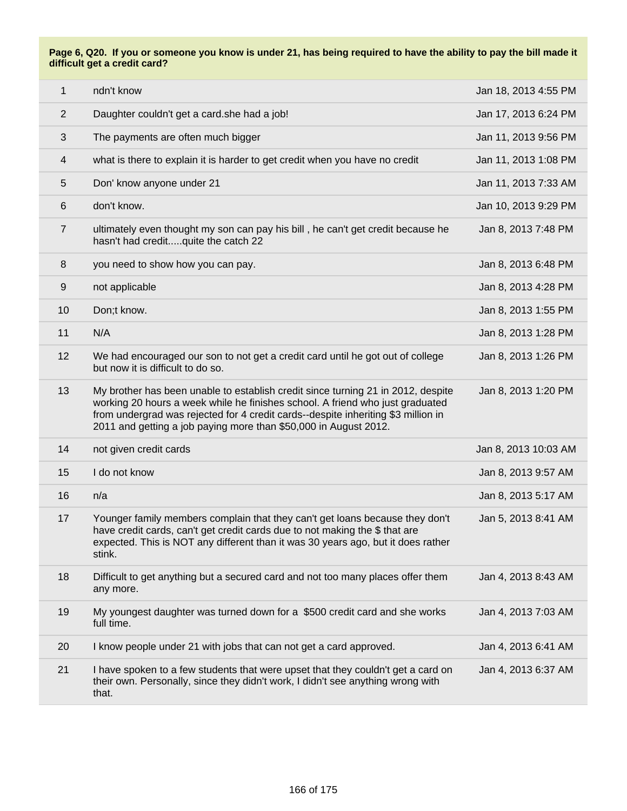**Page 6, Q20. If you or someone you know is under 21, has being required to have the ability to pay the bill made it difficult get a credit card?**

| $\mathbf{1}$   | ndn't know                                                                                                                                                                                                                                                                                                                 | Jan 18, 2013 4:55 PM |
|----------------|----------------------------------------------------------------------------------------------------------------------------------------------------------------------------------------------------------------------------------------------------------------------------------------------------------------------------|----------------------|
| $\overline{2}$ | Daughter couldn't get a card.she had a job!                                                                                                                                                                                                                                                                                | Jan 17, 2013 6:24 PM |
| 3              | The payments are often much bigger                                                                                                                                                                                                                                                                                         | Jan 11, 2013 9:56 PM |
| 4              | what is there to explain it is harder to get credit when you have no credit                                                                                                                                                                                                                                                | Jan 11, 2013 1:08 PM |
| 5              | Don' know anyone under 21                                                                                                                                                                                                                                                                                                  | Jan 11, 2013 7:33 AM |
| 6              | don't know.                                                                                                                                                                                                                                                                                                                | Jan 10, 2013 9:29 PM |
| $\overline{7}$ | ultimately even thought my son can pay his bill, he can't get credit because he<br>hasn't had creditquite the catch 22                                                                                                                                                                                                     | Jan 8, 2013 7:48 PM  |
| 8              | you need to show how you can pay.                                                                                                                                                                                                                                                                                          | Jan 8, 2013 6:48 PM  |
| 9              | not applicable                                                                                                                                                                                                                                                                                                             | Jan 8, 2013 4:28 PM  |
| 10             | Don;t know.                                                                                                                                                                                                                                                                                                                | Jan 8, 2013 1:55 PM  |
| 11             | N/A                                                                                                                                                                                                                                                                                                                        | Jan 8, 2013 1:28 PM  |
| 12             | We had encouraged our son to not get a credit card until he got out of college<br>but now it is difficult to do so.                                                                                                                                                                                                        | Jan 8, 2013 1:26 PM  |
| 13             | My brother has been unable to establish credit since turning 21 in 2012, despite<br>working 20 hours a week while he finishes school. A friend who just graduated<br>from undergrad was rejected for 4 credit cards--despite inheriting \$3 million in<br>2011 and getting a job paying more than \$50,000 in August 2012. | Jan 8, 2013 1:20 PM  |
| 14             | not given credit cards                                                                                                                                                                                                                                                                                                     | Jan 8, 2013 10:03 AM |
| 15             | I do not know                                                                                                                                                                                                                                                                                                              | Jan 8, 2013 9:57 AM  |
| 16             | n/a                                                                                                                                                                                                                                                                                                                        | Jan 8, 2013 5:17 AM  |
| 17             | Younger family members complain that they can't get loans because they don't<br>have credit cards, can't get credit cards due to not making the \$ that are<br>expected. This is NOT any different than it was 30 years ago, but it does rather<br>stink.                                                                  | Jan 5, 2013 8:41 AM  |
| 18             | Difficult to get anything but a secured card and not too many places offer them<br>any more.                                                                                                                                                                                                                               | Jan 4, 2013 8:43 AM  |
| 19             | My youngest daughter was turned down for a \$500 credit card and she works<br>full time.                                                                                                                                                                                                                                   | Jan 4, 2013 7:03 AM  |
| 20             | I know people under 21 with jobs that can not get a card approved.                                                                                                                                                                                                                                                         | Jan 4, 2013 6:41 AM  |
| 21             | I have spoken to a few students that were upset that they couldn't get a card on<br>their own. Personally, since they didn't work, I didn't see anything wrong with<br>that.                                                                                                                                               | Jan 4, 2013 6:37 AM  |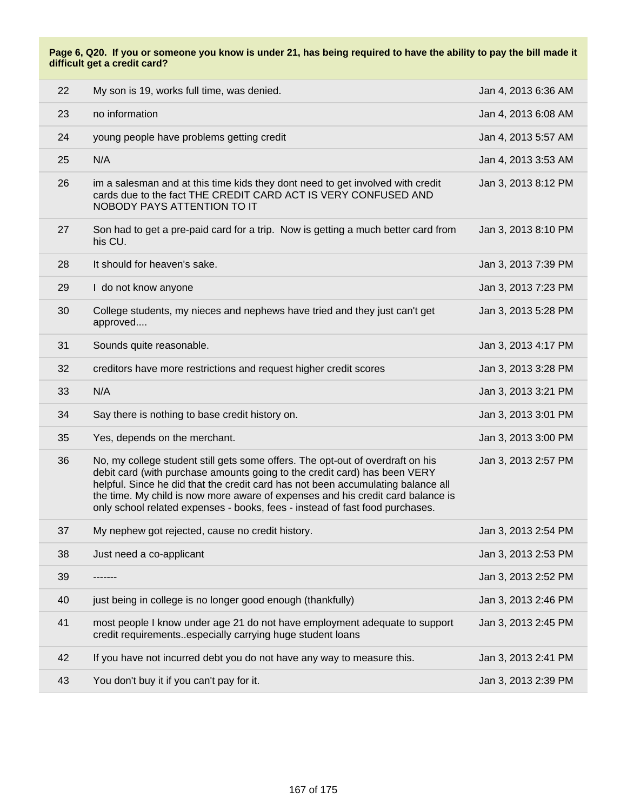**Page 6, Q20. If you or someone you know is under 21, has being required to have the ability to pay the bill made it difficult get a credit card?**

| 22 | My son is 19, works full time, was denied.                                                                                                                                                                                                                                                                                                                                                                         | Jan 4, 2013 6:36 AM |
|----|--------------------------------------------------------------------------------------------------------------------------------------------------------------------------------------------------------------------------------------------------------------------------------------------------------------------------------------------------------------------------------------------------------------------|---------------------|
| 23 | no information                                                                                                                                                                                                                                                                                                                                                                                                     | Jan 4, 2013 6:08 AM |
| 24 | young people have problems getting credit                                                                                                                                                                                                                                                                                                                                                                          | Jan 4, 2013 5:57 AM |
| 25 | N/A                                                                                                                                                                                                                                                                                                                                                                                                                | Jan 4, 2013 3:53 AM |
| 26 | im a salesman and at this time kids they dont need to get involved with credit<br>cards due to the fact THE CREDIT CARD ACT IS VERY CONFUSED AND<br>NOBODY PAYS ATTENTION TO IT                                                                                                                                                                                                                                    | Jan 3, 2013 8:12 PM |
| 27 | Son had to get a pre-paid card for a trip. Now is getting a much better card from<br>his CU.                                                                                                                                                                                                                                                                                                                       | Jan 3, 2013 8:10 PM |
| 28 | It should for heaven's sake.                                                                                                                                                                                                                                                                                                                                                                                       | Jan 3, 2013 7:39 PM |
| 29 | I do not know anyone                                                                                                                                                                                                                                                                                                                                                                                               | Jan 3, 2013 7:23 PM |
| 30 | College students, my nieces and nephews have tried and they just can't get<br>approved                                                                                                                                                                                                                                                                                                                             | Jan 3, 2013 5:28 PM |
| 31 | Sounds quite reasonable.                                                                                                                                                                                                                                                                                                                                                                                           | Jan 3, 2013 4:17 PM |
| 32 | creditors have more restrictions and request higher credit scores                                                                                                                                                                                                                                                                                                                                                  | Jan 3, 2013 3:28 PM |
|    |                                                                                                                                                                                                                                                                                                                                                                                                                    |                     |
| 33 | N/A                                                                                                                                                                                                                                                                                                                                                                                                                | Jan 3, 2013 3:21 PM |
| 34 | Say there is nothing to base credit history on.                                                                                                                                                                                                                                                                                                                                                                    | Jan 3, 2013 3:01 PM |
| 35 | Yes, depends on the merchant.                                                                                                                                                                                                                                                                                                                                                                                      | Jan 3, 2013 3:00 PM |
| 36 | No, my college student still gets some offers. The opt-out of overdraft on his<br>debit card (with purchase amounts going to the credit card) has been VERY<br>helpful. Since he did that the credit card has not been accumulating balance all<br>the time. My child is now more aware of expenses and his credit card balance is<br>only school related expenses - books, fees - instead of fast food purchases. | Jan 3, 2013 2:57 PM |
| 37 | My nephew got rejected, cause no credit history.                                                                                                                                                                                                                                                                                                                                                                   | Jan 3, 2013 2:54 PM |
| 38 | Just need a co-applicant                                                                                                                                                                                                                                                                                                                                                                                           | Jan 3, 2013 2:53 PM |
| 39 |                                                                                                                                                                                                                                                                                                                                                                                                                    | Jan 3, 2013 2:52 PM |
| 40 | just being in college is no longer good enough (thankfully)                                                                                                                                                                                                                                                                                                                                                        | Jan 3, 2013 2:46 PM |
| 41 | most people I know under age 21 do not have employment adequate to support<br>credit requirementsespecially carrying huge student loans                                                                                                                                                                                                                                                                            | Jan 3, 2013 2:45 PM |
| 42 | If you have not incurred debt you do not have any way to measure this.                                                                                                                                                                                                                                                                                                                                             | Jan 3, 2013 2:41 PM |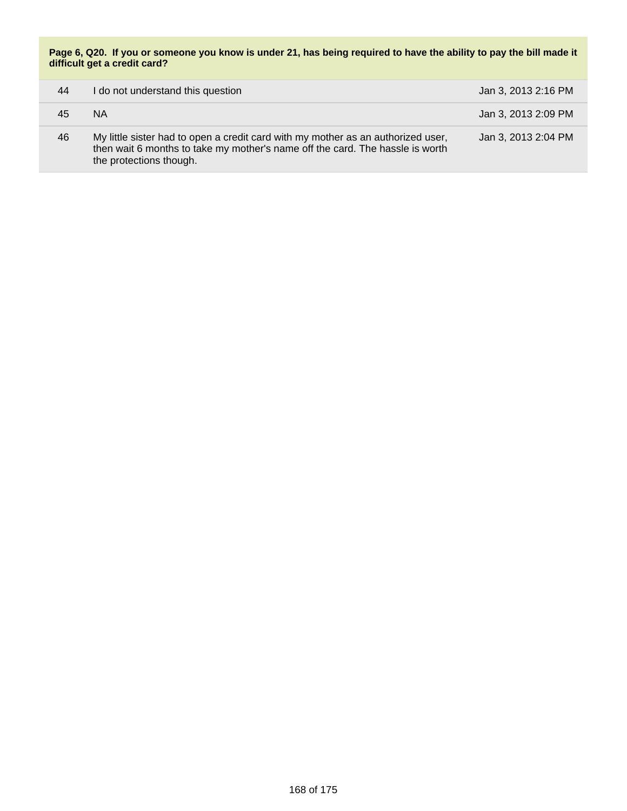**Page 6, Q20. If you or someone you know is under 21, has being required to have the ability to pay the bill made it difficult get a credit card?**

| 44 | I do not understand this question                                                                                                                                                            | Jan 3, 2013 2:16 PM |
|----|----------------------------------------------------------------------------------------------------------------------------------------------------------------------------------------------|---------------------|
| 45 | NA.                                                                                                                                                                                          | Jan 3, 2013 2:09 PM |
| 46 | My little sister had to open a credit card with my mother as an authorized user,<br>then wait 6 months to take my mother's name off the card. The hassle is worth<br>the protections though. | Jan 3, 2013 2:04 PM |